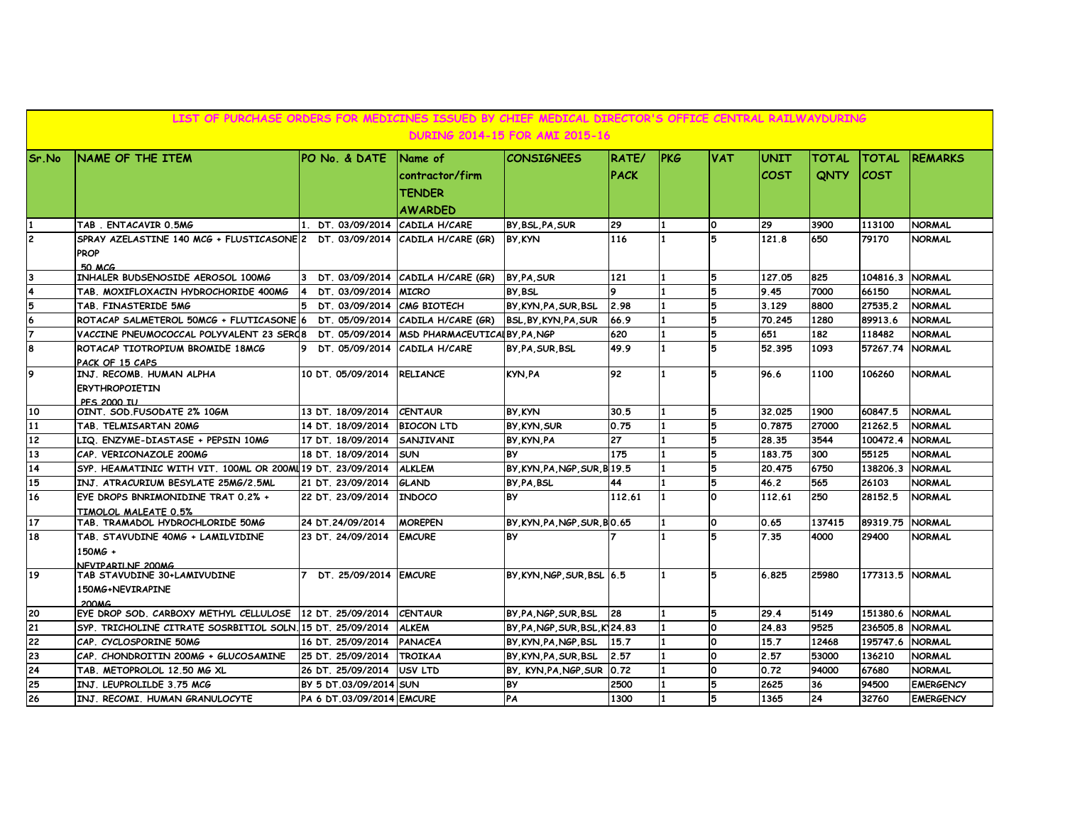|                | LIST OF PURCHASE ORDERS FOR MEDICINES ISSUED BY CHIEF MEDICAL DIRECTOR'S OFFICE CENTRAL RAILWAYDURING<br><b>DURING 2014-15 FOR AMI 2015-16</b> |                                    |                                                               |                              |                             |             |            |                            |                             |                             |                                |  |  |
|----------------|------------------------------------------------------------------------------------------------------------------------------------------------|------------------------------------|---------------------------------------------------------------|------------------------------|-----------------------------|-------------|------------|----------------------------|-----------------------------|-----------------------------|--------------------------------|--|--|
| Sr.No          | NAME OF THE ITEM                                                                                                                               | PO No. & DATE                      | Name of<br>contractor/firm<br><b>TENDER</b><br><b>AWARDED</b> | <b>CONSIGNEES</b>            | <b>RATE/</b><br><b>PACK</b> | <b>IPKG</b> | <b>VAT</b> | <b>UNIT</b><br><b>COST</b> | <b>TOTAL</b><br><b>QNTY</b> | <b>TOTAL</b><br><b>COST</b> | <b>REMARKS</b>                 |  |  |
| $\overline{c}$ | TAB. ENTACAVIR 0.5MG<br>SPRAY AZELASTINE 140 MCG + FLUSTICASONE 2 DT. 03/09/2014   CADILA H/CARE (GR)                                          | 1. DT. 03/09/2014 CADILA H/CARE    |                                                               | BY, BSL, PA, SUR<br>BY KYN   | 29<br>116                   |             | O<br>5     | 29<br>121.8                | 3900<br>650                 | 113100<br>79170             | <b>NORMAL</b><br><b>NORMAL</b> |  |  |
|                | PROP<br><b>50 MCG</b><br>INHALER BUDSENOSIDE AEROSOL 100MG                                                                                     |                                    | 3 DT. 03/09/2014 CADILA H/CARE (GR)                           | BY, PA, SUR                  | 121                         | 11          | 5          | 127.05                     | 825                         | 104816.3 NORMAL             |                                |  |  |
|                | TAB. MOXIFLOXACIN HYDROCHORIDE 400MG                                                                                                           | DT 03/09/2014 MICRO<br>14.         |                                                               | <b>BY BSL</b>                | $\bullet$                   |             | 5          | 9.45                       | 7000                        | 66150                       | <b>NORMAL</b>                  |  |  |
| 5              | TAB. FINASTERIDE 5MG                                                                                                                           | 5 DT. 03/09/2014 CMG BIOTECH       |                                                               | BY.KYN.PA.SUR.BSL            | 2.98                        |             | 5          | 3.129                      | 8800                        | 27535.2                     | <b>NORMAL</b>                  |  |  |
|                | ROTACAP SALMETEROL 50MCG + FLUTICASONE 6                                                                                                       |                                    | DT. 05/09/2014 CADILA H/CARE (GR)                             | BSL.BY.KYN.PA.SUR            | 66.9                        |             | 5          | 70.245                     | 1280                        | 89913.6                     | <b>NORMAL</b>                  |  |  |
|                | VACCINE PNEUMOCOCCAL POLYVALENT 23 SERO8                                                                                                       |                                    | DT. 05/09/2014   MSD PHARMACEUTICALBY PA NGP                  |                              | 620                         |             | 5          | 651                        | 182                         | 118482                      | <b>NORMAL</b>                  |  |  |
| я              | ROTACAP TIOTROPIUM BROMIDE 18MCG<br>PACK OF 15 CAPS                                                                                            | DT. 05/09/2014 CADILA H/CARE<br>9. |                                                               | <b>BY PA SUR BSL</b>         | 49.9                        | 11          | 5          | 52.395                     | 1093                        | 57267.74                    | <b>NORMAL</b>                  |  |  |
| 9              | INJ. RECOMB. HUMAN ALPHA<br><b>ERYTHROPOIETIN</b><br><b>PES 2000 TUL</b>                                                                       | 10 DT. 05/09/2014                  | <b>RELIANCE</b>                                               | KYN, PA                      | 92                          |             | 5          | 96.6                       | 1100                        | 106260                      | <b>NORMAL</b>                  |  |  |
| 10             | OINT. SOD.FUSODATE 2% 10GM                                                                                                                     | 13 DT. 18/09/2014                  | <b>CENTAUR</b>                                                | BY KYN                       | 30.5                        |             | 5          | 32.025                     | 1900                        | 60847.5                     | <b>NORMAL</b>                  |  |  |
| 11             | TAB. TELMISARTAN 20MG                                                                                                                          | 14 DT. 18/09/2014                  | <b>BIOCON LTD</b>                                             | BY KYN SUR                   | 0.75                        | l 1         | 5          | 0.7875                     | 27000                       | 21262.5                     | <b>NORMAL</b>                  |  |  |
| 12             | LIQ. ENZYME-DIASTASE + PEPSIN 10MG                                                                                                             | 17 DT. 18/09/2014                  | <b>SANJIVANI</b>                                              | BY KYN PA                    | 27                          | 11          | 5          | 28.35                      | 3544                        | 100472.4                    | <b>NORMAL</b>                  |  |  |
| 13             | CAP. VERICONAZOLE 200MG                                                                                                                        | 18 DT. 18/09/2014                  | <b>SUN</b>                                                    | <b>BY</b>                    | 175                         |             | 5          | 183.75                     | 300                         | 55125                       | <b>NORMAL</b>                  |  |  |
| 14             | SYP. HEAMATINIC WITH VIT. 100ML OR 200ML19 DT. 23/09/2014                                                                                      |                                    | <b>ALKLEM</b>                                                 | BY, KYN, PA, NGP, SUR, B19.5 |                             |             | 5          | 20.475                     | 6750                        | 138206.3                    | <b>NORMAL</b>                  |  |  |
| 15             | INJ. ATRACURIUM BESYLATE 25MG/2.5ML                                                                                                            | 21 DT. 23/09/2014                  | <b>GLAND</b>                                                  | BY PA BSL                    | 44                          |             | 5          | 46.2                       | 565                         | 26103                       | <b>NORMAL</b>                  |  |  |
| 16             | EYE DROPS BNRIMONIDINE TRAT 0.2% +<br>TIMOLOL MALEATE 0.5%                                                                                     | 22 DT. 23/09/2014                  | <b>INDOCO</b>                                                 | <b>BY</b>                    | 112.61                      | 1           | <b>O</b>   | 112.61                     | 250                         | 28152.5                     | <b>NORMAL</b>                  |  |  |
| 17             | TAB. TRAMADOL HYDROCHLORIDE 50MG                                                                                                               | 24 DT.24/09/2014                   | <b>MOREPEN</b>                                                | BY KYN PA NGP SUR BO.65      |                             | 11          | O          | 0.65                       | 137415                      | 89319.75                    | <b>NORMAL</b>                  |  |  |
| 18             | TAB. STAVUDINE 40MG + LAMILVIDINE<br>150MG +<br>NFVIPARILNF 200MG                                                                              | 23 DT. 24/09/2014                  | <b>EMCURE</b>                                                 | <b>BY</b>                    |                             | 11          | 5          | 7.35                       | 4000                        | 29400                       | <b>NORMAL</b>                  |  |  |
| 19             | TAB STAVUDINE 30+LAMIVUDINE<br>150MG+NEVIRAPINE<br><b>200MG</b>                                                                                | DT. 25/09/2014 EMCURE              |                                                               | BY KYN NGP SUR BSL 6.5       |                             | 11          | 5          | 6.825                      | 25980                       | 177313.5 NORMAL             |                                |  |  |
| 20             | EYE DROP SOD, CARBOXY METHYL CELLULOSE 12 DT, 25/09/2014                                                                                       |                                    | <b>CENTAUR</b>                                                | BY PA NGP SUR BSL            | 28                          |             | 5          | 29.4                       | 5149                        | 151380.6 NORMAL             |                                |  |  |
| 21             | SYP. TRICHOLINE CITRATE SOSRBITIOL SOLN. 15 DT. 25/09/2014                                                                                     |                                    | <b>ALKEM</b>                                                  | BY PA NGP SUR BSL K 24.83    |                             |             | <b>O</b>   | 24.83                      | 9525                        | 236505.8                    | <b>NORMAL</b>                  |  |  |
| 22             | CAP. CYCLOSPORINE 50MG                                                                                                                         | 16 DT. 25/09/2014                  | <b>PANACEA</b>                                                | BY, KYN, PA, NGP, BSL        | 15.7                        |             | O          | 15.7                       | 12468                       | 195747.6                    | <b>NORMAL</b>                  |  |  |
| 23             | CAP. CHONDROITIN 200MG + GLUCOSAMINE                                                                                                           | 25 DT. 25/09/2014                  | <b>TROIKAA</b>                                                | BY.KYN.PA.SUR.BSL            | 2.57                        |             | O          | 2.57                       | 53000                       | 136210                      | <b>NORMAL</b>                  |  |  |
| 24             | TAB. METOPROLOL 12.50 MG XL                                                                                                                    | 26 DT. 25/09/2014                  | USV LTD                                                       | BY, KYN, PA, NGP, SUR 0.72   |                             |             | O          | 0.72                       | 94000                       | 67680                       | <b>NORMAL</b>                  |  |  |
| 25             | INJ. LEUPROLILDE 3.75 MCG                                                                                                                      | BY 5 DT.03/09/2014 SUN             |                                                               | <b>BY</b>                    | 2500                        |             | 5          | 2625                       | 36                          | 94500                       | <b>EMERGENCY</b>               |  |  |
| 26             | INJ. RECOMI. HUMAN GRANULOCYTE                                                                                                                 | PA 6 DT.03/09/2014 EMCURE          |                                                               | PA                           | 1300                        | 11          | 5          | 1365                       | 24                          | 32760                       | <b>EMERGENCY</b>               |  |  |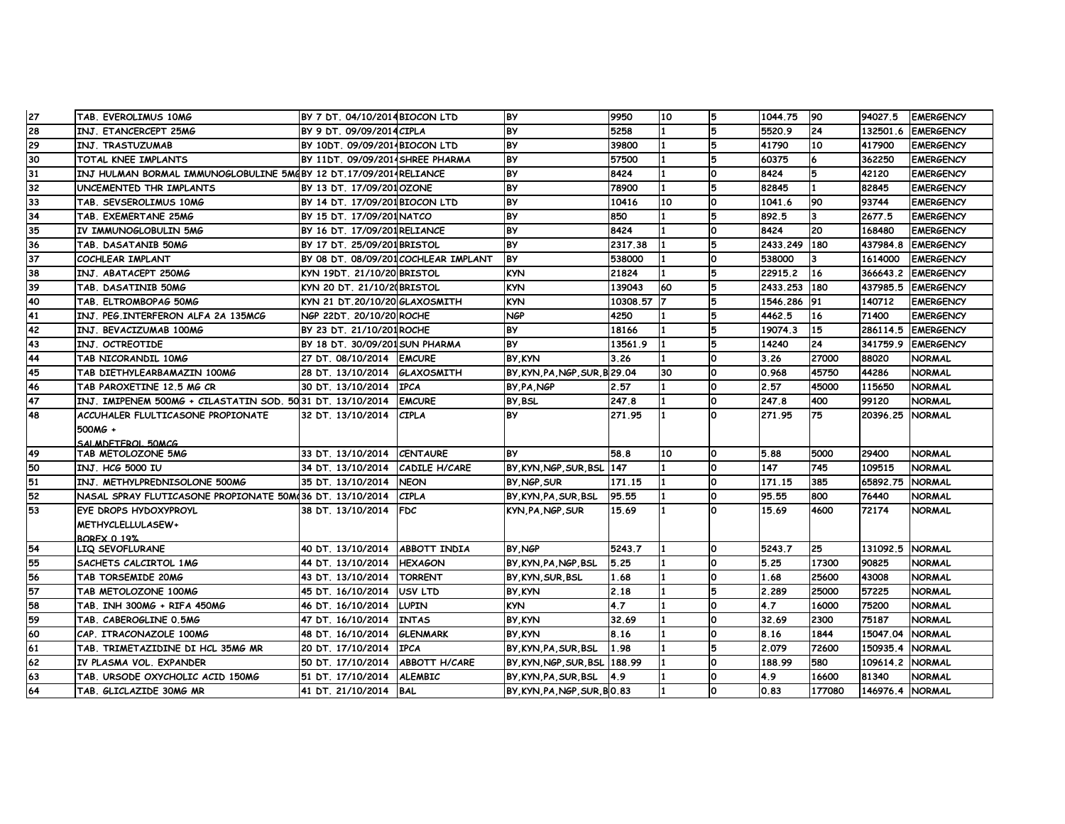| 27 | TAB. EVEROLIMUS 10MG                                             | BY 7 DT. 04/10/2014 BIOCON LTD         |                                      | <b>BY</b>                               | 9950        | 10 |          | 1044.75  | 90     | 94027.5         | <b>EMERGENCY</b>               |
|----|------------------------------------------------------------------|----------------------------------------|--------------------------------------|-----------------------------------------|-------------|----|----------|----------|--------|-----------------|--------------------------------|
| 28 | INJ. ETANCERCEPT 25MG                                            | BY 9 DT. 09/09/2014 CIPLA              |                                      | <b>BY</b>                               | 5258        |    |          | 5520.9   | 24     | 132501.6        | <b>EMERGENCY</b>               |
| 29 | INJ. TRASTUZUMAB                                                 | BY 10DT, 09/09/2014BIOCON LTD          |                                      | <b>BY</b>                               | 39800       |    | 5        | 41790    | 10     | 417900          | <b>EMERGENCY</b>               |
| 30 | TOTAL KNEE IMPLANTS                                              | BY 11DT. 09/09/2014 SHREE PHARMA       |                                      | BY                                      | 57500       |    | 5        | 60375    |        | 362250          | <b>EMERGENCY</b>               |
| 31 | INJ HULMAN BORMAL IMMUNOGLOBULINE 5MGBY 12 DT.17/09/2014RELIANCE |                                        |                                      | <b>BY</b>                               | 8424        |    | $\Omega$ | 8424     |        | 42120           | <b>EMERGENCY</b>               |
| 32 | UNCEMENTED THR IMPLANTS                                          | BY 13 DT. 17/09/2010ZONE               |                                      | BY                                      | 78900       |    | 5        | 82845    |        | 82845           | <b>EMERGENCY</b>               |
| 33 | TAB. SEVSEROLIMUS 10MG                                           | BY 14 DT. 17/09/201BIOCON LTD          |                                      | <b>BY</b>                               | 10416       | 10 | $\Omega$ | 1041.6   | 90     | 93744           | <b>EMERGENCY</b>               |
| 34 | TAB. EXEMERTANE 25MG                                             | BY 15 DT. 17/09/201NATCO               |                                      | BY                                      | 850         |    | 5        | 892.5    | 3      | 2677.5          | <b>EMERGENCY</b>               |
| 35 | IV IMMUNOGLOBULIN 5MG                                            | BY 16 DT. 17/09/201 RELIANCE           |                                      | <b>BY</b>                               | 8424        |    | $\Omega$ | 8424     | 20     | 168480          | <b>EMERGENCY</b>               |
| 36 | TAB. DASATANIB 50MG                                              | BY 17 DT. 25/09/201BRISTOL             |                                      | <b>BY</b>                               | 2317.38     |    |          | 2433.249 | 180    | 437984.8        | <b>EMERGENCY</b>               |
| 37 | COCHLEAR IMPLANT                                                 |                                        | BY 08 DT. 08/09/201 COCHLEAR IMPLANT | <b>BY</b>                               | 538000      |    | $\Omega$ | 538000   | 3      | 1614000         | <b>EMERGENCY</b>               |
| 38 | INJ. ABATACEPT 250MG                                             | KYN 19DT. 21/10/20 BRISTOL             |                                      | <b>KYN</b>                              | 21824       |    |          | 22915.2  | 16     | 366643.2        | <b>EMERGENCY</b>               |
| 39 | TAB. DASATINIB 50MG                                              | KYN 20 DT. 21/10/20BRISTOL             |                                      | <b>KYN</b>                              | 139043      | 60 |          | 2433.253 | 180    | 437985.5        | <b>EMERGENCY</b>               |
| 40 | TAB. ELTROMBOPAG 50MG                                            | KYN 21 DT.20/10/20 GLAXOSMITH          |                                      | <b>KYN</b>                              | 10308.57 7  |    |          | 1546.286 | 91     | 140712          | <b>EMERGENCY</b>               |
| 41 | INJ. PEG.INTERFERON ALFA 2A 135MCG                               | NGP 22DT. 20/10/20 ROCHE               |                                      | <b>NGP</b>                              | 4250        |    |          | 4462.5   | 16     | 71400           | <b>EMERGENCY</b>               |
| 42 | INJ. BEVACIZUMAB 100MG                                           | BY 23 DT. 21/10/201 ROCHE              |                                      | <b>BY</b>                               | 18166       |    | 厉        | 19074.3  | 15     | 286114.5        | <b>EMERGENCY</b>               |
| 43 | INJ. OCTREOTIDE                                                  | BY 18 DT. 30/09/201 SUN PHARMA         |                                      | <b>BY</b>                               | 13561.9     |    |          | 14240    | 24     | 341759.9        | <b>EMERGENCY</b>               |
| 44 | TAB NICORANDIL 10MG                                              | 27 DT. 08/10/2014 EMCURE               |                                      | BY KYN                                  | 3.26        |    | $\Omega$ | 3.26     | 27000  | 88020           | <b>NORMAL</b>                  |
| 45 | TAB DIETHYLEARBAMAZIN 100MG                                      | 28 DT. 13/10/2014                      | <b>GLAXOSMITH</b>                    | BY, KYN, PA, NGP, SUR, B 29.04          |             | 30 | $\Omega$ | 0.968    | 45750  | 44286           | <b>NORMAL</b>                  |
| 46 | TAB PAROXETINE 12.5 MG CR                                        | 30 DT. 13/10/2014                      | <b>IPCA</b>                          | BY PA NGP                               | 2.57        |    | $\Omega$ | 2.57     | 45000  | 115650          | <b>NORMAL</b>                  |
| 47 | INJ. IMIPENEM 500MG + CILASTATIN SOD. 50 31 DT. 13/10/2014       |                                        | <b>EMCURE</b>                        | BY BSL                                  | 247.8       |    | $\Omega$ | 247.8    | 400    | 99120           | <b>NORMAL</b>                  |
| 48 | ACCUHALER FLULTICASONE PROPIONATE                                | 32 DT. 13/10/2014                      | <b>CIPLA</b>                         | <b>BY</b>                               | 271.95      |    | $\Omega$ | 271.95   | 75     | 20396.25        | <b>NORMAL</b>                  |
|    | 500MG +                                                          |                                        |                                      |                                         |             |    |          |          |        |                 |                                |
|    | SALM DETEROL 50MCG                                               |                                        |                                      |                                         |             |    |          |          |        |                 |                                |
| 49 | TAB METOLOZONE 5MG                                               | 33 DT. 13/10/2014                      | <b>CENTAURE</b>                      | <b>BY</b>                               | 58.8        | 10 | O        | 5.88     | 5000   | 29400           | <b>NORMAL</b>                  |
| 50 | INJ. HCG 5000 IU                                                 | 34 DT. 13/10/2014                      | <b>CADILE H/CARE</b>                 | BY, KYN, NGP, SUR, BSL                  | 147         |    | $\Omega$ | 147      | 745    | 109515          | <b>NORMAL</b>                  |
| 51 | INJ. METHYLPREDNISOLONE 500MG                                    | 35 DT. 13/10/2014                      | <b>NEON</b>                          | BY NGP SUR                              | 171.15      |    | $\Omega$ | 171.15   | 385    | 65892.75        | <b>NORMAL</b>                  |
| 52 | NASAL SPRAY FLUTICASONE PROPIONATE 50M(36 DT. 13/10/2014         |                                        | <b>CIPLA</b>                         | BY, KYN, PA, SUR, BSL                   | 95.55       |    | O        | 95.55    | 800    | 76440           | <b>NORMAL</b>                  |
| 53 | EYE DROPS HYDOXYPROYL                                            | 38 DT. 13/10/2014                      | <b>FDC</b>                           | KYN, PA, NGP, SUR                       | 15.69       |    |          | 15.69    | 4600   | 72174           | <b>NORMAL</b>                  |
|    | METHYCLELLULASEW+                                                |                                        |                                      |                                         |             |    |          |          |        |                 |                                |
| 54 | <b>ROREX 0.19%</b><br>LIQ SEVOFLURANE                            | 40 DT. 13/10/2014                      | <b>ABBOTT INDIA</b>                  | BY NGP                                  | 5243.7      |    | <b>O</b> | 5243.7   | 25     | 131092.5 NORMAL |                                |
| 55 | <b>SACHETS CALCIRTOL 1MG</b>                                     | 44 DT. 13/10/2014                      | <b>HEXAGON</b>                       |                                         | 5.25        |    | O        | 5.25     | 17300  | 90825           | <b>NORMAL</b>                  |
| 56 | TAB TORSEMIDE 20MG                                               | 43 DT. 13/10/2014                      | <b>TORRENT</b>                       | BY, KYN, PA, NGP, BSL<br>BY KYN SUR BSL | 1.68        |    | $\Omega$ | 1.68     | 25600  | 43008           | <b>NORMAL</b>                  |
| 57 |                                                                  |                                        |                                      |                                         |             |    | 5        | 2.289    | 25000  | 57225           |                                |
| 58 | TAB METOLOZONE 100MG<br>TAB. INH 300MG + RIFA 450MG              | 45 DT. 16/10/2014<br>46 DT. 16/10/2014 | <b>IUSV LTD</b><br><b>LUPIN</b>      | <b>BY KYN</b><br><b>KYN</b>             | 2.18<br>4.7 |    | $\Omega$ | 4.7      | 16000  | 75200           | <b>NORMAL</b><br><b>NORMAL</b> |
|    |                                                                  |                                        |                                      |                                         |             |    | $\Omega$ |          |        |                 |                                |
| 59 | TAB. CABEROGLINE 0.5MG                                           | 47 DT. 16/10/2014                      | <b>INTAS</b>                         | BY KYN                                  | 32.69       |    |          | 32.69    | 2300   | 75187           | <b>NORMAL</b>                  |
| 60 | CAP. ITRACONAZOLE 100MG                                          | 48 DT. 16/10/2014                      | <b>GLENMARK</b>                      | BY KYN                                  | 8.16        |    | O        | 8.16     | 1844   | 15047.04        | <b>NORMAL</b>                  |
| 61 | TAB. TRIMETAZIDINE DI HCL 35MG MR                                | 20 DT. 17/10/2014                      | <b>TPCA</b>                          | BY KYN PA SUR BSL                       | 1.98        |    | 5        | 2.079    | 72600  | 150935.4        | <b>NORMAL</b>                  |
| 62 | IV PLASMA VOL. EXPANDER                                          | 50 DT. 17/10/2014                      | <b>ABBOTT H/CARE</b>                 | BY KYN NGP SUR BSL 188.99               |             |    | $\Omega$ | 188.99   | 580    | 109614.2        | <b>NORMAL</b>                  |
| 63 | TAB. URSODE OXYCHOLIC ACID 150MG                                 | 51 DT. 17/10/2014                      | <b>ALEMBIC</b>                       | BY KYN PA SUR BSL                       | 4.9         |    | $\Omega$ | 4.9      | 16600  | 81340           | <b>NORMAL</b>                  |
| 64 | TAB. GLICLAZIDE 30MG MR                                          | 41 DT. 21/10/2014                      | <b>BAL</b>                           | BY, KYN, PA, NGP, SUR, BO.83            |             |    | $\Omega$ | 0.83     | 177080 | 146976.4 NORMAL |                                |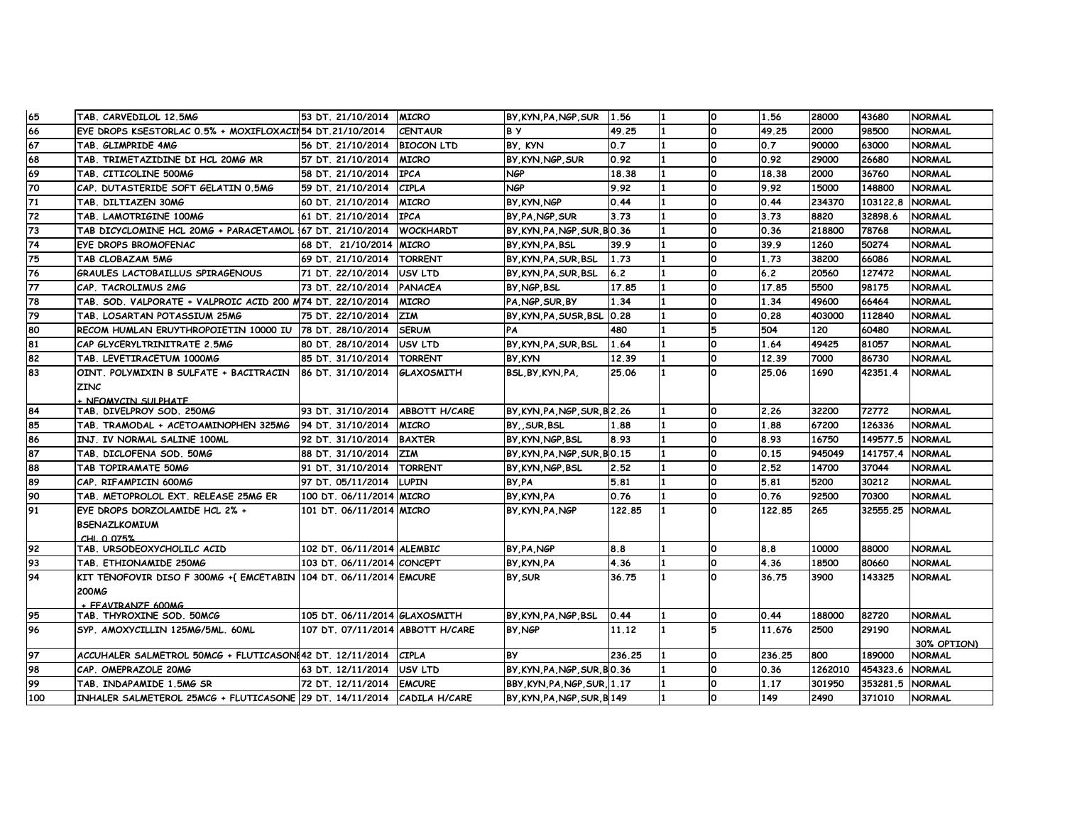| 65  | TAB. CARVEDILOL 12.5MG                                                 | 53 DT. 21/10/2014                | <b>MICRO</b>         | BY KYN PA NGP SUR             | 1.56   |                | <b>O</b>     | 1.56   | 28000   | 43680    | <b>NORMAL</b> |
|-----|------------------------------------------------------------------------|----------------------------------|----------------------|-------------------------------|--------|----------------|--------------|--------|---------|----------|---------------|
| 66  | EYE DROPS KSESTORLAC 0.5% + MOXIFLOXACIN54 DT.21/10/2014               |                                  | <b>CENTAUR</b>       | <b>BY</b>                     | 49.25  |                | <sup>o</sup> | 49.25  | 2000    | 98500    | <b>NORMAL</b> |
| 67  | TAB. GLIMPRIDE 4MG                                                     | 56 DT. 21/10/2014                | <b>BIOCON LTD</b>    | BY, KYN                       | 0.7    |                | <sup>o</sup> | 0.7    | 90000   | 63000    | <b>NORMAL</b> |
| 68  | TAB. TRIMETAZIDINE DI HCL 20MG MR                                      | 57 DT. 21/10/2014                | <b>MICRO</b>         | BY KYN NGP SUR                | 0.92   | $\blacksquare$ | O            | 0.92   | 29000   | 26680    | <b>NORMAL</b> |
| 69  | TAB. CITICOLINE 500MG                                                  | 58 DT. 21/10/2014                | <b>IPCA</b>          | NGP                           | 18.38  |                | O            | 18.38  | 2000    | 36760    | <b>NORMAL</b> |
| 70  | CAP. DUTASTERIDE SOFT GELATIN 0.5MG                                    | 59 DT. 21/10/2014                | <b>CIPLA</b>         | NGP                           | 9.92   |                | <sup>0</sup> | 9.92   | 15000   | 148800   | NORMAL        |
| 71  | TAB. DILTIAZEN 30MG                                                    | 60 DT. 21/10/2014                | <b>MICRO</b>         | BY KYN NGP                    | 0.44   |                | $\Omega$     | 0.44   | 234370  | 103122.8 | <b>NORMAL</b> |
| 72  | TAB. LAMOTRIGINE 100MG                                                 | 61 DT. 21/10/2014                | <b>IPCA</b>          | BY PA NGP SUR                 | 3.73   |                | O            | 3.73   | 8820    | 32898.6  | NORMAL        |
| 73  | TAB DICYCLOMINE HCL 20MG + PARACETAMOL 167 DT. 21/10/2014              |                                  | <b>WOCKHARDT</b>     | BY KYN PA NGP SUR BO.36       |        |                | O            | 0.36   | 218800  | 78768    | <b>NORMAL</b> |
| 74  | EYE DROPS BROMOFENAC                                                   | 68 DT. 21/10/2014                | <b>MICRO</b>         | BY KYN PA BSL                 | 39.9   |                | <sup>o</sup> | 39.9   | 1260    | 50274    | <b>NORMAL</b> |
| 75  | <b>TAB CLOBAZAM 5MG</b>                                                | 69 DT. 21/10/2014                | <b>TORRENT</b>       | BY KYN PA SUR BSL             | 1.73   |                | <sup>o</sup> | 1.73   | 38200   | 66086    | <b>NORMAL</b> |
| 76  | <b>GRAULES LACTOBAILLUS SPIRAGENOUS</b>                                | 71 DT. 22/10/2014                | USV LTD              | BY KYN PA SUR BSL             | 6.2    |                | <sup>o</sup> | 6.2    | 20560   | 127472   | <b>NORMAL</b> |
| 77  | CAP. TACROLIMUS 2MG                                                    | 73 DT. 22/10/2014                | <b>PANACEA</b>       | BY, NGP, BSL                  | 17.85  |                | O            | 17.85  | 5500    | 98175    | NORMAL        |
| 78  | TAB. SOD. VALPORATE + VALPROIC ACID 200 M74 DT. 22/10/2014             |                                  | <b>MICRO</b>         | PA.NGP.SUR.BY                 | 1.34   |                | <b>O</b>     | 1.34   | 49600   | 66464    | <b>NORMAL</b> |
| 79  | TAB. LOSARTAN POTASSIUM 25MG                                           | 75 DT. 22/10/2014                | <b>ZIM</b>           | BY KYN PA SUSR BSL 0.28       |        |                | <sup>0</sup> | 0.28   | 403000  | 112840   | <b>NORMAL</b> |
| 80  | RECOM HUMLAN ERUYTHROPOIETIN 10000 IU                                  | 78 DT. 28/10/2014                | <b>SERUM</b>         | PA                            | 480    |                | 5            | 504    | 120     | 60480    | <b>NORMAL</b> |
| 81  | CAP GLYCERYLTRINITRATE 2.5MG                                           | 80 DT. 28/10/2014                | USV LTD              | BY KYN PA SUR BSL             | 1.64   | 11             | O            | 1.64   | 49425   | 81057    | <b>NORMAL</b> |
| 82  | TAB. LEVETIRACETUM 1000MG                                              | 85 DT. 31/10/2014                | <b>TORRENT</b>       | BY KYN                        | 12.39  |                | O            | 12.39  | 7000    | 86730    | <b>NORMAL</b> |
| 83  | OINT. POLYMIXIN B SULFATE + BACITRACIN                                 | 86 DT. 31/10/2014                | GLAXOSMITH           | BSL.BY.KYN.PA.                | 25.06  |                | <sup>o</sup> | 25.06  | 1690    | 42351.4  | <b>NORMAL</b> |
|     | <b>ZINC</b>                                                            |                                  |                      |                               |        |                |              |        |         |          |               |
|     | NEOMYCTN SULPHATE                                                      |                                  |                      |                               |        |                |              |        |         |          |               |
| 84  | TAB. DIVELPROY SOD. 250MG                                              | 93 DT. 31/10/2014                | <b>ABBOTT H/CARE</b> | BY KYN PA NGP SUR B 2.26      |        |                | <sup>o</sup> | 2.26   | 32200   | 72772    | <b>NORMAL</b> |
| 85  | TAB. TRAMODAL + ACETOAMINOPHEN 325MG                                   | 94 DT. 31/10/2014                | <b>MICRO</b>         | BYSUR.BSL                     | 1.88   |                | <sup>o</sup> | 1.88   | 67200   | 126336   | <b>NORMAL</b> |
| 86  | INJ. IV NORMAL SALINE 100ML                                            | 92 DT. 31/10/2014                | <b>BAXTER</b>        | BY KYN NGP BSL                | 8.93   |                | O            | 8.93   | 16750   | 149577.5 | <b>NORMAL</b> |
| 87  | TAB. DICLOFENA SOD. 50MG                                               | 88 DT. 31/10/2014                | <b>ZIM</b>           | BY, KYN, PA, NGP, SUR, BO. 15 |        |                | O            | 0.15   | 945049  | 141757.4 | <b>NORMAL</b> |
| 88  | TAB TOPIRAMATE 50MG                                                    | 91 DT. 31/10/2014                | <b>TORRENT</b>       | BY KYN NGP BSL                | 2.52   |                | <sup>o</sup> | 2.52   | 14700   | 37044    | <b>NORMAL</b> |
| 89  | CAP. RIFAMPICIN 600MG                                                  | 97 DT. 05/11/2014                | <b>LUPIN</b>         | BY PA                         | 5.81   |                | O.           | 5.81   | 5200    | 30212    | <b>NORMAL</b> |
| 90  | TAB. METOPROLOL EXT. RELEASE 25MG ER                                   | 100 DT. 06/11/2014 MICRO         |                      | BY KYN PA                     | 0.76   |                | O            | 0.76   | 92500   | 70300    | <b>NORMAL</b> |
| 91  | EYE DROPS DORZOLAMIDE HCL 2% +                                         | 101 DT. 06/11/2014 MICRO         |                      | BY, KYN, PA, NGP              | 122.85 | l 1            | $\Omega$     | 122.85 | 265     | 32555.25 | <b>NORMAL</b> |
|     | <b>BSENAZLKOMIUM</b>                                                   |                                  |                      |                               |        |                |              |        |         |          |               |
| 92  | $CHI$ $0.075%$<br>TAB. URSODEOXYCHOLILC ACID                           | 102 DT. 06/11/2014 ALEMBIC       |                      | BY PA NGP                     | 8.8    |                | O            | 8.8    | 10000   | 88000    | <b>NORMAL</b> |
| 93  | TAB. ETHIONAMIDE 250MG                                                 | 103 DT. 06/11/2014 CONCEPT       |                      | BY, KYN, PA                   | 4.36   |                | <sup>0</sup> | 4.36   | 18500   | 80660    | <b>NORMAL</b> |
| 94  | KIT TENOFOVIR DISO F 300MG +{ EMCETABIN 104 DT, 06/11/2014 EMCURE      |                                  |                      | BY, SUR                       | 36.75  |                | $\Omega$     | 36.75  | 3900    | 143325   | <b>NORMAL</b> |
|     | 200MG                                                                  |                                  |                      |                               |        |                |              |        |         |          |               |
|     | FEAVTRANZE 600MG                                                       |                                  |                      |                               |        |                |              |        |         |          |               |
| 95  | TAB. THYROXINE SOD. 50MCG                                              | 105 DT. 06/11/2014 GLAXOSMITH    |                      | BY, KYN, PA, NGP, BSL         | 0.44   |                | O            | 0.44   | 188000  | 82720    | <b>NORMAL</b> |
| 96  | SYP. AMOXYCILLIN 125MG/5ML. 60ML                                       | 107 DT. 07/11/2014 ABBOTT H/CARE |                      | BY NGP                        | 11.12  |                | 5            | 11.676 | 2500    | 29190    | NORMAL        |
|     |                                                                        |                                  |                      |                               |        |                |              |        |         |          | 30% OPTION)   |
| 97  | ACCUHALER SALMETROL 50MCG + FLUTICASONE42 DT. 12/11/2014               |                                  | <b>CIPLA</b>         | <b>BY</b>                     | 236.25 |                | O            | 236.25 | 800     | 189000   | <b>NORMAL</b> |
| 98  | CAP. OMEPRAZOLE 20MG                                                   | 63 DT. 12/11/2014                | <b>USV LTD</b>       | BY KYN PA NGP SUR BO.36       |        |                | O            | 0.36   | 1262010 | 454323.6 | <b>NORMAL</b> |
| 99  | TAB. INDAPAMIDE 1.5MG SR                                               | 72 DT. 12/11/2014 EMCURE         |                      | BBY, KYN, PA, NGP, SUR, 1.17  |        |                |              | 1.17   | 301950  | 353281.5 | <b>NORMAL</b> |
| 100 | INHALER SALMETEROL 25MCG + FLUTICASONE 29 DT. 14/11/2014 CADILA H/CARE |                                  |                      | BY, KYN, PA, NGP, SUR, B149   |        |                | <b>O</b>     | 149    | 2490    | 371010   | <b>NORMAL</b> |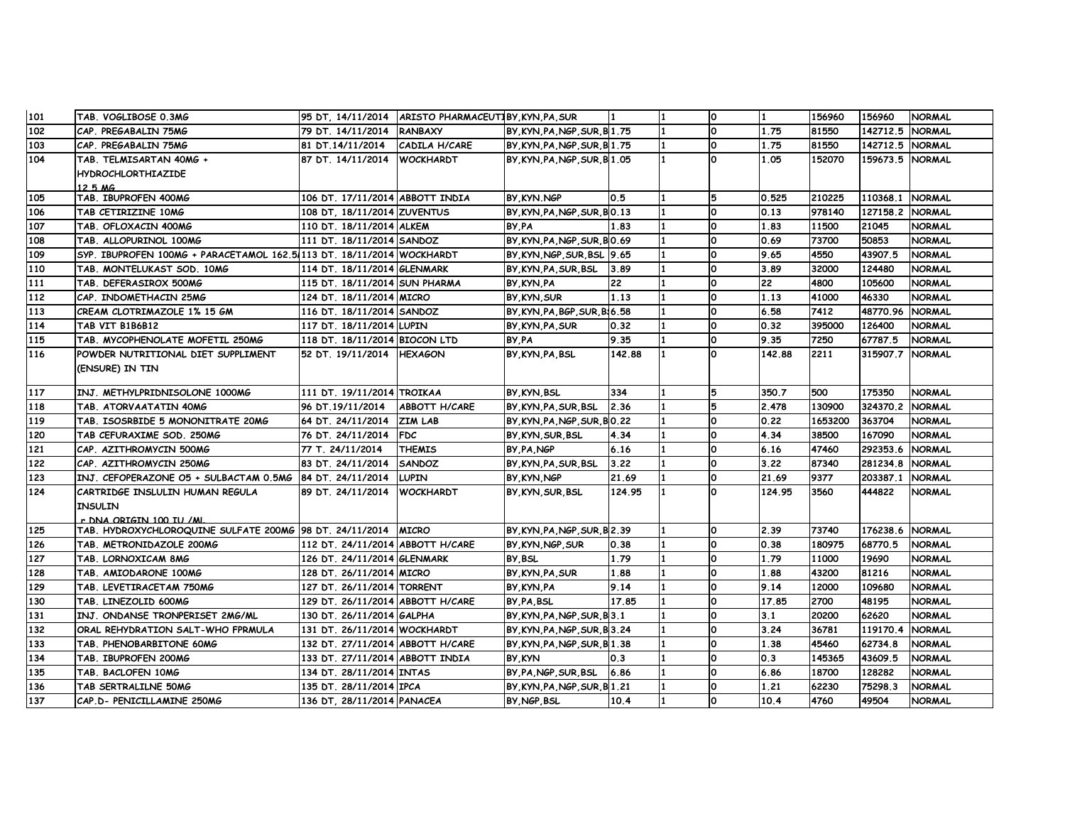| 101 | TAB. VOGLIBOSE 0.3MG                                                  |                                  | 95 DT. 14/11/2014 ARISTO PHARMACEUTIBY KYN PA SUR |                               |        | $\Omega$ |        | 156960  | 156960          | <b>NORMAL</b> |
|-----|-----------------------------------------------------------------------|----------------------------------|---------------------------------------------------|-------------------------------|--------|----------|--------|---------|-----------------|---------------|
| 102 | CAP. PREGABALIN 75MG                                                  | 79 DT. 14/11/2014 RANBAXY        |                                                   | BY, KYN, PA, NGP, SUR, B1.75  |        | <b>O</b> | 1.75   | 81550   | 142712.5        | <b>NORMAL</b> |
| 103 | CAP. PREGABALIN 75MG                                                  | 81 DT.14/11/2014                 | CADILA H/CARE                                     | BY, KYN, PA, NGP, SUR, B 1.75 |        | 0        | 1.75   | 81550   | 142712.5        | <b>NORMAL</b> |
| 104 | TAB. TELMISARTAN 40MG +                                               | 87 DT. 14/11/2014 WOCKHARDT      |                                                   | BY, KYN, PA, NGP, SUR, B1.05  |        | O        | 1.05   | 152070  | 159673.5 NORMAL |               |
|     | <b>HYDROCHLORTHIAZIDE</b>                                             |                                  |                                                   |                               |        |          |        |         |                 |               |
|     | 12 5 MG                                                               |                                  |                                                   |                               |        |          |        |         |                 |               |
| 105 | TAB. IBUPROFEN 400MG                                                  | 106 DT. 17/11/2014 ABBOTT INDIA  |                                                   | BY KYN NGP                    | 0.5    | 5        | 0.525  | 210225  | 110368.1 NORMAL |               |
| 106 | TAB CETIRIZINE 10MG                                                   | 108 DT. 18/11/2014 ZUVENTUS      |                                                   | BY, KYN, PA, NGP, SUR, BO. 13 |        | 0        | 0.13   | 978140  | 127158.2        | <b>NORMAL</b> |
| 107 | TAB. OFLOXACIN 400MG                                                  | 110 DT. 18/11/2014 ALKEM         |                                                   | BY PA                         | 1.83   | 0        | 1.83   | 11500   | 21045           | <b>NORMAL</b> |
| 108 | TAB. ALLOPURINOL 100MG                                                | 111 DT. 18/11/2014 SANDOZ        |                                                   | BY KYN PA NGP SUR BO.69       |        | 0        | 0.69   | 73700   | 50853           | NORMAL        |
| 109 | SYP. IBUPROFEN 100MG + PARACETAMOL 162.5/113 DT. 18/11/2014 WOCKHARDT |                                  |                                                   | BY, KYN, NGP, SUR, BSL 9.65   |        | 0        | 9.65   | 4550    | 43907.5         | <b>NORMAL</b> |
| 110 | TAB. MONTELUKAST SOD. 10MG                                            | 114 DT. 18/11/2014 GLENMARK      |                                                   | BY KYN PA SUR BSL             | 3.89   | 0        | 3.89   | 32000   | 124480          | <b>NORMAL</b> |
| 111 | TAB. DEFERASIROX 500MG                                                | 115 DT. 18/11/2014 SUN PHARMA    |                                                   | BY KYN PA                     | 22     | 0        | 22     | 4800    | 105600          | <b>NORMAL</b> |
| 112 | CAP. INDOMETHACIN 25MG                                                | 124 DT. 18/11/2014 MICRO         |                                                   | BY, KYN, SUR                  | 1.13   | 0        | 1.13   | 41000   | 46330           | <b>NORMAL</b> |
| 113 | CREAM CLOTRIMAZOLE 1% 15 GM                                           | 116 DT. 18/11/2014 SANDOZ        |                                                   | BY, KYN, PA, BGP, SUR, BI6.58 |        | O        | 6.58   | 7412    | 48770.96        | <b>NORMAL</b> |
| 114 | TAB VIT B1B6B12                                                       | 117 DT. 18/11/2014 LUPIN         |                                                   | BY KYN PA SUR                 | 0.32   | 0        | 0.32   | 395000  | 126400          | <b>NORMAL</b> |
| 115 | TAB. MYCOPHENOLATE MOFETIL 250MG                                      | 118 DT. 18/11/2014 BIOCON LTD    |                                                   | BY PA                         | 9.35   | l0.      | 9.35   | 7250    | 67787.5         | <b>NORMAL</b> |
| 116 | POWDER NUTRITIONAL DIET SUPPLIMENT                                    | 52 DT. 19/11/2014 HEXAGON        |                                                   | BY, KYN, PA, BSL              | 142.88 | 0        | 142.88 | 2211    | 315907.7        | <b>NORMAL</b> |
|     | (ENSURE) IN TIN                                                       |                                  |                                                   |                               |        |          |        |         |                 |               |
|     |                                                                       |                                  |                                                   |                               |        |          |        |         |                 |               |
| 117 | INJ. METHYLPRIDNISOLONE 1000MG                                        | 111 DT. 19/11/2014 TROIKAA       |                                                   | BY KYN BSL                    | 334    | 5        | 350.7  | 500     | 175350          | <b>NORMAL</b> |
| 118 | TAB. ATORVAATATIN 40MG                                                | 96 DT.19/11/2014                 | <b>ABBOTT H/CARE</b>                              | BY KYN PA SUR BSL             | 2.36   | 5        | 2.478  | 130900  | 324370.2        | <b>NORMAL</b> |
| 119 | TAB. ISOSRBIDE 5 MONONITRATE 20MG                                     | 64 DT. 24/11/2014 ZIM LAB        |                                                   | BY, KYN, PA, NGP, SUR, BO. 22 |        | 0        | 0.22   | 1653200 | 363704          | <b>NORMAL</b> |
| 120 | TAB CEFURAXIME SOD. 250MG                                             | 76 DT. 24/11/2014                | <b>FDC</b>                                        | BY KYN SUR BSL                | 4.34   | 0        | 4.34   | 38500   | 167090          | <b>NORMAL</b> |
| 121 | CAP. AZITHROMYCIN 500MG                                               | 77 T. 24/11/2014                 | <b>THEMIS</b>                                     | BY PA NGP                     | 6.16   | 0        | 6.16   | 47460   | 292353.6        | <b>NORMAL</b> |
| 122 | CAP. AZITHROMYCIN 250MG                                               | 83 DT. 24/11/2014                | <b>SANDOZ</b>                                     | BY, KYN, PA, SUR, BSL         | 3.22   | O        | 3.22   | 87340   | 281234.8        | <b>NORMAL</b> |
| 123 | INJ. CEFOPERAZONE O5 + SULBACTAM 0.5MG 84 DT. 24/11/2014              |                                  | <b>LUPIN</b>                                      | BY, KYN, NGP                  | 21.69  | 0        | 21.69  | 9377    | 203387.1        | <b>NORMAL</b> |
| 124 | CARTRIDGE INSLULIN HUMAN REGULA                                       | 89 DT. 24/11/2014 WOCKHARDT      |                                                   | BY KYN SUR BSL                | 124.95 | n.       | 124.95 | 3560    | 444822          | <b>NORMAL</b> |
|     | <b>INSULIN</b>                                                        |                                  |                                                   |                               |        |          |        |         |                 |               |
|     | r DNA ORTGTN 100 TU /ML                                               |                                  |                                                   |                               |        |          |        |         |                 |               |
| 125 | TAB. HYDROXYCHLOROQUINE SULFATE 200MG 98 DT. 24/11/2014   MICRO       |                                  |                                                   | BY KYN PA NGP SUR B 2.39      |        | O        | 2.39   | 73740   | 176238.6        | <b>NORMAL</b> |
| 126 | TAB. METRONIDAZOLE 200MG                                              | 112 DT. 24/11/2014 ABBOTT H/CARE |                                                   | BY KYN NGP SUR                | 0.38   | O        | 0.38   | 180975  | 68770.5         | NORMAL        |
| 127 | TAB. LORNOXICAM 8MG                                                   | 126 DT. 24/11/2014 GLENMARK      |                                                   | BY BSL                        | 1.79   | O        | 1.79   | 11000   | 19690           | <b>NORMAL</b> |
| 128 | TAB. AMIODARONE 100MG                                                 | 128 DT. 26/11/2014 MICRO         |                                                   | BY, KYN, PA, SUR              | 1.88   | 0        | 1.88   | 43200   | 81216           | <b>NORMAL</b> |
| 129 | TAB. LEVETIRACETAM 750MG                                              | 127 DT. 26/11/2014 TORRENT       |                                                   | BY, KYN, PA                   | 9.14   | 0        | 9.14   | 12000   | 109680          | <b>NORMAL</b> |
| 130 | TAB. LINEZOLID 600MG                                                  | 129 DT. 26/11/2014 ABBOTT H/CARE |                                                   | BY PA BSL                     | 17.85  | 0        | 17.85  | 2700    | 48195           | <b>NORMAL</b> |
| 131 | INJ. ONDANSE TRONPERISET 2MG/ML                                       | 130 DT. 26/11/2014 GALPHA        |                                                   | BY, KYN, PA, NGP, SUR, B3.1   |        | l0.      | 3.1    | 20200   | 62620           | <b>NORMAL</b> |
| 132 | ORAL REHYDRATION SALT-WHO FPRMULA                                     | 131 DT. 26/11/2014 WOCKHARDT     |                                                   | BY, KYN, PA, NGP, SUR, B3.24  |        | 0        | 3.24   | 36781   | 119170.4        | <b>NORMAL</b> |
| 133 | TAB. PHENOBARBITONE 60MG                                              | 132 DT. 27/11/2014 ABBOTT H/CARE |                                                   | BY, KYN, PA, NGP, SUR, B 1.38 |        | l0.      | 1.38   | 45460   | 62734.8         | NORMAL        |
| 134 | TAB. IBUPROFEN 200MG                                                  | 133 DT. 27/11/2014 ABBOTT INDIA  |                                                   | BY KYN                        | 0.3    | 0        | 0.3    | 145365  | 43609.5         | NORMAL        |
| 135 | TAB. BACLOFEN 10MG                                                    | 134 DT. 28/11/2014 INTAS         |                                                   | BY PA NGP SUR BSL             | 6.86   | 0        | 6.86   | 18700   | 128282          | <b>NORMAL</b> |
| 136 | TAB SERTRALILNE 50MG                                                  | 135 DT. 28/11/2014 IPCA          |                                                   | BY KYN PA NGP SUR B 1.21      |        | 0        | 1.21   | 62230   | 75298.3         | <b>NORMAL</b> |
| 137 | CAP.D- PENICILLAMINE 250MG                                            | 136 DT, 28/11/2014 PANACEA       |                                                   | BY, NGP, BSL                  | 10.4   | 0        | 10.4   | 4760    | 49504           | <b>NORMAL</b> |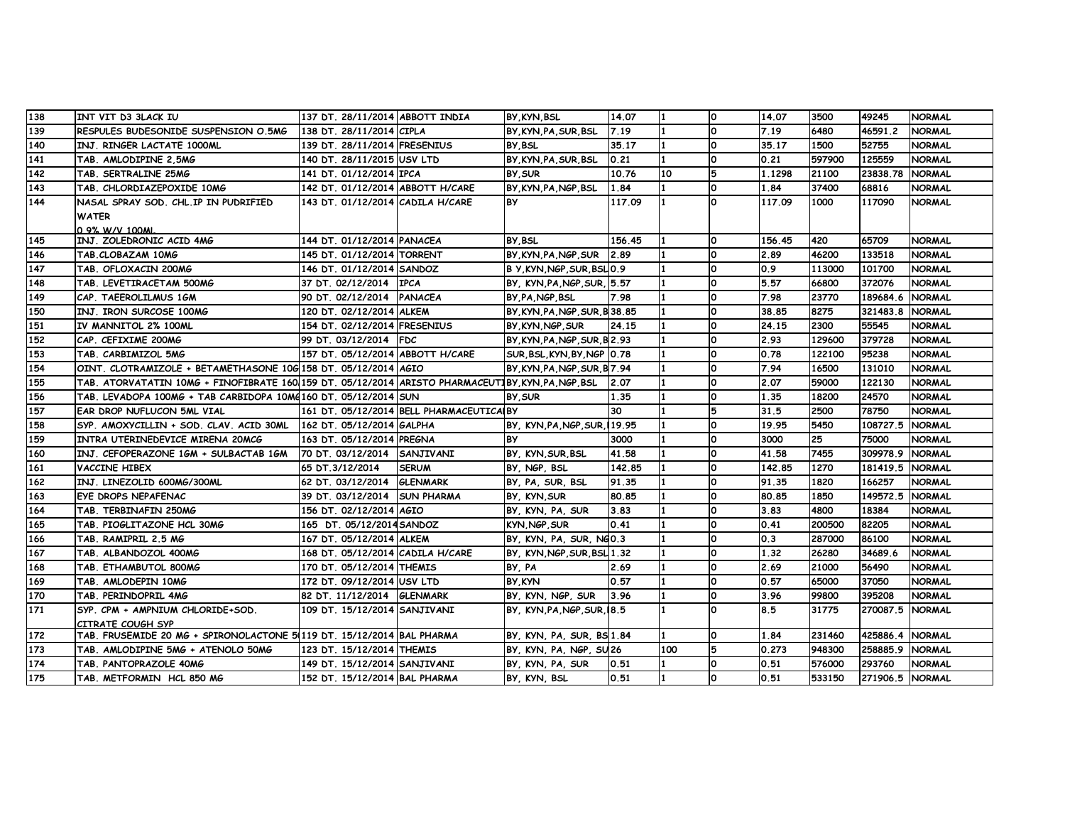| 138               | INT VIT D3 3LACK IU                                                                                | 137 DT. 28/11/2014 ABBOTT INDIA  |                                          | BY KYN BSL                    | 14.07  |     | O        | 14.07  | 3500   | 49245           | <b>NORMAL</b> |
|-------------------|----------------------------------------------------------------------------------------------------|----------------------------------|------------------------------------------|-------------------------------|--------|-----|----------|--------|--------|-----------------|---------------|
| 139               | RESPULES BUDESONIDE SUSPENSION O.5MG                                                               | 138 DT. 28/11/2014 CIPLA         |                                          | BY.KYN.PA.SUR.BSL             | 7.19   |     | $\Omega$ | 7.19   | 6480   | 46591.2         | <b>NORMAL</b> |
| 140               | INJ. RINGER LACTATE 1000ML                                                                         | 139 DT. 28/11/2014 FRESENIUS     |                                          | BY, BSL                       | 35.17  |     | <b>O</b> | 35.17  | 1500   | 52755           | <b>NORMAL</b> |
| 141               | TAB. AMLODIPINE 2,5MG                                                                              | 140 DT. 28/11/2015 USV LTD       |                                          | BY KYN PA SUR BSL             | 0.21   |     | 0        | 0.21   | 597900 | 125559          | <b>NORMAL</b> |
| 142               | TAB. SERTRALINE 25MG                                                                               | 141 DT. 01/12/2014 IPCA          |                                          | BY, SUR                       | 10.76  | 10  | 5        | 1.1298 | 21100  | 23838.78        | NORMAL        |
| 143               | TAB. CHLORDIAZEPOXIDE 10MG                                                                         | 142 DT. 01/12/2014 ABBOTT H/CARE |                                          | BY KYN PA NGP BSL             | 1.84   |     | O        | 1.84   | 37400  | 68816           | NORMAL        |
| $\overline{1}$ 44 | NASAL SPRAY SOD. CHL.IP IN PUDRIFIED                                                               | 143 DT. 01/12/2014 CADILA H/CARE |                                          | <b>BY</b>                     | 117.09 |     | O        | 117.09 | 1000   | 117090          | NORMAL        |
|                   | <b>WATER</b>                                                                                       |                                  |                                          |                               |        |     |          |        |        |                 |               |
|                   | 0.9% W/V 100ML                                                                                     |                                  |                                          |                               |        |     |          |        |        |                 |               |
| 145               | INJ. ZOLEDRONIC ACID 4MG                                                                           | 144 DT. 01/12/2014 PANACEA       |                                          | BY BSL                        | 156.45 |     | O        | 156.45 | 420    | 65709           | <b>NORMAL</b> |
| 146               | TAB.CLOBAZAM 10MG                                                                                  | 145 DT. 01/12/2014 TORRENT       |                                          | BY, KYN, PA, NGP, SUR         | 12.89  |     | 0        | 2.89   | 46200  | 133518          | <b>NORMAL</b> |
| 147               | TAB. OFLOXACIN 200MG                                                                               | 146 DT. 01/12/2014 SANDOZ        |                                          | B Y, KYN, NGP, SUR, BSLO.9    |        |     | <b>O</b> | 0.9    | 113000 | 101700          | <b>NORMAL</b> |
| 148               | TAB. LEVETIRACETAM 500MG                                                                           | 37 DT. 02/12/2014 IPCA           |                                          | BY, KYN, PA, NGP, SUR, 15.57  |        |     | 0        | 5.57   | 66800  | 372076          | <b>NORMAL</b> |
| 149               | CAP. TAEEROLILMUS 1GM                                                                              | 90 DT. 02/12/2014 PANACEA        |                                          | BY, PA, NGP, BSL              | 7.98   |     | 0        | 7.98   | 23770  | 189684.6        | <b>NORMAL</b> |
| 150               | INJ. IRON SURCOSE 100MG                                                                            | 120 DT. 02/12/2014 ALKEM         |                                          | BY, KYN, PA, NGP, SUR, B38.85 |        |     | O        | 38.85  | 8275   | 321483.8        | <b>NORMAL</b> |
| 151               | IV MANNITOL 2% 100ML                                                                               | 154 DT. 02/12/2014 FRESENIUS     |                                          | BY, KYN, NGP, SUR             | 24.15  |     | O        | 24.15  | 2300   | 55545           | NORMAL        |
| 152               | CAP. CEFIXIME 200MG                                                                                | 99 DT. 03/12/2014 FDC            |                                          | BY, KYN, PA, NGP, SUR, B 2.93 |        |     | 0        | 2.93   | 129600 | 379728          | <b>NORMAL</b> |
| 153               | TAB. CARBIMIZOL 5MG                                                                                | 157 DT. 05/12/2014 ABBOTT H/CARE |                                          | SUR, BSL, KYN, BY, NGP 0.78   |        |     | n.       | 0.78   | 122100 | 95238           | <b>NORMAL</b> |
| 154               | OINT. CLOTRAMIZOLE + BETAMETHASONE 10G 158 DT. 05/12/2014 AGIO                                     |                                  |                                          | BY, KYN, PA, NGP, SUR, B 7.94 |        |     | 0        | 7.94   | 16500  | 131010          | <b>NORMAL</b> |
| 155               | TAB. ATORVATATIN 10MG + FINOFIBRATE 160 159 DT. 05/12/2014 ARISTO PHARMACEUTIBY, KYN, PA, NGP, BSL |                                  |                                          |                               | 2.07   |     | 0        | 2.07   | 59000  | 122130          | <b>NORMAL</b> |
| 156               | TAB. LEVADOPA 100MG + TAB CARBIDOPA 10MG160 DT. 05/12/2014 SUN                                     |                                  |                                          | BY SUR                        | 1.35   |     | O        | 1.35   | 18200  | 24570           | <b>NORMAL</b> |
| 157               | EAR DROP NUFLUCON 5ML VIAL                                                                         |                                  | 161 DT. 05/12/2014 BELL PHARMACEUTICALBY |                               | 30     |     | 5        | 31.5   | 2500   | 78750           | NORMAL        |
| 158               | SYP. AMOXYCILLIN + SOD. CLAV. ACID 30ML  162 DT. 05/12/2014 GALPHA                                 |                                  |                                          | BY, KYN, PA, NGP, SUR, 119.95 |        |     | O        | 19.95  | 5450   | 108727.5        | <b>NORMAL</b> |
| 159               | INTRA UTERINEDEVICE MIRENA 20MCG                                                                   | 163 DT. 05/12/2014 PREGNA        |                                          | <b>BY</b>                     | 3000   |     | <b>O</b> | 3000   | 25     | 75000           | <b>NORMAL</b> |
| 160               | INJ. CEFOPERAZONE 1GM + SULBACTAB 1GM                                                              | 70 DT. 03/12/2014 SANJIVANI      |                                          | BY, KYN, SUR, BSL             | 41.58  |     | <b>O</b> | 41.58  | 7455   | 309978.9        | <b>NORMAL</b> |
| 161               | VACCINE HIBEX                                                                                      | 65 DT.3/12/2014                  | <b>SERUM</b>                             | BY, NGP, BSL                  | 142.85 |     | 0        | 142.85 | 1270   | 181419.5        | <b>NORMAL</b> |
| 162               | INJ. LINEZOLID 600MG/300ML                                                                         | 62 DT. 03/12/2014 GLENMARK       |                                          | BY, PA, SUR, BSL              | 91.35  |     | 0        | 91.35  | 1820   | 166257          | <b>NORMAL</b> |
| 163               | EYE DROPS NEPAFENAC                                                                                | 39 DT. 03/12/2014 SUN PHARMA     |                                          | BY, KYN, SUR                  | 80.85  |     | <b>O</b> | 80.85  | 1850   | 149572.5        | <b>NORMAL</b> |
| 164               | TAB. TERBINAFIN 250MG                                                                              | 156 DT. 02/12/2014 AGIO          |                                          | BY, KYN, PA, SUR              | 3.83   |     | 0        | 3.83   | 4800   | 18384           | NORMAL        |
| 165               | TAB. PIOGLITAZONE HCL 30MG                                                                         | 165 DT. 05/12/2014 SANDOZ        |                                          | KYN, NGP, SUR                 | 0.41   |     | 0        | 0.41   | 200500 | 82205           | <b>NORMAL</b> |
| 166               | TAB. RAMIPRIL 2.5 MG                                                                               | 167 DT. 05/12/2014 ALKEM         |                                          | BY, KYN, PA, SUR, NGO.3       |        |     | <b>O</b> | 0.3    | 287000 | 86100           | <b>NORMAL</b> |
| 167               | TAB. ALBANDOZOL 400MG                                                                              | 168 DT. 05/12/2014 CADILA H/CARE |                                          | BY, KYN, NGP, SUR, BSL 1.32   |        |     | 0        | 1.32   | 26280  | 34689.6         | <b>NORMAL</b> |
| 168               | TAB. ETHAMBUTOL 800MG                                                                              | 170 DT. 05/12/2014 THEMIS        |                                          | BY, PA                        | 2.69   |     | 0        | 2.69   | 21000  | 56490           | <b>NORMAL</b> |
| 169               | TAB. AMLODEPIN 10MG                                                                                | 172 DT. 09/12/2014 USV LTD       |                                          | BY KYN                        | 0.57   |     | O        | 0.57   | 65000  | 37050           | <b>NORMAL</b> |
| 170               | TAB. PERINDOPRIL 4MG                                                                               | 82 DT. 11/12/2014 GLENMARK       |                                          | BY, KYN, NGP, SUR             | 13.96  |     | <b>O</b> | 3.96   | 99800  | 395208          | NORMAL        |
| 171               | SYP. CPM + AMPNIUM CHLORIDE+SOD.                                                                   | 109 DT. 15/12/2014 SANJIVANI     |                                          | BY, KYN, PA, NGP, SUR, 18.5   |        |     | <b>O</b> | 8.5    | 31775  | 270087.5        | <b>NORMAL</b> |
|                   | CITRATE COUGH SYP                                                                                  |                                  |                                          |                               |        |     |          |        |        |                 |               |
| 172               | TAB. FRUSEMIDE 20 MG + SPIRONOLACTONE 5(119 DT. 15/12/2014 BAL PHARMA                              |                                  |                                          | BY, KYN, PA, SUR, BS 1.84     |        |     | O        | 1.84   | 231460 | 425886.4        | NORMAL        |
| 173               | TAB. AMLODIPINE 5MG + ATENOLO 50MG                                                                 | 123 DT. 15/12/2014 THEMIS        |                                          | BY, KYN, PA, NGP, SU26        |        | 100 | 5        | 0.273  | 948300 | 258885.9        | <b>NORMAL</b> |
| 174               | TAB. PANTOPRAZOLE 40MG                                                                             | 149 DT. 15/12/2014 SANJIVANI     |                                          | BY, KYN, PA, SUR              | 0.51   |     | 0        | 0.51   | 576000 | 293760          | <b>NORMAL</b> |
| 175               | TAB. METFORMIN HCL 850 MG                                                                          | 152 DT. 15/12/2014 BAL PHARMA    |                                          | BY, KYN, BSL                  | 0.51   |     | O        | 0.51   | 533150 | 271906.5 NORMAL |               |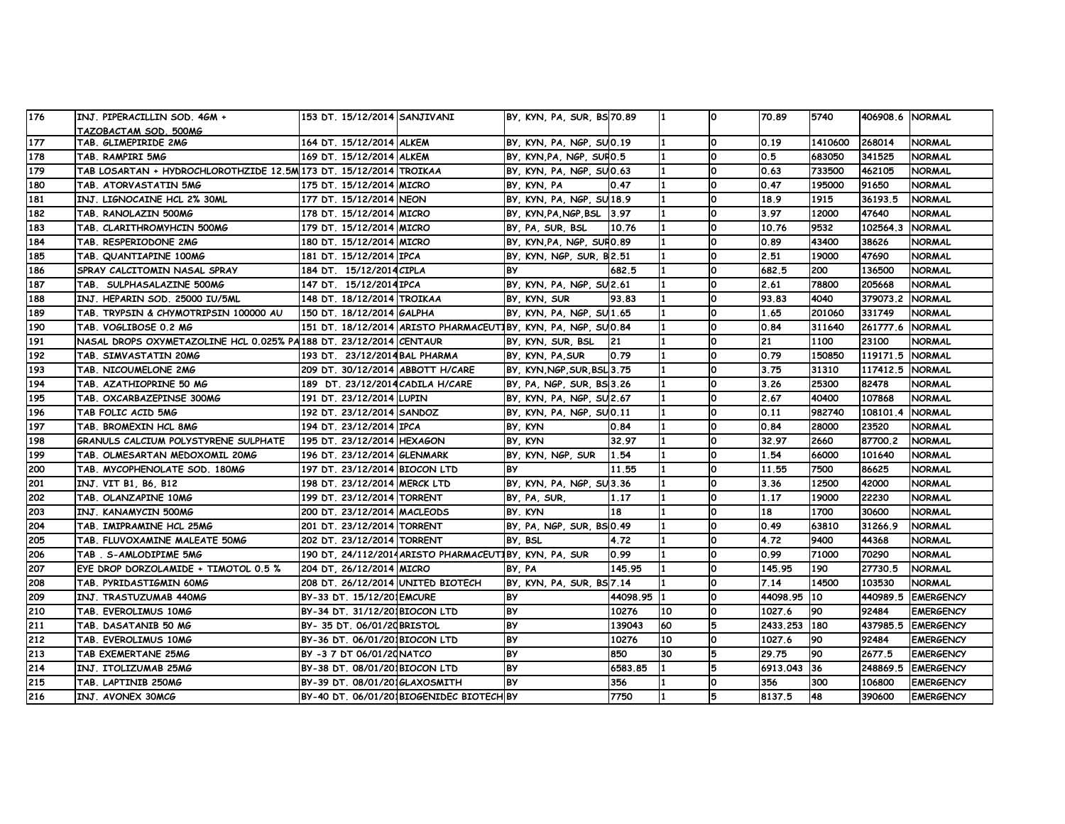| 176 | INJ. PIPERACILLIN SOD. 4GM +                                        | 153 DT. 15/12/2014 SANJIVANI      |                                                               | BY, KYN, PA, SUR, BS 70.89  |            |    | ١o       | 70.89        | 5740    | 406908.6 NORMAL |                  |
|-----|---------------------------------------------------------------------|-----------------------------------|---------------------------------------------------------------|-----------------------------|------------|----|----------|--------------|---------|-----------------|------------------|
|     | TAZOBACTAM SOD. 500MG                                               |                                   |                                                               |                             |            |    |          |              |         |                 |                  |
| 177 | TAB. GLIMEPIRIDE 2MG                                                | 164 DT. 15/12/2014 ALKEM          |                                                               | BY, KYN, PA, NGP, SUO.19    |            |    | 0        | 0.19         | 1410600 | 268014          | <b>NORMAL</b>    |
| 178 | TAB. RAMPIRI 5MG                                                    | 169 DT. 15/12/2014 ALKEM          |                                                               | BY, KYN, PA, NGP, SUFIO.5   |            |    | 0        | 0.5          | 683050  | 341525          | <b>NORMAL</b>    |
| 179 | TAB LOSARTAN + HYDROCHLOROTHZIDE 12.5M 173 DT. 15/12/2014   TROIKAA |                                   |                                                               | BY, KYN, PA, NGP, SUO.63    |            |    | 0        | 0.63         | 733500  | 462105          | <b>NORMAL</b>    |
| 180 | TAB. ATORVASTATIN 5MG                                               | 175 DT. 15/12/2014 MICRO          |                                                               | BY, KYN, PA                 | 0.47       |    | 0        | 0.47         | 195000  | 91650           | <b>NORMAL</b>    |
| 181 | INJ. LIGNOCAINE HCL 2% 30ML                                         | 177 DT. 15/12/2014 NEON           |                                                               | BY, KYN, PA, NGP, SU18.9    |            |    | 0        | 18.9         | 1915    | 36193.5         | <b>NORMAL</b>    |
| 182 | TAB. RANOLAZIN 500MG                                                | 178 DT. 15/12/2014 MICRO          |                                                               | BY, KYN, PA, NGP, BSL 3.97  |            |    | 0        | 3.97         | 12000   | 47640           | <b>NORMAL</b>    |
| 183 | TAB. CLARITHROMYHCIN 500MG                                          | 179 DT. 15/12/2014 MICRO          |                                                               | BY, PA, SUR, BSL            | 10.76      |    | $\Omega$ | 10.76        | 9532    | 102564.3        | <b>NORMAL</b>    |
| 184 | TAB. RESPERIODONE 2MG                                               | 180 DT. 15/12/2014 MICRO          |                                                               | BY, KYN, PA, NGP, SUFO.89   |            |    | 0        | 0.89         | 43400   | 38626           | <b>NORMAL</b>    |
| 185 | TAB. QUANTIAPINE 100MG                                              | 181 DT. 15/12/2014 IPCA           |                                                               | BY, KYN, NGP, SUR, B2.51    |            |    | 0        | 2.51         | 19000   | 47690           | <b>NORMAL</b>    |
| 186 | SPRAY CALCITOMIN NASAL SPRAY                                        | 184 DT. 15/12/2014 CIPLA          |                                                               | <b>BY</b>                   | 682.5      |    | 0        | 682.5        | 200     | 136500          | <b>NORMAL</b>    |
| 187 | TAB. SULPHASALAZINE 500MG                                           | 147 DT. 15/12/2014 IPCA           |                                                               | BY, KYN, PA, NGP, SU2.61    |            |    | 0        | 2.61         | 78800   | 205668          | <b>NORMAL</b>    |
| 188 | INJ. HEPARIN SOD. 25000 IU/5ML                                      | 148 DT. 18/12/2014 TROIKAA        |                                                               | BY, KYN, SUR                | 93.83      |    | 0        | 93.83        | 4040    | 379073.2        | <b>NORMAL</b>    |
| 189 | TAB. TRYPSIN & CHYMOTRIPSIN 100000 AU                               | 150 DT. 18/12/2014 GALPHA         |                                                               | BY, KYN, PA, NGP, SU1.65    |            |    | 0        | 1.65         | 201060  | 331749          | <b>NORMAL</b>    |
| 190 | TAB. VOGLIBOSE 0.2 MG                                               |                                   | 151 DT. 18/12/2014 ARISTO PHARMACEUTIBY, KYN, PA, NGP, SUO.84 |                             |            |    | 0        | 0.84         | 311640  | 261777.6        | <b>NORMAL</b>    |
| 191 | NASAL DROPS OXYMETAZOLINE HCL 0.025% PA188 DT. 23/12/2014 CENTAUR   |                                   |                                                               | BY, KYN, SUR, BSL           | <b>21</b>  |    | 0        | 21           | 1100    | 23100           | <b>NORMAL</b>    |
| 192 | TAB. SIMVASTATIN 20MG                                               | 193 DT. 23/12/2014 BAL PHARMA     |                                                               | BY, KYN, PA, SUR            | 0.79       |    | $\Omega$ | 0.79         | 150850  | 119171.5        | <b>NORMAL</b>    |
| 193 | TAB. NICOUMELONE 2MG                                                | 209 DT. 30/12/2014 ABBOTT H/CARE  |                                                               | BY, KYN, NGP, SUR, BSL 3.75 |            |    | 0        | 3.75         | 31310   | 117412.5        | <b>NORMAL</b>    |
| 194 | TAB. AZATHIOPRINE 50 MG                                             | 189 DT. 23/12/2014 CADILA H/CARE  |                                                               | BY, PA, NGP, SUR, BS 3.26   |            |    | 0        | 3.26         | 25300   | 82478           | <b>NORMAL</b>    |
| 195 | TAB. OXCARBAZEPINSE 300MG                                           | 191 DT. 23/12/2014 LUPIN          |                                                               | BY, KYN, PA, NGP, SU2.67    |            |    | 0        | 2.67         | 40400   | 107868          | <b>NORMAL</b>    |
| 196 | TAB FOLIC ACID 5MG                                                  | 192 DT. 23/12/2014 SANDOZ         |                                                               | BY, KYN, PA, NGP, SUO.11    |            |    | 0        | 0.11         | 982740  | 108101.4        | <b>NORMAL</b>    |
| 197 | TAB. BROMEXIN HCL 8MG                                               | 194 DT. 23/12/2014 IPCA           |                                                               | BY, KYN                     | 0.84       |    | 0        | 0.84         | 28000   | 23520           | <b>NORMAL</b>    |
| 198 | GRANULS CALCIUM POLYSTYRENE SULPHATE                                | 195 DT. 23/12/2014 HEXAGON        |                                                               | BY, KYN                     | 32.97      |    | 0        | 32.97        | 2660    | 87700.2         | <b>NORMAL</b>    |
| 199 | TAB. OLMESARTAN MEDOXOMIL 20MG                                      | 196 DT. 23/12/2014 GLENMARK       |                                                               | BY, KYN, NGP, SUR           | 1.54       |    | 0        | 1.54         | 66000   | 101640          | <b>NORMAL</b>    |
| 200 | TAB. MYCOPHENOLATE SOD. 180MG                                       | 197 DT. 23/12/2014 BIOCON LTD     |                                                               | <b>BY</b>                   | 11.55      |    | 0        | 11.55        | 7500    | 86625           | <b>NORMAL</b>    |
| 201 | INJ. VIT B1, B6, B12                                                | 198 DT. 23/12/2014 MERCK LTD      |                                                               | BY, KYN, PA, NGP, SU3.36    |            |    | 0        | 3.36         | 12500   | 42000           | <b>NORMAL</b>    |
| 202 | TAB. OLANZAPINE 10MG                                                | 199 DT. 23/12/2014 TORRENT        |                                                               | BY, PA, SUR,                | 1.17       |    | O        | 1.17         | 19000   | 22230           | <b>NORMAL</b>    |
| 203 | INJ. KANAMYCIN 500MG                                                | 200 DT. 23/12/2014 MACLEODS       |                                                               | BY. KYN                     | 18         |    | 0        | 18           | 1700    | 30600           | <b>NORMAL</b>    |
| 204 | TAB. IMIPRAMINE HCL 25MG                                            | 201 DT. 23/12/2014 TORRENT        |                                                               | BY, PA, NGP, SUR, BS 0.49   |            |    | 0        | 0.49         | 63810   | 31266.9         | <b>NORMAL</b>    |
| 205 | TAB. FLUVOXAMINE MALEATE 50MG                                       | 202 DT. 23/12/2014 TORRENT        |                                                               | BY BSL                      | 4.72       |    | 0        | 4.72         | 9400    | 44368           | <b>NORMAL</b>    |
| 206 | TAB . S-AMLODIPIME 5MG                                              |                                   | 190 DT, 24/112/2014 ARISTO PHARMACEUTIBY, KYN, PA, SUR        |                             | 0.99       |    | 0        | 0.99         | 71000   | 70290           | <b>NORMAL</b>    |
| 207 | EYE DROP DORZOLAMIDE + TIMOTOL 0.5 %                                | 204 DT, 26/12/2014 MICRO          |                                                               | BY, PA                      | 145.95     |    | $\Omega$ | 145.95       | 190     | 27730.5         | <b>NORMAL</b>    |
| 208 | TAB. PYRIDASTIGMIN 60MG                                             | 208 DT. 26/12/2014 UNITED BIOTECH |                                                               | BY, KYN, PA, SUR, BS 7.14   |            |    | 0        | 7.14         | 14500   | 103530          | <b>NORMAL</b>    |
| 209 | INJ. TRASTUZUMAB 440MG                                              | BY-33 DT. 15/12/201EMCURE         |                                                               | <b>BY</b>                   | 44098.95 1 |    | 0        | 44098.95 10  |         | 440989.5        | <b>EMERGENCY</b> |
| 210 | TAB. EVEROLIMUS 10MG                                                | BY-34 DT. 31/12/201BIOCON LTD     |                                                               | <b>BY</b>                   | 10276      | 10 | 0        | 1027.6       | 90      | 92484           | <b>EMERGENCY</b> |
| 211 | TAB. DASATANIB 50 MG                                                | BY- 35 DT. 06/01/20 BRISTOL       |                                                               | <b>BY</b>                   | 139043     | 60 |          | 2433.253 180 |         | 437985.5        | <b>EMERGENCY</b> |
| 212 | TAB. EVEROLIMUS 10MG                                                | BY-36 DT. 06/01/201BIOCON LTD     |                                                               | <b>BY</b>                   | 10276      | 10 | 0        | 1027.6       | 90      | 92484           | <b>EMERGENCY</b> |
| 213 | TAB EXEMERTANE 25MG                                                 | BY -3 7 DT 06/01/20 NATCO         |                                                               | <b>BY</b>                   | 850        | 30 | 5        | 29.75        | 90      | 2677.5          | <b>EMERGENCY</b> |
| 214 | INJ. ITOLIZUMAB 25MG                                                | BY-38 DT. 08/01/201BIOCON LTD     |                                                               | <b>BY</b>                   | 6583.85    | 11 | 5        | 6913.043 36  |         | 248869.5        | <b>EMERGENCY</b> |
| 215 | TAB. LAPTINIB 250MG                                                 | BY-39 DT. 08/01/2016LAXOSMITH     |                                                               | <b>BY</b>                   | 356        |    | $\Omega$ | 356          | 300     | 106800          | <b>EMERGENCY</b> |
| 216 | INJ. AVONEX 30MCG                                                   |                                   | BY-40 DT. 06/01/201BIOGENIDEC BIOTECH BY                      |                             | 7750       |    | 5        | 8137.5       | 48      | 390600          | <b>EMERGENCY</b> |
|     |                                                                     |                                   |                                                               |                             |            |    |          |              |         |                 |                  |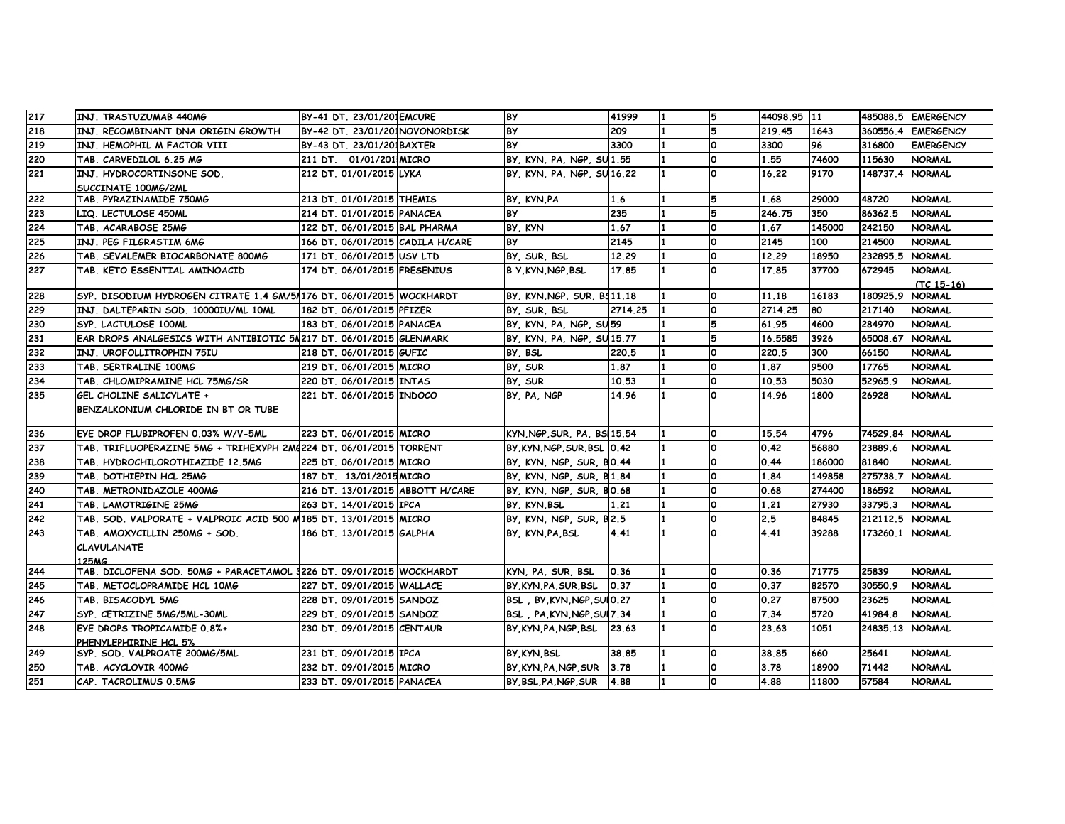| 217 | INJ. TRASTUZUMAB 440MG                                               | BY-41 DT. 23/01/201EMCURE        | <b>BY</b>                   | 41999   | 5        | 44098.95 11 |        |                 | 485088.5 EMERGENCY            |
|-----|----------------------------------------------------------------------|----------------------------------|-----------------------------|---------|----------|-------------|--------|-----------------|-------------------------------|
| 218 | INJ. RECOMBINANT DNA ORIGIN GROWTH                                   | BY-42 DT. 23/01/201NOVONORDISK   | <b>BY</b>                   | 209     | 5        | 219.45      | 1643   | 360556.4        | <b>EMERGENCY</b>              |
| 219 | INJ. HEMOPHIL M FACTOR VIII                                          | BY-43 DT. 23/01/201BAXTER        | <b>BY</b>                   | 3300    | O        | 3300        | 96     | 316800          | <b>EMERGENCY</b>              |
| 220 | TAB. CARVEDILOL 6.25 MG                                              | 211 DT. 01/01/201 MICRO          | BY, KYN, PA, NGP, SU1.55    |         | O        | 1.55        | 74600  | 115630          | <b>NORMAL</b>                 |
| 221 | INJ. HYDROCORTINSONE SOD.                                            | 212 DT. 01/01/2015 LYKA          | BY, KYN, PA, NGP, SU16.22   |         | ١o       | 16.22       | 9170   | 148737.4        | <b>NORMAL</b>                 |
|     | SUCCINATE 100MG/2ML                                                  |                                  |                             |         |          |             |        |                 |                               |
| 222 | TAB. PYRAZINAMIDE 750MG                                              | 213 DT. 01/01/2015 THEMIS        | BY KYN PA                   | 1.6     | 5        | 1.68        | 29000  | 48720           | <b>NORMAL</b>                 |
| 223 | LIQ. LECTULOSE 450ML                                                 | 214 DT. 01/01/2015 PANACEA       | <b>BY</b>                   | 235     | 5        | 246.75      | 350    | 86362.5         | <b>NORMAL</b>                 |
| 224 | TAB. ACARABOSE 25MG                                                  | 122 DT. 06/01/2015 BAL PHARMA    | BY, KYN                     | 1.67    | ١o       | 1.67        | 145000 | 242150          | <b>NORMAL</b>                 |
| 225 | INJ. PEG FILGRASTIM 6MG                                              | 166 DT. 06/01/2015 CADILA H/CARE | <b>BY</b>                   | 2145    | O        | 2145        | 100    | 214500          | <b>NORMAL</b>                 |
| 226 | TAB. SEVALEMER BIOCARBONATE 800MG                                    | 171 DT. 06/01/2015 USV LTD       | BY, SUR, BSL                | 12.29   | ١o       | 12.29       | 18950  | 232895.5        | <b>NORMAL</b>                 |
| 227 | TAB. KETO ESSENTIAL AMINOACID                                        | 174 DT. 06/01/2015 FRESENIUS     | <b>B Y.KYN.NGP.BSL</b>      | 17.85   | $\Omega$ | 17.85       | 37700  | 672945          | <b>NORMAL</b><br>$(TC 15-16)$ |
| 228 | SYP. DISODIUM HYDROGEN CITRATE 1.4 GM/51176 DT. 06/01/2015 WOCKHARDT |                                  | BY, KYN NGP, SUR, BS11.18   |         | $\Omega$ | 11.18       | 16183  | 180925.9        | <b>NORMAL</b>                 |
| 229 | INJ. DALTEPARIN SOD. 10000IU/ML 10ML                                 | 182 DT. 06/01/2015 PFIZER        | BY, SUR, BSL                | 2714.25 | $\Omega$ | 2714.25     | 80     | 217140          | <b>NORMAL</b>                 |
| 230 | SYP. LACTULOSE 100ML                                                 | 183 DT. 06/01/2015 PANACEA       | BY, KYN, PA, NGP, SU59      |         | 5        | 61.95       | 4600   | 284970          | <b>NORMAL</b>                 |
| 231 | EAR DROPS ANALGESICS WITH ANTIBIOTIC 5N217 DT. 06/01/2015 GLENMARK   |                                  | BY, KYN, PA, NGP, SU15.77   |         | 5        | 16.5585     | 3926   | 65008.67        | <b>NORMAL</b>                 |
| 232 | INJ. UROFOLLITROPHIN 75IU                                            | 218 DT. 06/01/2015 GUFIC         | BY, BSL                     | 220.5   | O        | 220.5       | 300    | 66150           | <b>NORMAL</b>                 |
| 233 | TAB. SERTRALINE 100MG                                                | 219 DT. 06/01/2015 MICRO         | BY, SUR                     | 1.87    | ١o       | 1.87        | 9500   | 17765           | <b>NORMAL</b>                 |
| 234 | TAB. CHLOMIPRAMINE HCL 75MG/SR                                       | 220 DT. 06/01/2015 INTAS         | BY, SUR                     | 10.53   | O        | 10.53       | 5030   | 52965.9         | <b>NORMAL</b>                 |
| 235 | GEL CHOLINE SALICYLATE +                                             | 221 DT. 06/01/2015 INDOCO        | BY, PA, NGP                 | 14.96   | $\Omega$ | 14.96       | 1800   | 26928           | <b>NORMAL</b>                 |
|     | BENZALKONIUM CHLORIDE IN BT OR TUBE                                  |                                  |                             |         |          |             |        |                 |                               |
| 236 | EYE DROP FLUBIPROFEN 0.03% W/V-5ML                                   | 223 DT. 06/01/2015 MICRO         | KYN NGP SUR PA BS 15.54     |         | $\Omega$ | 15.54       | 4796   | 74529.84 NORMAL |                               |
| 237 | TAB. TRIFLUOPERAZINE 5MG + TRIHEXYPH 2M4224 DT. 06/01/2015 TORRENT   |                                  | BY KYN NGP SUR BSL 0.42     |         | O        | 0.42        | 56880  | 23889.6         | <b>NORMAL</b>                 |
| 238 | TAB. HYDROCHILOROTHIAZIDE 12.5MG                                     | 225 DT. 06/01/2015 MICRO         | BY, KYN, NGP, SUR, BO.44    |         | O        | 0.44        | 186000 | 81840           | <b>NORMAL</b>                 |
| 239 | TAB. DOTHIEPIN HCL 25MG                                              | 187 DT. 13/01/2015 MICRO         | BY, KYN, NGP, SUR, B1.84    |         | O        | 1.84        | 149858 | 275738.7        | <b>NORMAL</b>                 |
| 240 | TAB. METRONIDAZOLE 400MG                                             | 216 DT. 13/01/2015 ABBOTT H/CARE | BY, KYN, NGP, SUR, BO.68    |         | O        | 0.68        | 274400 | 186592          | <b>NORMAL</b>                 |
| 241 | TAB. LAMOTRIGINE 25MG                                                | 263 DT. 14/01/2015 IPCA          | BY, KYN, BSL                | 1.21    | O        | 1.21        | 27930  | 33795.3         | <b>NORMAL</b>                 |
| 242 | TAB. SOD. VALPORATE + VALPROIC ACID 500 M185 DT. 13/01/2015 MICRO    |                                  | BY, KYN, NGP, SUR, B2.5     |         | ١o       | 2.5         | 84845  | 212112.5        | <b>NORMAL</b>                 |
| 243 | TAB. AMOXYCILLIN 250MG + SOD.                                        | 186 DT. 13/01/2015 GALPHA        | BY, KYN, PA, BSL            | 4.41    | O        | 4.41        | 39288  | 173260.1        | <b>NORMAL</b>                 |
|     | <b>CLAVULANATE</b>                                                   |                                  |                             |         |          |             |        |                 |                               |
|     | 125MG                                                                |                                  |                             |         |          |             |        |                 |                               |
| 244 | TAB. DICLOFENA SOD. 50MG + PARACETAMOL 3226 DT. 09/01/2015 WOCKHARDT |                                  | KYN, PA, SUR, BSL           | 0.36    | ١o       | 0.36        | 71775  | 25839           | <b>NORMAL</b>                 |
| 245 | TAB. METOCLOPRAMIDE HCL 10MG                                         | 227 DT. 09/01/2015 WALLACE       | BY.KYN.PA.SUR.BSL           | 0.37    | O        | 0.37        | 82570  | 30550.9         | <b>NORMAL</b>                 |
| 246 | TAB. BISACODYL 5MG                                                   | 228 DT. 09/01/2015 SANDOZ        | BSL BY KYN NGP SUIO 27      |         | ١o       | 0.27        | 87500  | 23625           | <b>NORMAL</b>                 |
| 247 | SYP. CETRIZINE 5MG/5ML-30ML                                          | 229 DT. 09/01/2015 SANDOZ        | BSL, PA, KYN, NGP, SUI 7.34 |         | ١o       | 7.34        | 5720   | 41984.8         | <b>NORMAL</b>                 |
| 248 | EYE DROPS TROPICAMIDE 0.8%+                                          | 230 DT. 09/01/2015 CENTAUR       | BY.KYN.PA.NGP.BSL           | 23.63   | O        | 23.63       | 1051   | 24835.13        | <b>NORMAL</b>                 |
|     | PHENYLEPHIRINE HCL 5%                                                |                                  |                             |         |          |             |        |                 |                               |
| 249 | SYP. SOD. VALPROATE 200MG/5ML                                        | 231 DT. 09/01/2015 IPCA          | BY KYN BSL                  | 38.85   | ١o       | 38.85       | 660    | 25641           | <b>NORMAL</b>                 |
| 250 | TAB. ACYCLOVIR 400MG                                                 | 232 DT. 09/01/2015 MICRO         | BY KYN PA NGP SUR           | 3.78    | O        | 3.78        | 18900  | 71442           | <b>NORMAL</b>                 |
| 251 | CAP. TACROLIMUS 0.5MG                                                | 233 DT. 09/01/2015 PANACEA       | BY, BSL, PA, NGP, SUR       | 4.88    | O        | 4.88        | 11800  | 57584           | <b>NORMAL</b>                 |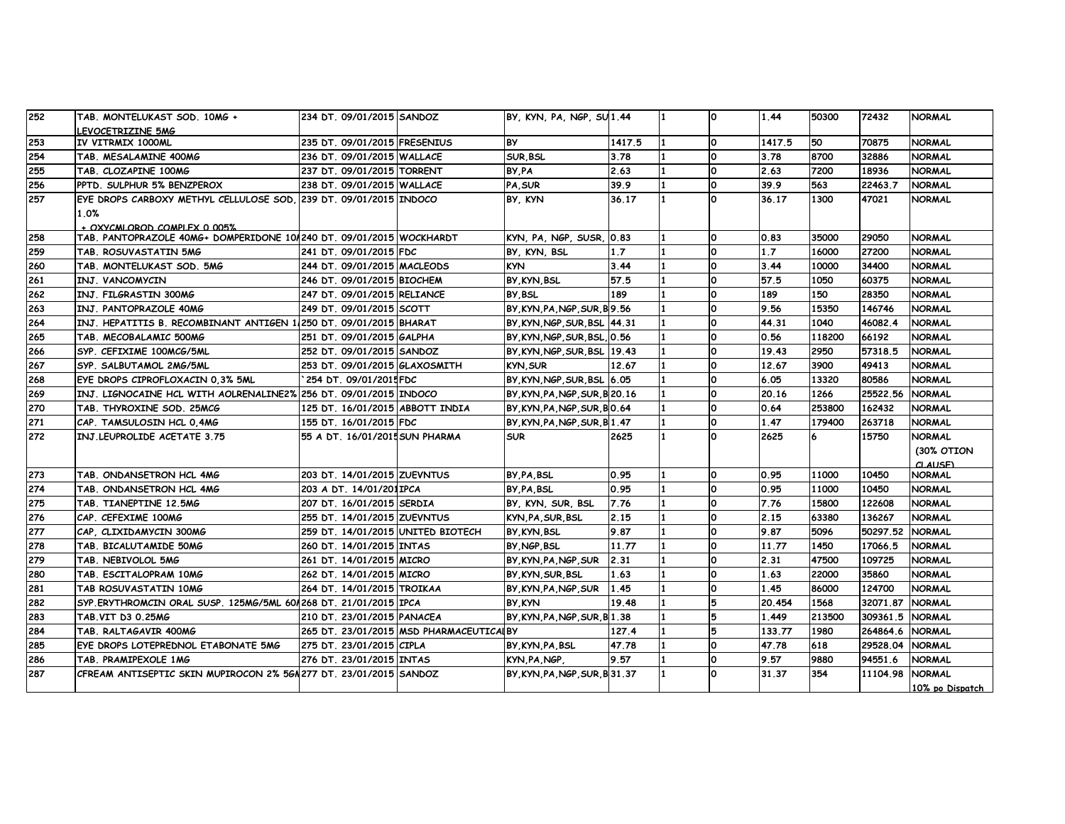| 252 | TAB. MONTELUKAST SOD. 10MG +                                        | 234 DT. 09/01/2015 SANDOZ         |                                         | BY, KYN, PA, NGP, SU1.44       |        | n            | 1.44   | 50300  | 72432    | <b>NORMAL</b>   |
|-----|---------------------------------------------------------------------|-----------------------------------|-----------------------------------------|--------------------------------|--------|--------------|--------|--------|----------|-----------------|
|     | LEVOCETRIZINE 5MG                                                   |                                   |                                         |                                |        |              |        |        |          |                 |
| 253 | IV VITRMIX 1000ML                                                   | 235 DT. 09/01/2015 FRESENIUS      |                                         | <b>BY</b>                      | 1417.5 | l0.          | 1417.5 | 50     | 70875    | <b>NORMAL</b>   |
| 254 | TAB. MESALAMINE 400MG                                               | 236 DT. 09/01/2015 WALLACE        |                                         | <b>SUR, BSL</b>                | 3.78   | O            | 3.78   | 8700   | 32886    | <b>NORMAL</b>   |
| 255 | TAB. CLOZAPINE 100MG                                                | 237 DT. 09/01/2015 TORRENT        |                                         | BY PA                          | 2.63   | l0.          | 2.63   | 7200   | 18936    | <b>NORMAL</b>   |
| 256 | PPTD. SULPHUR 5% BENZPEROX                                          | 238 DT. 09/01/2015 WALLACE        |                                         | PA, SUR                        | 39.9   | 0            | 39.9   | 563    | 22463.7  | NORMAL          |
| 257 | EYE DROPS CARBOXY METHYL CELLULOSE SOD, 239 DT. 09/01/2015 INDOCO   |                                   |                                         | BY, KYN                        | 36.17  | n.           | 36.17  | 1300   | 47021    | NORMAL          |
|     | 1.0%                                                                |                                   |                                         |                                |        |              |        |        |          |                 |
|     | + OXYCMI OROD COMPLEX 0.005%                                        |                                   |                                         |                                |        |              |        |        |          |                 |
| 258 | TAB. PANTOPRAZOLE 40MG+ DOMPERIDONE 101240 DT. 09/01/2015 WOCKHARDT |                                   |                                         | KYN, PA, NGP, SUSR, 0.83       |        | O            | 0.83   | 35000  | 29050    | <b>NORMAL</b>   |
| 259 | TAB. ROSUVASTATIN 5MG                                               | 241 DT. 09/01/2015 FDC            |                                         | BY, KYN, BSL                   | 1.7    | O            | 1.7    | 16000  | 27200    | <b>NORMAL</b>   |
| 260 | TAB. MONTELUKAST SOD. 5MG                                           | 244 DT. 09/01/2015 MACLEODS       |                                         | <b>KYN</b>                     | 3.44   | 0            | 3.44   | 10000  | 34400    | <b>NORMAL</b>   |
| 261 | INJ. VANCOMYCIN                                                     | 246 DT. 09/01/2015 BIOCHEM        |                                         | BY, KYN, BSL                   | 57.5   | 0            | 57.5   | 1050   | 60375    | <b>NORMAL</b>   |
| 262 | INJ. FILGRASTIN 300MG                                               | 247 DT. 09/01/2015 RELIANCE       |                                         | BY BSL                         | 189    | O            | 189    | 150    | 28350    | <b>NORMAL</b>   |
| 263 | INJ. PANTOPRAZOLE 40MG                                              | 249 DT. 09/01/2015 SCOTT          |                                         | BY KYN PA NGP SUR B 9.56       |        | Ο            | 9.56   | 15350  | 146746   | <b>NORMAL</b>   |
| 264 | INJ. HEPATITIS B. RECOMBINANT ANTIGEN 1/250 DT. 09/01/2015 BHARAT   |                                   |                                         | BY, KYN, NGP, SUR, BSL   44.31 |        | O            | 44.31  | 1040   | 46082.4  | <b>NORMAL</b>   |
| 265 | TAB. MECOBALAMIC 500MG                                              | 251 DT. 09/01/2015 GALPHA         |                                         | BY, KYN, NGP, SUR, BSL, 0.56   |        | 0            | 0.56   | 118200 | 66192    | <b>NORMAL</b>   |
| 266 | SYP. CEFIXIME 100MCG/5ML                                            | 252 DT. 09/01/2015 SANDOZ         |                                         | BY KYN NGP SUR BSL 19.43       |        |              | 19.43  | 2950   | 57318.5  | <b>NORMAL</b>   |
| 267 | SYP. SALBUTAMOL 2MG/5ML                                             | 253 DT. 09/01/2015 GLAXOSMITH     |                                         | <b>KYN, SUR</b>                | 12.67  | 0            | 12.67  | 3900   | 49413    | <b>NORMAL</b>   |
| 268 | EYE DROPS CIPROFLOXACIN 0.3% 5ML                                    | 254 DT. 09/01/2015FDC             |                                         | BY, KYN, NGP, SUR, BSL 6.05    |        | 0            | 6.05   | 13320  | 80586    | <b>NORMAL</b>   |
| 269 | INJ. LIGNOCAINE HCL WITH AOLRENALINE2% 256 DT. 09/01/2015 INDOCO    |                                   |                                         | BY KYN PA NGP SUR B 20.16      |        | l0.          | 20.16  | 1266   | 25522.56 | <b>NORMAL</b>   |
| 270 | TAB. THYROXINE SOD. 25MCG                                           | 125 DT. 16/01/2015 ABBOTT INDIA   |                                         | BY, KYN, PA, NGP, SUR, BO.64   |        | 0            | 0.64   | 253800 | 162432   | <b>NORMAL</b>   |
| 271 | CAP. TAMSULOSIN HCL 0,4MG                                           | 155 DT. 16/01/2015 FDC            |                                         | BY, KYN, PA, NGP, SUR, B1.47   |        | O            | 1.47   | 179400 | 263718   | <b>NORMAL</b>   |
| 272 | INJ.LEUPROLIDE ACETATE 3.75                                         | 55 A DT. 16/01/2015 SUN PHARMA    |                                         | <b>SUR</b>                     | 2625   | <sup>0</sup> | 2625   | 6      | 15750    | NORMAL          |
|     |                                                                     |                                   |                                         |                                |        |              |        |        |          | (30% OTION      |
|     |                                                                     |                                   |                                         |                                |        |              |        |        |          | CLAUSE          |
| 273 | TAB, ONDANSETRON HCL 4MG                                            | 203 DT. 14/01/2015 ZUEVNTUS       |                                         | BY PA BSL                      | 0.95   | l0.          | 0.95   | 11000  | 10450    | <b>NORMAL</b>   |
| 274 | TAB, ONDANSETRON HCL 4MG                                            | 203 A DT. 14/01/201IPCA           |                                         | BY PA BSL                      | 0.95   | 0            | 0.95   | 11000  | 10450    | <b>NORMAL</b>   |
| 275 | TAB. TIANEPTINE 12.5MG                                              | 207 DT. 16/01/2015 SERDIA         |                                         | BY, KYN, SUR, BSL              | 7.76   | O            | 7.76   | 15800  | 122608   | NORMAL          |
| 276 | CAP. CEFEXIME 100MG                                                 | 255 DT. 14/01/2015 ZUEVNTUS       |                                         | KYN.PA.SUR.BSL                 | 2.15   | O            | 2.15   | 63380  | 136267   | NORMAL          |
| 277 | CAP. CLIXIDAMYCIN 300MG                                             | 259 DT. 14/01/2015 UNITED BIOTECH |                                         | BY KYN BSL                     | 9.87   | 0            | 9.87   | 5096   | 50297.52 | <b>NORMAL</b>   |
| 278 | TAB. BICALUTAMIDE 50MG                                              | 260 DT. 14/01/2015 INTAS          |                                         | BY NGP BSL                     | 11.77  | l0.          | 11.77  | 1450   | 17066.5  | NORMAL          |
| 279 | TAB. NEBIVOLOL 5MG                                                  | 261 DT. 14/01/2015 MICRO          |                                         | BY KYN PA NGP SUR              | 2.31   | 0            | 2.31   | 47500  | 109725   | <b>NORMAL</b>   |
| 280 | TAB. ESCITALOPRAM 10MG                                              | 262 DT. 14/01/2015 MICRO          |                                         | BY, KYN, SUR, BSL              | 1.63   | Ο            | 1.63   | 22000  | 35860    | <b>NORMAL</b>   |
| 281 | TAB ROSUVASTATIN 10MG                                               | 264 DT. 14/01/2015 TROIKAA        |                                         | BY, KYN, PA, NGP, SUR          | 1.45   | O            | 1.45   | 86000  | 124700   | NORMAL          |
| 282 | SYP.ERYTHROMCIN ORAL SUSP. 125MG/5ML 601268 DT. 21/01/2015 IPCA     |                                   |                                         | BY KYN                         | 19.48  | 5            | 20.454 | 1568   | 32071.87 | <b>NORMAL</b>   |
| 283 | TAB.VIT D3 0.25MG                                                   | 210 DT. 23/01/2015 PANACEA        |                                         | BY KYN PA NGP SUR B 1.38       |        |              | 1.449  | 213500 | 309361.5 | <b>NORMAL</b>   |
| 284 | TAB. RALTAGAVIR 400MG                                               |                                   | 265 DT. 23/01/2015 MSD PHARMACEUTICALBY |                                | 127.4  | 5            | 133.77 | 1980   | 264864.6 | <b>NORMAL</b>   |
| 285 | EYE DROPS LOTEPREDNOL ETABONATE 5MG                                 | 275 DT. 23/01/2015 CIPLA          |                                         | BY, KYN, PA, BSL               | 47.78  | 0            | 47.78  | 618    | 29528.04 | <b>NORMAL</b>   |
| 286 | TAB. PRAMIPEXOLE 1MG                                                | 276 DT. 23/01/2015 INTAS          |                                         | KYN PA NGP.                    | 9.57   | O            | 9.57   | 9880   | 94551.6  | <b>NORMAL</b>   |
| 287 | CFREAM ANTISEPTIC SKIN MUPIROCON 2% 56N277 DT. 23/01/2015 SANDOZ    |                                   |                                         | BY, KYN, PA, NGP, SUR, B 31.37 |        | O            | 31.37  | 354    | 11104.98 | <b>NORMAL</b>   |
|     |                                                                     |                                   |                                         |                                |        |              |        |        |          | 10% po Dispatch |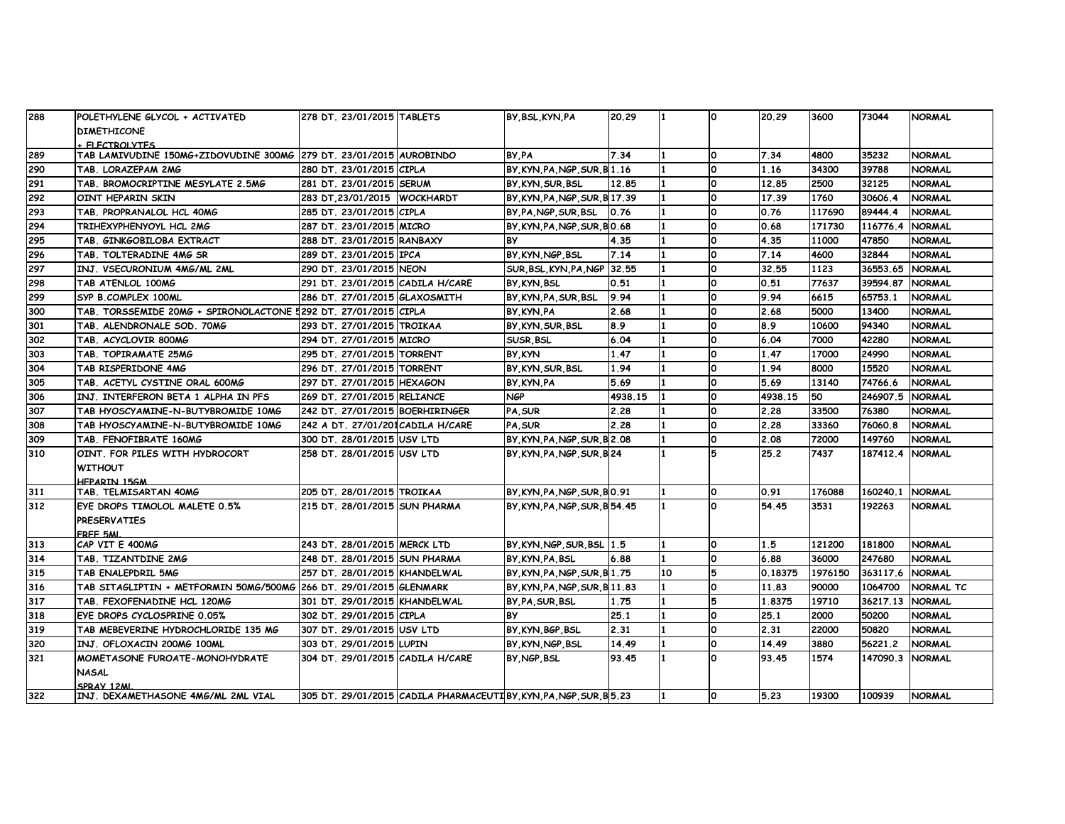| 288 | POLETHYLENE GLYCOL + ACTIVATED                                     | 278 DT. 23/01/2015 TABLETS        |                                                              | BY BSL KYN PA                  | 20.29   |    | $\Omega$     | 20.29   | 3600    | 73044    | <b>NORMAL</b> |
|-----|--------------------------------------------------------------------|-----------------------------------|--------------------------------------------------------------|--------------------------------|---------|----|--------------|---------|---------|----------|---------------|
|     | <b>DIMETHICONE</b>                                                 |                                   |                                                              |                                |         |    |              |         |         |          |               |
|     | FLECTROL VTES                                                      |                                   |                                                              |                                |         |    |              |         |         |          |               |
| 289 | TAB LAMIVUDINE 150MG+ZIDOVUDINE 300MG 279 DT. 23/01/2015 AUROBINDO |                                   |                                                              | BY PA                          | 7.34    |    | <b>O</b>     | 7.34    | 4800    | 35232    | <b>NORMAL</b> |
| 290 | TAB. LORAZEPAM 2MG                                                 | 280 DT. 23/01/2015 CIPLA          |                                                              | BY KYN PA NGP SUR B 1.16       |         |    | <b>O</b>     | 1.16    | 34300   | 39788    | <b>NORMAL</b> |
| 291 | TAB. BROMOCRIPTINE MESYLATE 2.5MG                                  | 281 DT. 23/01/2015 SERUM          |                                                              | BY KYN SUR BSL                 | 12.85   |    | O            | 12.85   | 2500    | 32125    | <b>NORMAL</b> |
| 292 | OINT HEPARIN SKIN                                                  | 283 DT 23/01/2015 WOCKHARDT       |                                                              | BY, KYN, PA, NGP, SUR, B 17.39 |         |    | 0            | 17.39   | 1760    | 30606.4  | <b>NORMAL</b> |
| 293 | TAB. PROPRANALOL HCL 40MG                                          | 285 DT. 23/01/2015 CIPLA          |                                                              | BY, PA, NGP, SUR, BSL          | 0.76    |    | 0            | 0.76    | 117690  | 89444.4  | <b>NORMAL</b> |
| 294 | TRIHEXYPHENYOYL HCL 2MG                                            | 287 DT. 23/01/2015 MICRO          |                                                              | BY KYN PA NGP SUR BO.68        |         |    | 0            | 0.68    | 171730  | 116776.4 | <b>NORMAL</b> |
| 295 | TAB. GINKGOBILOBA EXTRACT                                          | 288 DT. 23/01/2015 RANBAXY        |                                                              | BY                             | 4.35    |    | O            | 4.35    | 11000   | 47850    | <b>NORMAL</b> |
| 296 | TAB. TOLTERADINE 4MG SR                                            | 289 DT. 23/01/2015 IPCA           |                                                              | BY KYN NGP BSL                 | 7.14    |    | 0            | 7.14    | 4600    | 32844    | <b>NORMAL</b> |
| 297 | INJ. VSECURONIUM 4MG/ML 2ML                                        | 290 DT. 23/01/2015 NEON           |                                                              | SUR, BSL, KYN, PA, NGP 32.55   |         |    | 0            | 32.55   | 1123    | 36553.65 | <b>NORMAL</b> |
| 298 | TAB ATENLOL 100MG                                                  | 291 DT. 23/01/2015 CADILA H/CARE  |                                                              | BY KYN BSL                     | 0.51    |    | 0            | 0.51    | 77637   | 39594.87 | <b>NORMAL</b> |
| 299 | SYP B.COMPLEX 100ML                                                | 286 DT. 27/01/2015 GLAXOSMITH     |                                                              | BY KYN PA SUR BSL              | 9.94    |    | 0            | 9.94    | 6615    | 65753.1  | <b>NORMAL</b> |
| 300 | TAB. TORSSEMIDE 20MG + SPIRONOLACTONE 5292 DT. 27/01/2015 CIPLA    |                                   |                                                              | BY KYN PA                      | 2.68    |    | <b>O</b>     | 2.68    | 5000    | 13400    | <b>NORMAL</b> |
| 301 | TAB. ALENDRONALE SOD. 70MG                                         | 293 DT. 27/01/2015 TROIKAA        |                                                              | BY KYN SUR BSL                 | 8.9     |    | <b>O</b>     | 8.9     | 10600   | 94340    | <b>NORMAL</b> |
| 302 | TAB. ACYCLOVIR 800MG                                               | 294 DT. 27/01/2015 MICRO          |                                                              | SUSR BSL                       | 6.04    |    | 0            | 6.04    | 7000    | 42280    | <b>NORMAL</b> |
| 303 | TAB. TOPIRAMATE 25MG                                               | 295 DT. 27/01/2015 TORRENT        |                                                              | BY KYN                         | 1.47    |    | 0            | 1.47    | 17000   | 24990    | <b>NORMAL</b> |
| 304 | TAB RISPERIDONE 4MG                                                | 296 DT. 27/01/2015 TORRENT        |                                                              | BY KYN SUR BSL                 | 1.94    |    | 0            | 1.94    | 8000    | 15520    | <b>NORMAL</b> |
| 305 | TAB. ACETYL CYSTINE ORAL 600MG                                     | 297 DT. 27/01/2015 HEXAGON        |                                                              | BY KYN PA                      | 5.69    |    | <b>O</b>     | 5.69    | 13140   | 74766.6  | <b>NORMAL</b> |
| 306 | INJ. INTERFERON BETA 1 ALPHA IN PFS                                | 269 DT. 27/01/2015 RELIANCE       |                                                              | NGP                            | 4938.15 |    | 0            | 4938.15 | 50      | 246907.5 | <b>NORMAL</b> |
| 307 | TAB HYOSCYAMINE-N-BUTYBROMIDE 10MG                                 | 242 DT. 27/01/2015 BOERHIRINGER   |                                                              | PA SUR                         | 2.28    |    | <sup>o</sup> | 2.28    | 33500   | 76380    | <b>NORMAL</b> |
| 308 | TAB HYOSCYAMINE-N-BUTYBROMIDE 10MG                                 | 242 A DT. 27/01/201 CADILA H/CARE |                                                              | PA, SUR                        | 2.28    |    | 0            | 2.28    | 33360   | 76060.8  | <b>NORMAL</b> |
| 309 | TAB. FENOFIBRATE 160MG                                             | 300 DT. 28/01/2015 USV LTD        |                                                              | BY, KYN, PA, NGP, SUR, B 2.08  |         |    | 0            | 2.08    | 72000   | 149760   | <b>NORMAL</b> |
| 310 | OINT. FOR PILES WITH HYDROCORT                                     | 258 DT. 28/01/2015 USV LTD        |                                                              | BY, KYN, PA, NGP, SUR, B 24    |         |    | 5            | 25.2    | 7437    | 187412.4 | <b>NORMAL</b> |
|     | <b>WITHOUT</b>                                                     |                                   |                                                              |                                |         |    |              |         |         |          |               |
|     | <b>HEPARTN 15GM</b>                                                |                                   |                                                              |                                |         |    |              |         |         |          |               |
| 311 | TAB. TELMISARTAN 40MG                                              | 205 DT. 28/01/2015 TROIKAA        |                                                              | BY KYN PA NGP SUR BO.91        |         |    | <b>O</b>     | 0.91    | 176088  | 160240.1 | <b>NORMAL</b> |
| 312 | EYE DROPS TIMOLOL MALETE 0.5%                                      | 215 DT. 28/01/2015 SUN PHARMA     |                                                              | BY KYN PA NGP SUR B 54.45      |         |    | $\Omega$     | 54.45   | 3531    | 192263   | <b>NORMAL</b> |
|     | <b>PRESERVATIES</b>                                                |                                   |                                                              |                                |         |    |              |         |         |          |               |
|     | FREE 5ML                                                           |                                   |                                                              |                                |         |    |              |         |         |          |               |
| 313 | CAP VIT E 400MG                                                    | 243 DT. 28/01/2015 MERCK LTD      |                                                              | BY KYN NGP SUR BSL 1.5         |         |    | <b>O</b>     | 1.5     | 121200  | 181800   | <b>NORMAL</b> |
| 314 | TAB. TIZANTDINE 2MG                                                | 248 DT. 28/01/2015 SUN PHARMA     |                                                              | BY KYN, PA, BSL                | 6.88    |    | 0            | 6.88    | 36000   | 247680   | <b>NORMAL</b> |
| 315 | TAB ENALEPDRIL 5MG                                                 | 257 DT. 28/01/2015 KHANDELWAL     |                                                              | BY, KYN, PA, NGP, SUR, B 1.75  |         | 10 | 5            | 0.18375 | 1976150 | 363117.6 | <b>NORMAL</b> |
| 316 | TAB SITAGLIPTIN + METFORMIN 50MG/500MG 266 DT. 29/01/2015 GLENMARK |                                   |                                                              | BY, KYN, PA, NGP, SUR, B11.83  |         |    | 0            | 11.83   | 90000   | 1064700  | NORMAL TC     |
| 317 | TAB. FEXOFENADINE HCL 120MG                                        | 301 DT. 29/01/2015 KHANDELWAL     |                                                              | BY PA SUR BSL                  | 1.75    |    |              | 1.8375  | 19710   | 36217.13 | <b>NORMAL</b> |
| 318 | EYE DROPS CYCLOSPRINE 0.05%                                        | 302 DT. 29/01/2015 CIPLA          |                                                              | <b>BY</b>                      | 25.1    |    | 0            | 25.1    | 2000    | 50200    | <b>NORMAL</b> |
| 319 | TAB MEBEVERINE HYDROCHLORIDE 135 MG                                | 307 DT. 29/01/2015 USV LTD        |                                                              | BY, KYN, BGP, BSL              | 2.31    |    | 0            | 2.31    | 22000   | 50820    | <b>NORMAL</b> |
| 320 | INJ. OFLOXACIN 200MG 100ML                                         | 303 DT. 29/01/2015 LUPIN          |                                                              | BY, KYN, NGP, BSL              | 14.49   |    | O            | 14.49   | 3880    | 56221.2  | <b>NORMAL</b> |
| 321 | MOMETASONE FUROATE-MONOHYDRATE                                     | 304 DT. 29/01/2015 CADILA H/CARE  |                                                              | BY NGP BSL                     | 93.45   |    | <b>O</b>     | 93.45   | 1574    | 147090.3 | <b>NORMAL</b> |
|     | NASAL                                                              |                                   |                                                              |                                |         |    |              |         |         |          |               |
|     | SPRAY 12MI                                                         |                                   |                                                              |                                |         |    |              |         |         |          |               |
| 322 | INJ. DEXAMETHASONE 4MG/ML 2ML VIAL                                 |                                   | 305 DT. 29/01/2015 CADILA PHARMACEUTIBY KYN PA NGP SUR B5.23 |                                |         |    | $\Omega$     | 5.23    | 19300   | 100939   | <b>NORMAL</b> |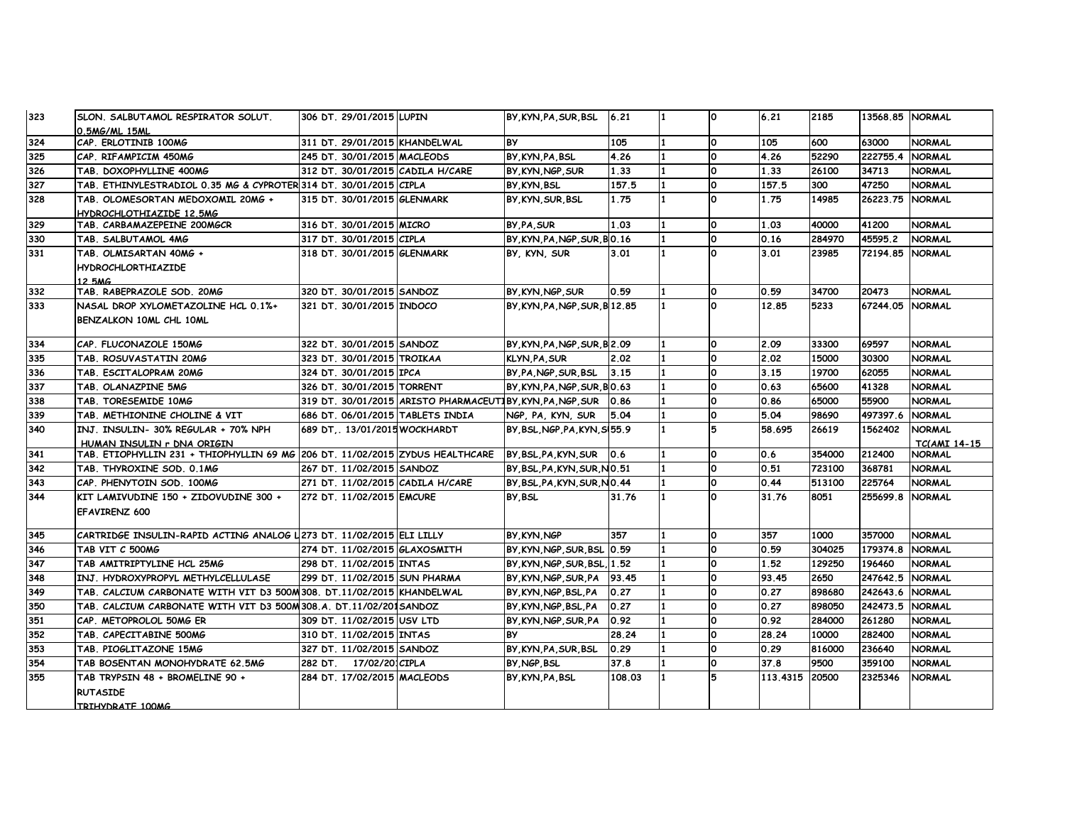| 323 | SLON. SALBUTAMOL RESPIRATOR SOLUT.                                           | 306 DT. 29/01/2015 LUPIN         |                                                        | BY KYN PA SUR BSL              | 6.21   |     | ۱o       | 6.21           | 2185   | 13568.85 NORMAL |                     |
|-----|------------------------------------------------------------------------------|----------------------------------|--------------------------------------------------------|--------------------------------|--------|-----|----------|----------------|--------|-----------------|---------------------|
|     | 0.5MG/ML 15ML                                                                |                                  |                                                        |                                |        |     |          |                |        |                 |                     |
| 324 | CAP. ERLOTINIB 100MG                                                         | 1311 DT. 29/01/2015 KHANDELWAL   |                                                        | <b>BY</b>                      | 105    |     | ١o       | 105            | 600    | 63000           | <b>NORMAL</b>       |
| 325 | CAP. RIFAMPICIM 450MG                                                        | 245 DT. 30/01/2015 MACLEODS      |                                                        | BY KYN PA BSL                  | 4.26   |     | O        | 4.26           | 52290  | 222755.4        | <b>NORMAL</b>       |
| 326 | TAB. DOXOPHYLLINE 400MG                                                      | 312 DT. 30/01/2015 CADILA H/CARE |                                                        | BY KYN NGP SUR                 | 1.33   |     | ١o       | 1.33           | 26100  | 34713           | <b>NORMAL</b>       |
| 327 | TAB. ETHINYLESTRADIOL 0.35 MG & CYPROTER 314 DT. 30/01/2015 CIPLA            |                                  |                                                        | BY KYN BSL                     | 157.5  |     | O        | 157.5          | 300    | 47250           | <b>NORMAL</b>       |
| 328 | TAB. OLOMESORTAN MEDOXOMIL 20MG +                                            | 315 DT. 30/01/2015 GLENMARK      |                                                        | BY KYN SUR BSL                 | 1.75   | 1   | O        | 1.75           | 14985  | 26223.75        | <b>NORMAL</b>       |
|     | HYDROCHLOTHIAZIDE 12.5MG                                                     |                                  |                                                        |                                |        |     |          |                |        |                 |                     |
| 329 | TAB. CARBAMAZEPEINE 200MGCR                                                  | 316 DT. 30/01/2015 MICRO         |                                                        | BY PA SUR                      | 1.03   |     | ١o       | 1.03           | 40000  | 41200           | <b>NORMAL</b>       |
| 330 | TAB. SALBUTAMOL 4MG                                                          | 317 DT. 30/01/2015 CIPLA         |                                                        | BY KYN PA NGP SUR BO.16        |        |     | l0       | 0.16           | 284970 | 45595.2         | <b>NORMAL</b>       |
| 331 | TAB. OLMISARTAN 40MG +                                                       | 318 DT. 30/01/2015 GLENMARK      |                                                        | BY, KYN, SUR                   | 3.01   |     | $\Omega$ | 3.01           | 23985  | 72194.85        | <b>NORMAL</b>       |
|     | <b>HYDROCHLORTHIAZIDE</b>                                                    |                                  |                                                        |                                |        |     |          |                |        |                 |                     |
|     | 12 5MG                                                                       |                                  |                                                        |                                |        |     |          |                |        |                 |                     |
| 332 | TAB. RABEPRAZOLE SOD. 20MG                                                   | 320 DT. 30/01/2015 SANDOZ        |                                                        | BY KYN NGP SUR                 | 0.59   |     | O        | 0.59           | 34700  | 20473           | <b>NORMAL</b>       |
| 333 | NASAL DROP XYLOMETAZOLINE HCL 0.1%+                                          | 321 DT. 30/01/2015 INDOCO        |                                                        | BY, KYN, PA, NGP, SUR, B 12.85 |        |     | $\Omega$ | 12.85          | 5233   | 67244.05        | <b>NORMAL</b>       |
|     | BENZALKON 10ML CHL 10ML                                                      |                                  |                                                        |                                |        |     |          |                |        |                 |                     |
|     |                                                                              |                                  |                                                        |                                |        |     |          |                |        |                 |                     |
| 334 | CAP. FLUCONAZOLE 150MG                                                       | 322 DT. 30/01/2015 SANDOZ        |                                                        | BY, KYN, PA, NGP, SUR, B 2.09  |        |     | $\Omega$ | 2.09           | 33300  | 69597           | <b>NORMAL</b>       |
| 335 | TAB. ROSUVASTATIN 20MG                                                       | 323 DT. 30/01/2015 TROIKAA       |                                                        | <b>KLYN, PA, SUR</b>           | 2.02   |     | O        | 2.02           | 15000  | 30300           | <b>NORMAL</b>       |
| 336 | TAB. ESCITALOPRAM 20MG                                                       | 324 DT. 30/01/2015 IPCA          |                                                        | BY, PA, NGP, SUR, BSL          | 3.15   |     | o        | 3.15           | 19700  | 62055           | <b>NORMAL</b>       |
| 337 | TAB. OLANAZPINE 5MG                                                          | 326 DT. 30/01/2015 TORRENT       |                                                        | BY KYN PA NGP SUR BO.63        |        |     | ١o       | 0.63           | 65600  | 41328           | <b>NORMAL</b>       |
| 338 | TAB. TORESEMIDE 10MG                                                         |                                  | 319 DT. 30/01/2015 ARISTO PHARMACEUTIBY KYN PA NGP SUR |                                | 0.86   |     | $\Omega$ | 0.86           | 65000  | 55900           | <b>NORMAL</b>       |
| 339 | TAB. METHIONINE CHOLINE & VIT                                                | 686 DT. 06/01/2015 TABLETS INDIA |                                                        | NGP, PA, KYN, SUR              | 5.04   |     | ١o       | 5.04           | 98690  | 497397.6        | <b>NORMAL</b>       |
| 340 | INJ. INSULIN- 30% REGULAR + 70% NPH                                          | 689 DT., 13/01/2015 WOCKHARDT    |                                                        | BY BSL NGP PA KYN S155.9       |        |     | 5        | 58.695         | 26619  | 1562402         | <b>NORMAL</b>       |
|     | HUMAN INSULIN r DNA ORIGIN                                                   |                                  |                                                        |                                |        |     |          |                |        |                 | <b>TC(AMI 14-15</b> |
| 341 | TAB. ETIOPHYLLIN 231 + THIOPHYLLIN 69 MG 206 DT. 11/02/2015 ZYDUS HEALTHCARE |                                  |                                                        | BY, BSL, PA, KYN, SUR          | 0.6    |     | ١o       | 0.6            | 354000 | 212400          | <b>NORMAL</b>       |
| 342 | TAB. THYROXINE SOD. 0.1MG                                                    | 267 DT. 11/02/2015 SANDOZ        |                                                        | BY, BSL, PA, KYN, SUR, NO.51   |        | 11  | ١o       | 0.51           | 723100 | 368781          | <b>NORMAL</b>       |
| 343 | CAP. PHENYTOIN SOD. 100MG                                                    | 271 DT. 11/02/2015 CADILA H/CARE |                                                        | BY BSL PA KYN SUR NO.44        |        |     | O        | 0.44           | 513100 | 225764          | <b>NORMAL</b>       |
| 344 | KIT LAMIVUDINE 150 + ZIDOVUDINE 300 +                                        | 272 DT. 11/02/2015 EMCURE        |                                                        | BY BSL                         | 31.76  |     | $\Omega$ | 31.76          | 8051   | 255699.8        | <b>NORMAL</b>       |
|     | EFAVIRENZ 600                                                                |                                  |                                                        |                                |        |     |          |                |        |                 |                     |
|     |                                                                              |                                  |                                                        |                                |        |     |          |                |        |                 |                     |
| 345 | CARTRIDGE INSULIN-RAPID ACTING ANALOG L273 DT. 11/02/2015 ELI LILLY          |                                  |                                                        | BY KYN NGP                     | 357    |     | O        | 357            | 1000   | 357000          | <b>NORMAL</b>       |
| 346 | TAB VIT C 500MG                                                              | 274 DT. 11/02/2015 GLAXOSMITH    |                                                        | BY, KYN, NGP, SUR, BSL 0.59    |        |     | ١o       | 0.59           | 304025 | 179374.8        | <b>NORMAL</b>       |
| 347 | TAB AMITRIPTYLINE HCL 25MG                                                   | 298 DT. 11/02/2015 INTAS         |                                                        | BY, KYN, NGP, SUR, BSL. 1.52   |        |     | O        | 1.52           | 129250 | 196460          | <b>NORMAL</b>       |
| 348 | INJ. HYDROXYPROPYL METHYLCELLULASE                                           | 1299 DT. 11/02/2015 SUN PHARMA   |                                                        | BY KYN NGP SUR PA              | 93.45  |     | ١o       | 93.45          | 2650   | 247642.5        | <b>NORMAL</b>       |
| 349 | TAB. CALCIUM CARBONATE WITH VIT D3 500M308. DT.11/02/2015 KHANDELWAL         |                                  |                                                        | BY KYN NGP BSL PA              | 0.27   |     | O        | 0.27           | 898680 | 242643.6        | <b>NORMAL</b>       |
| 350 | TAB. CALCIUM CARBONATE WITH VIT D3 500M308.A. DT.11/02/2015ANDOZ             |                                  |                                                        | BY, KYN, NGP, BSL, PA          | 0.27   |     | o        | 0.27           | 898050 | 242473.5        | <b>NORMAL</b>       |
| 351 | CAP. METOPROLOL 50MG ER                                                      | 309 DT. 11/02/2015 USV LTD       |                                                        | BY KYN NGP SUR PA              | 0.92   |     | O        | 0.92           | 284000 | 261280          | <b>NORMAL</b>       |
| 352 | TAB. CAPECITABINE 500MG                                                      | 310 DT. 11/02/2015 INTAS         |                                                        | <b>BY</b>                      | 28.24  |     | O        | 28.24          | 10000  | 282400          | <b>NORMAL</b>       |
| 353 | TAB. PIOGLITAZONE 15MG                                                       | 327 DT. 11/02/2015 SANDOZ        |                                                        | BY KYN PA SUR BSL              | 0.29   |     | ١o       | 0.29           | 816000 | 236640          | <b>NORMAL</b>       |
| 354 | TAB BOSENTAN MONOHYDRATE 62.5MG                                              | 282 DT. 17/02/201CIPLA           |                                                        | BY NGP BSL                     | 37.8   |     | ١o       | 37.8           | 9500   | 359100          | <b>NORMAL</b>       |
| 355 | TAB TRYPSIN 48 + BROMELINE 90 +                                              | 284 DT. 17/02/2015 MACLEODS      |                                                        | BY KYN PA BSL                  | 108.03 | l 1 | 5        | 113.4315 20500 |        | 2325346         | <b>NORMAL</b>       |
|     | <b>RUTASIDE</b>                                                              |                                  |                                                        |                                |        |     |          |                |        |                 |                     |
|     | TRTHVDRATE 100MG                                                             |                                  |                                                        |                                |        |     |          |                |        |                 |                     |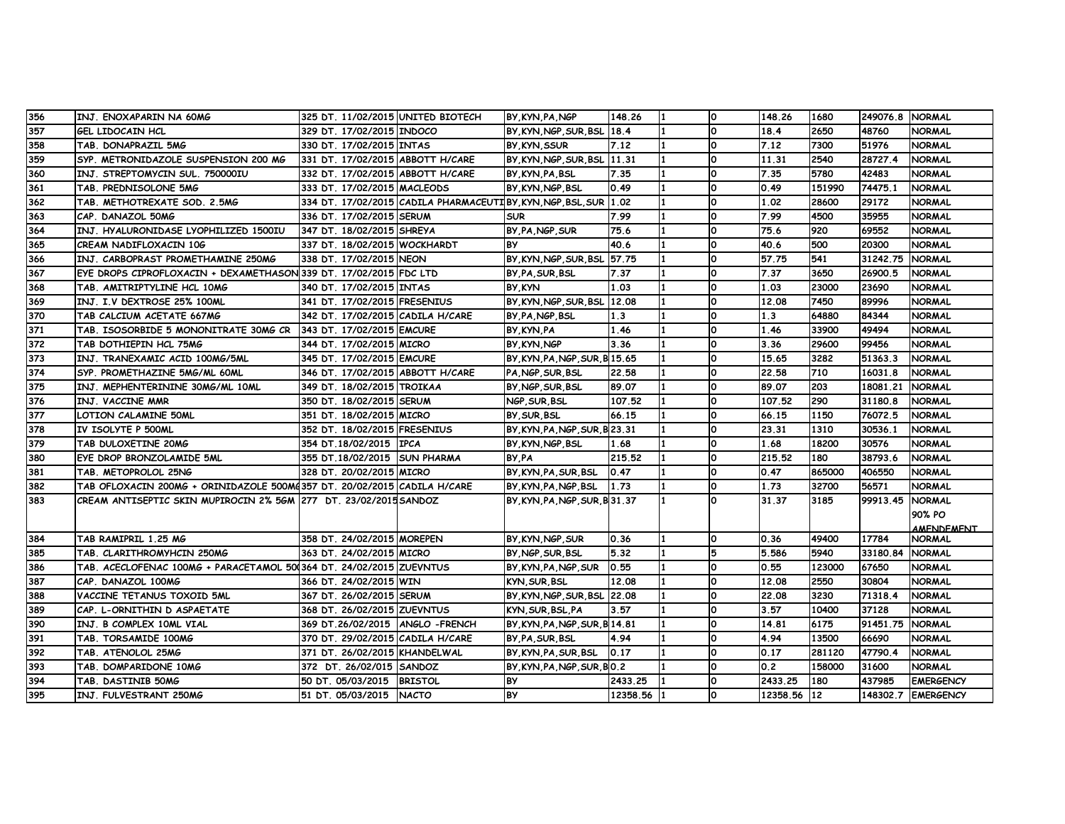| 356 | INJ. ENOXAPARIN NA 60MG                                                 | 325 DT. 11/02/2015 UNITED BIOTECH  |                                                              | BY KYN PA NGP                  | 148.26     | $\mathbf{1}$ | ١o           | 148.26      | 1680   | 249076.8 NORMAL |                    |
|-----|-------------------------------------------------------------------------|------------------------------------|--------------------------------------------------------------|--------------------------------|------------|--------------|--------------|-------------|--------|-----------------|--------------------|
| 357 | GEL LIDOCAIN HCL                                                        | 329 DT. 17/02/2015 INDOCO          |                                                              | BY KYN NGP SUR BSL 18.4        |            |              | <b>O</b>     | 18.4        | 2650   | 48760           | <b>NORMAL</b>      |
| 358 | TAB. DONAPRAZIL 5MG                                                     | 330 DT. 17/02/2015 INTAS           |                                                              | BY, KYN, SSUR                  | 7.12       |              | O            | 7.12        | 7300   | 51976           | <b>NORMAL</b>      |
| 359 | SYP. METRONIDAZOLE SUSPENSION 200 MG                                    | 331 DT. 17/02/2015 ABBOTT H/CARE   |                                                              | BY, KYN, NGP, SUR, BSL 11.31   |            |              | <b>O</b>     | 11.31       | 2540   | 28727.4         | <b>NORMAL</b>      |
| 360 | INJ. STREPTOMYCIN SUL. 750000IU                                         | 332 DT. 17/02/2015 ABBOTT H/CARE   |                                                              | BY, KYN, PA, BSL               | 7.35       |              | O            | 7.35        | 5780   | 42483           | <b>NORMAL</b>      |
| 361 | TAB. PREDNISOLONE 5MG                                                   | 333 DT. 17/02/2015 MACLEODS        |                                                              | BY KYN NGP BSL                 | 0.49       |              | <sup>0</sup> | 0.49        | 151990 | 74475.1         | <b>NORMAL</b>      |
| 362 | TAB. METHOTREXATE SOD. 2.5MG                                            |                                    | 334 DT. 17/02/2015 CADILA PHARMACEUTIBY KYN NGP BSL SUR 1.02 |                                |            |              | $\Omega$     | 1.02        | 28600  | 29172           | <b>NORMAL</b>      |
| 363 | CAP. DANAZOL 50MG                                                       | 336 DT. 17/02/2015 SERUM           |                                                              | <b>SUR</b>                     | 7.99       |              | O            | 7.99        | 4500   | 35955           | <b>NORMAL</b>      |
| 364 | INJ. HYALURONIDASE LYOPHILIZED 1500IU                                   | 347 DT. 18/02/2015 SHREYA          |                                                              | BY PA NGP SUR                  | 75.6       |              | <b>O</b>     | 75.6        | 920    | 69552           | <b>NORMAL</b>      |
| 365 | CREAM NADIFLOXACIN 106                                                  | 337 DT. 18/02/2015 WOCKHARDT       |                                                              | <b>BY</b>                      | 40.6       |              | O            | 40.6        | 500    | 20300           | <b>NORMAL</b>      |
| 366 | INJ. CARBOPRAST PROMETHAMINE 250MG                                      | 338 DT. 17/02/2015 NEON            |                                                              | BY, KYN, NGP, SUR, BSL 57.75   |            |              | <sup>0</sup> | 57.75       | 541    | 31242.75        | <b>NORMAL</b>      |
| 367 | EYE DROPS CIPROFLOXACIN + DEXAMETHASON 339 DT. 17/02/2015 FDC LTD       |                                    |                                                              | BY PA SUR BSL                  | 7.37       |              | O            | 7.37        | 3650   | 26900.5         | <b>NORMAL</b>      |
| 368 | TAB. AMITRIPTYLINE HCL 10MG                                             | 340 DT. 17/02/2015 INTAS           |                                                              | BY KYN                         | 1.03       |              | O            | 1.03        | 23000  | 23690           | <b>NORMAL</b>      |
| 369 | INJ. I.V DEXTROSE 25% 100ML                                             | 341 DT. 17/02/2015 FRESENIUS       |                                                              | BY KYN NGP SUR BSL 12.08       |            |              | O            | 12.08       | 7450   | 89996           | <b>NORMAL</b>      |
| 370 | TAB CALCIUM ACETATE 667MG                                               | 342 DT. 17/02/2015 CADILA H/CARE   |                                                              | BY, PA, NGP, BSL               | 1.3        |              | O            | 1.3         | 64880  | 84344           | <b>NORMAL</b>      |
| 371 | TAB. ISOSORBIDE 5 MONONITRATE 30MG CR 343 DT. 17/02/2015 EMCURE         |                                    |                                                              | BY KYN PA                      | 1.46       |              | <sup>0</sup> | 1.46        | 33900  | 49494           | <b>NORMAL</b>      |
| 372 | TAB DOTHIEPIN HCL 75MG                                                  | 344 DT. 17/02/2015 MICRO           |                                                              | BY KYN NGP                     | 3.36       |              | O            | 3.36        | 29600  | 99456           | <b>NORMAL</b>      |
| 373 | INJ. TRANEXAMIC ACID 100MG/5ML                                          | 345 DT. 17/02/2015 EMCURE          |                                                              | BY, KYN, PA, NGP, SUR, B 15.65 |            |              | O            | 15.65       | 3282   | 51363.3         | <b>NORMAL</b>      |
| 374 | SYP. PROMETHAZINE 5MG/ML 60ML                                           | 346 DT. 17/02/2015 ABBOTT H/CARE   |                                                              | PA NGP SUR BSL                 | 22.58      |              | O            | 22.58       | 710    | 16031.8         | <b>NORMAL</b>      |
| 375 | INJ. MEPHENTERININE 30MG/ML 10ML                                        | 349 DT. 18/02/2015 TROIKAA         |                                                              | BY, NGP, SUR, BSL              | 89.07      |              | O            | 89.07       | 203    | 18081.21        | <b>NORMAL</b>      |
| 376 | INJ. VACCINE MMR                                                        | 350 DT. 18/02/2015 SERUM           |                                                              | NGP.SUR.BSL                    | 107.52     |              | <sup>0</sup> | 107.52      | 290    | 31180.8         | <b>NORMAL</b>      |
| 377 | LOTION CALAMINE 50ML                                                    | 351 DT. 18/02/2015 MICRO           |                                                              | BY SUR BSL                     | 66.15      |              | O            | 66.15       | 1150   | 76072.5         | <b>NORMAL</b>      |
| 378 | IV ISOLYTE P 500ML                                                      | 352 DT. 18/02/2015 FRESENIUS       |                                                              | BY, KYN, PA, NGP, SUR, B 23.31 |            |              | O            | 23.31       | 1310   | 30536.1         | <b>NORMAL</b>      |
| 379 | TAB DULOXETINE 20MG                                                     | 354 DT.18/02/2015 IPCA             |                                                              | BY KYN NGP BSL                 | 1.68       |              | O            | 1.68        | 18200  | 30576           | <b>NORMAL</b>      |
| 380 | EYE DROP BRONZOLAMIDE 5ML                                               | 355 DT.18/02/2015 SUN PHARMA       |                                                              | BY PA                          | 215.52     | 11           | O            | 215.52      | 180    | 38793.6         | <b>NORMAL</b>      |
| 381 | TAB. METOPROLOL 25NG                                                    | 328 DT. 20/02/2015 MICRO           |                                                              | BY.KYN.PA.SUR.BSL              | 0.47       |              | <b>O</b>     | 0.47        | 865000 | 406550          | <b>NORMAL</b>      |
| 382 | TAB OFLOXACIN 200MG + ORINIDAZOLE 500MG357 DT. 20/02/2015 CADILA H/CARE |                                    |                                                              | BY.KYN.PA.NGP.BSL              | 1.73       |              | O            | 1.73        | 32700  | 56571           | <b>NORMAL</b>      |
| 383 | CREAM ANTISEPTIC SKIN MUPIROCIN 2% 5GM 277 DT. 23/02/2015SANDOZ         |                                    |                                                              | BY, KYN, PA, NGP, SUR, B 31.37 |            | 1            | O            | 31.37       | 3185   | 99913.45        | <b>NORMAL</b>      |
|     |                                                                         |                                    |                                                              |                                |            |              |              |             |        |                 | 90% PO             |
|     |                                                                         |                                    |                                                              |                                |            |              |              |             |        |                 | <b>AMENDEMENT</b>  |
| 384 | TAB RAMIPRIL 1.25 MG                                                    | 358 DT. 24/02/2015 MOREPEN         |                                                              | BY,KYN,NGP,SUR                 | 0.36       |              | <b>O</b>     | 0.36        | 49400  | 17784           | <b>NORMAL</b>      |
| 385 | TAB. CLARITHROMYHCIN 250MG                                              | 363 DT. 24/02/2015 MICRO           |                                                              | BY, NGP, SUR, BSL              | 5.32       |              | 5            | 5.586       | 5940   | 33180.84 NORMAL |                    |
| 386 | TAB. ACECLOFENAC 100MG + PARACETAMOL 500364 DT. 24/02/2015 ZUEVNTUS     |                                    |                                                              | BY.KYN.PA.NGP.SUR              | 0.55       |              | <sup>0</sup> | 0.55        | 123000 | 67650           | <b>NORMAL</b>      |
| 387 | CAP. DANAZOL 100MG                                                      | 366 DT. 24/02/2015 WIN             |                                                              | KYN, SUR, BSL                  | 12.08      |              | O            | 12.08       | 2550   | 30804           | <b>NORMAL</b>      |
| 388 | VACCINE TETANUS TOXOID 5ML                                              | 367 DT. 26/02/2015 SERUM           |                                                              | BY, KYN, NGP, SUR, BSL 22.08   |            |              | O            | 22.08       | 3230   | 71318.4         | <b>NORMAL</b>      |
| 389 | CAP. L-ORNITHIN D ASPAETATE                                             | 368 DT. 26/02/2015 ZUEVNTUS        |                                                              | KYN SUR BSL PA                 | 3.57       |              | O            | 3.57        | 10400  | 37128           | <b>NORMAL</b>      |
| 390 | INJ. B COMPLEX 10ML VIAL                                                | 369 DT.26/02/2015   ANGLO - FRENCH |                                                              | BY, KYN, PA, NGP, SUR, B 14.81 |            |              | O            | 14.81       | 6175   | 91451.75        | <b>NORMAL</b>      |
| 391 | TAB. TORSAMIDE 100MG                                                    | 370 DT. 29/02/2015 CADILA H/CARE   |                                                              | BY PA SUR BSL                  | 4.94       |              | <sup>0</sup> | 4.94        | 13500  | 66690           | <b>NORMAL</b>      |
| 392 | TAB. ATENOLOL 25MG                                                      | 371 DT. 26/02/2015 KHANDELWAL      |                                                              | BY.KYN.PA.SUR.BSL              | 10.17      |              | O            | 0.17        | 281120 | 47790.4         | <b>NORMAL</b>      |
| 393 | TAB. DOMPARIDONE 10MG                                                   | 372 DT. 26/02/015 SANDOZ           |                                                              | BY, KYN, PA, NGP, SUR, BO. 2   |            | 1            | O            | 0.2         | 158000 | 31600           | <b>NORMAL</b>      |
| 394 | TAB. DASTINIB 50MG                                                      | 50 DT. 05/03/2015 BRISTOL          |                                                              | <b>BY</b>                      | 2433.25    | 11.          | O            | 2433.25     | 180    | 437985          | <b>EMERGENCY</b>   |
| 395 | INJ. FULVESTRANT 250MG                                                  | 51 DT. 05/03/2015 NACTO            |                                                              | <b>BY</b>                      | 12358.56 1 |              | O            | 12358.56 12 |        |                 | 148302.7 EMERGENCY |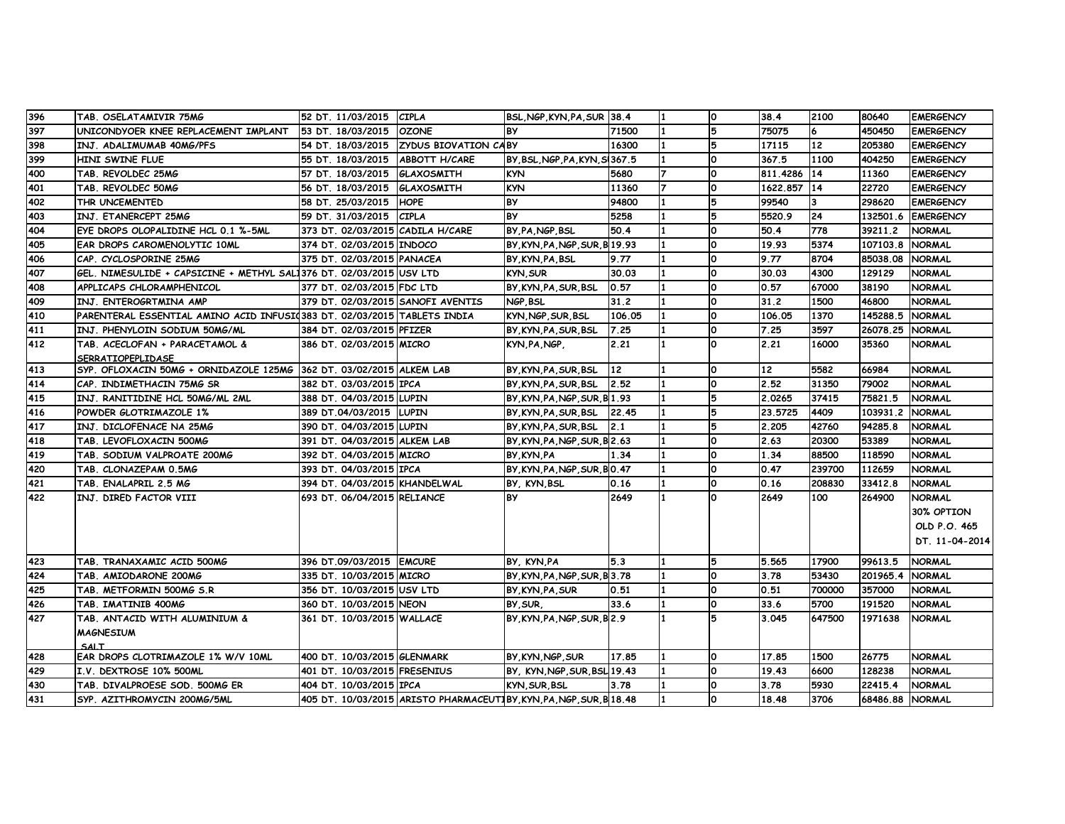| 396 | TAB. OSELATAMIVIR 75MG                                                  | 52 DT. 11/03/2015                 | <b>CIPLA</b>                                                        | BSL, NGP, KYN, PA, SUR 38.4    |               |     | ١o           | 38.4        | 2100   | 80640           | <b>EMERGENCY</b> |
|-----|-------------------------------------------------------------------------|-----------------------------------|---------------------------------------------------------------------|--------------------------------|---------------|-----|--------------|-------------|--------|-----------------|------------------|
| 397 | UNICONDYOER KNEE REPLACEMENT IMPLANT                                    | 53 DT. 18/03/2015                 | <b>OZONE</b>                                                        | <b>BY</b>                      | 71500         |     | 5            | 75075       | 6      | 450450          | <b>EMERGENCY</b> |
| 398 | INJ. ADALIMUMAB 40MG/PFS                                                | 54 DT. 18/03/2015                 | <b>ZYDUS BIOVATION CABY</b>                                         |                                | 16300         |     | 5            | 17115       | 12     | 205380          | <b>EMERGENCY</b> |
| 399 | HINI SWINE FLUE                                                         | 55 DT. 18/03/2015                 | <b>ABBOTT H/CARE</b>                                                | BY, BSL, NGP, PA, KYN, SI367.5 |               |     | O            | 367.5       | 1100   | 404250          | <b>EMERGENCY</b> |
| 400 | TAB. REVOLDEC 25MG                                                      | 57 DT. 18/03/2015                 | <b>GLAXOSMITH</b>                                                   | <b>KYN</b>                     | 5680          |     | O            | 811,4286    | 14     | 11360           | <b>EMERGENCY</b> |
| 401 | TAB. REVOLDEC 50MG                                                      | 56 DT. 18/03/2015                 | GLAXOSMITH                                                          | <b>KYN</b>                     | 11360         |     | O            | 1622.857 14 |        | 22720           | <b>EMERGENCY</b> |
| 402 | THR UNCEMENTED                                                          | 58 DT. 25/03/2015                 | <b>HOPE</b>                                                         | <b>BY</b>                      | 94800         |     | 5            | 99540       | 3      | 298620          | <b>EMERGENCY</b> |
| 403 | INJ. ETANERCEPT 25MG                                                    | 59 DT. 31/03/2015                 | <b>CIPLA</b>                                                        | <b>BY</b>                      | 5258          |     | 5            | 5520.9      | 24     | 132501.6        | <b>EMERGENCY</b> |
| 404 | EYE DROPS OLOPALIDINE HCL 0.1 %-5ML                                     | 373 DT. 02/03/2015 CADILA H/CARE  |                                                                     | BY, PA, NGP, BSL               | 50.4          |     | O            | 50.4        | 778    | 39211.2         | <b>NORMAL</b>    |
| 405 | EAR DROPS CAROMENOLYTIC 10ML                                            | 374 DT. 02/03/2015 INDOCO         |                                                                     | BY, KYN, PA, NGP, SUR, B19.93  |               |     | <sup>o</sup> | 19.93       | 5374   | 107103.8        | <b>NORMAL</b>    |
| 406 | CAP. CYCLOSPORINE 25MG                                                  | 375 DT. 02/03/2015 PANACEA        |                                                                     | BY KYN PA BSL                  | 9.77          |     | O            | 9.77        | 8704   | 85038.08        | <b>NORMAL</b>    |
| 407 | GEL. NIMESULIDE + CAPSICINE + METHYL SAL1376 DT. 02/03/2015  USV LTD    |                                   |                                                                     | KYN, SUR                       | 30.03         |     | O            | 30.03       | 4300   | 129129          | <b>NORMAL</b>    |
| 408 | APPLICAPS CHLORAMPHENICOL                                               | 377 DT. 02/03/2015 FDC LTD        |                                                                     | BY KYN PA SUR BSL              | 0.57          |     | O            | 0.57        | 67000  | 38190           | <b>NORMAL</b>    |
| 409 | INJ. ENTEROGRTMINA AMP                                                  | 379 DT. 02/03/2015 SANOFI AVENTIS |                                                                     | NGP, BSL                       | 31.2          |     | O            | 31.2        | 1500   | 46800           | <b>NORMAL</b>    |
| 410 | PARENTERAL ESSENTIAL AMINO ACID INFUSI(383 DT. 02/03/2015 TABLETS INDIA |                                   |                                                                     | KYN, NGP, SUR, BSL             | 106.05        |     | ١o           | 106.05      | 1370   | 145288.5        | <b>NORMAL</b>    |
| 411 | INJ. PHENYLOIN SODIUM 50MG/ML                                           | 384 DT. 02/03/2015 PFIZER         |                                                                     | BY.KYN.PA.SUR.BSL              | 7.25          |     | ١o           | 7.25        | 3597   | 26078.25        | <b>NORMAL</b>    |
| 412 | TAB. ACECLOFAN + PARACETAMOL &                                          | 386 DT. 02/03/2015 MICRO          |                                                                     | KYN PA NGP.                    | 2.21          | l 1 | $\Omega$     | 2.21        | 16000  | 35360           | <b>NORMAL</b>    |
|     | <b>SERRATIOPEPLIDASE</b>                                                |                                   |                                                                     |                                |               |     |              |             |        |                 |                  |
| 413 | SYP. OFLOXACIN 50MG + ORNIDAZOLE 125MG 362 DT. 03/02/2015 ALKEM LAB     |                                   |                                                                     | BY KYN PA SUR BSL              | 12            |     | O            | 12          | 5582   | 66984           | <b>NORMAL</b>    |
| 414 | CAP. INDIMETHACIN 75MG SR                                               | 382 DT. 03/03/2015 IPCA           |                                                                     | BY, KYN, PA, SUR, BSL          | 2.52          |     | ١o           | 2.52        | 31350  | 79002           | <b>NORMAL</b>    |
| 415 | INJ. RANITIDINE HCL 50MG/ML 2ML                                         | 388 DT. 04/03/2015 LUPIN          |                                                                     | BY, KYN, PA, NGP, SUR, B 1.93  |               |     | 5            | 2.0265      | 37415  | 75821.5         | <b>NORMAL</b>    |
| 416 | POWDER GLOTRIMAZOLE 1%                                                  | 389 DT.04/03/2015 ILUPIN          |                                                                     | BY.KYN.PA.SUR.BSL              | 22.45         |     | 5            | 23.5725     | 4409   | 103931.2        | <b>NORMAL</b>    |
| 417 | INJ. DICLOFENACE NA 25MG                                                | 390 DT. 04/03/2015 LUPIN          |                                                                     | BY.KYN.PA.SUR.BSL              | $ 2.1\rangle$ |     | 5            | 2.205       | 42760  | 94285.8         | <b>NORMAL</b>    |
| 418 | TAB. LEVOFLOXACIN 500MG                                                 | 391 DT. 04/03/2015 ALKEM LAB      |                                                                     | BY, KYN, PA, NGP, SUR, B 2.63  |               |     | O            | 2.63        | 20300  | 53389           | <b>NORMAL</b>    |
| 419 | TAB. SODIUM VALPROATE 200MG                                             | 392 DT. 04/03/2015 MICRO          |                                                                     | BY KYN PA                      | 1.34          |     | O            | 1.34        | 88500  | 118590          | <b>NORMAL</b>    |
| 420 | TAB. CLONAZEPAM 0.5MG                                                   | 393 DT. 04/03/2015 IPCA           |                                                                     | BY KYN PA NGP SUR BO.47        |               |     | O            | 0.47        | 239700 | 112659          | <b>NORMAL</b>    |
| 421 | TAB. ENALAPRIL 2.5 MG                                                   | 394 DT. 04/03/2015 KHANDELWAL     |                                                                     | BY, KYN, BSL                   | 0.16          |     | ١o           | 0.16        | 208830 | 33412.8         | <b>NORMAL</b>    |
| 422 | INJ. DIRED FACTOR VIII                                                  | 693 DT. 06/04/2015 RELIANCE       |                                                                     | <b>BY</b>                      | 2649          |     | $\Omega$     | 2649        | 100    | 264900          | <b>NORMAL</b>    |
|     |                                                                         |                                   |                                                                     |                                |               |     |              |             |        |                 | 30% OPTION       |
|     |                                                                         |                                   |                                                                     |                                |               |     |              |             |        |                 | OLD P.O. 465     |
|     |                                                                         |                                   |                                                                     |                                |               |     |              |             |        |                 | DT. 11-04-2014   |
| 423 | TAB. TRANAXAMIC ACID 500MG                                              | 396 DT.09/03/2015 EMCURE          |                                                                     | BY, KYN,PA                     | 5.3           |     | 5            | 5.565       | 17900  | 99613.5         | <b>NORMAL</b>    |
| 424 | TAB. AMIODARONE 200MG                                                   | 335 DT. 10/03/2015 MICRO          |                                                                     | BY, KYN, PA, NGP, SUR, B 3.78  |               |     | O            | 3.78        | 53430  | 201965.4        | <b>NORMAL</b>    |
| 425 | TAB. METFORMIN 500MG S.R                                                | 356 DT. 10/03/2015 USV LTD        |                                                                     | BY KYN PA SUR                  | 0.51          |     | O            | 0.51        | 700000 | 357000          | <b>NORMAL</b>    |
| 426 | TAB. IMATINIB 400MG                                                     | 360 DT. 10/03/2015 NEON           |                                                                     | BY SUR.                        | 33.6          |     | O            | 33.6        | 5700   | 191520          | <b>NORMAL</b>    |
| 427 | TAB. ANTACID WITH ALUMINIUM &                                           | 361 DT. 10/03/2015 WALLACE        |                                                                     | BY, KYN, PA, NGP, SUR, B2.9    |               |     | 5            | 3.045       | 647500 | 1971638         | <b>NORMAL</b>    |
|     | <b>MAGNESIUM</b>                                                        |                                   |                                                                     |                                |               |     |              |             |        |                 |                  |
|     | SAIT                                                                    |                                   |                                                                     |                                |               |     |              |             |        |                 |                  |
| 428 | EAR DROPS CLOTRIMAZOLE 1% W/V 10ML                                      | 400 DT. 10/03/2015 GLENMARK       |                                                                     | BY, KYN, NGP, SUR              | 17.85         |     | O            | 17.85       | 1500   | 26775           | <b>NORMAL</b>    |
| 429 | I.V. DEXTROSE 10% 500ML                                                 | 401 DT. 10/03/2015 FRESENIUS      |                                                                     | BY, KYN, NGP, SUR, BSL 19.43   |               |     | ١o           | 19.43       | 6600   | 128238          | <b>NORMAL</b>    |
| 430 | TAB. DIVALPROESE SOD. 500MG ER                                          | 404 DT. 10/03/2015 IPCA           |                                                                     | KYN, SUR, BSL                  | 3.78          |     | O            | 3.78        | 5930   | 22415.4         | <b>NORMAL</b>    |
| 431 | SYP. AZITHROMYCIN 200MG/5ML                                             |                                   | 405 DT. 10/03/2015 ARISTO PHARMACEUTIBY, KYN, PA, NGP, SUR, B 18.48 |                                |               |     | $\Omega$     | 18.48       | 3706   | 68486.88 NORMAL |                  |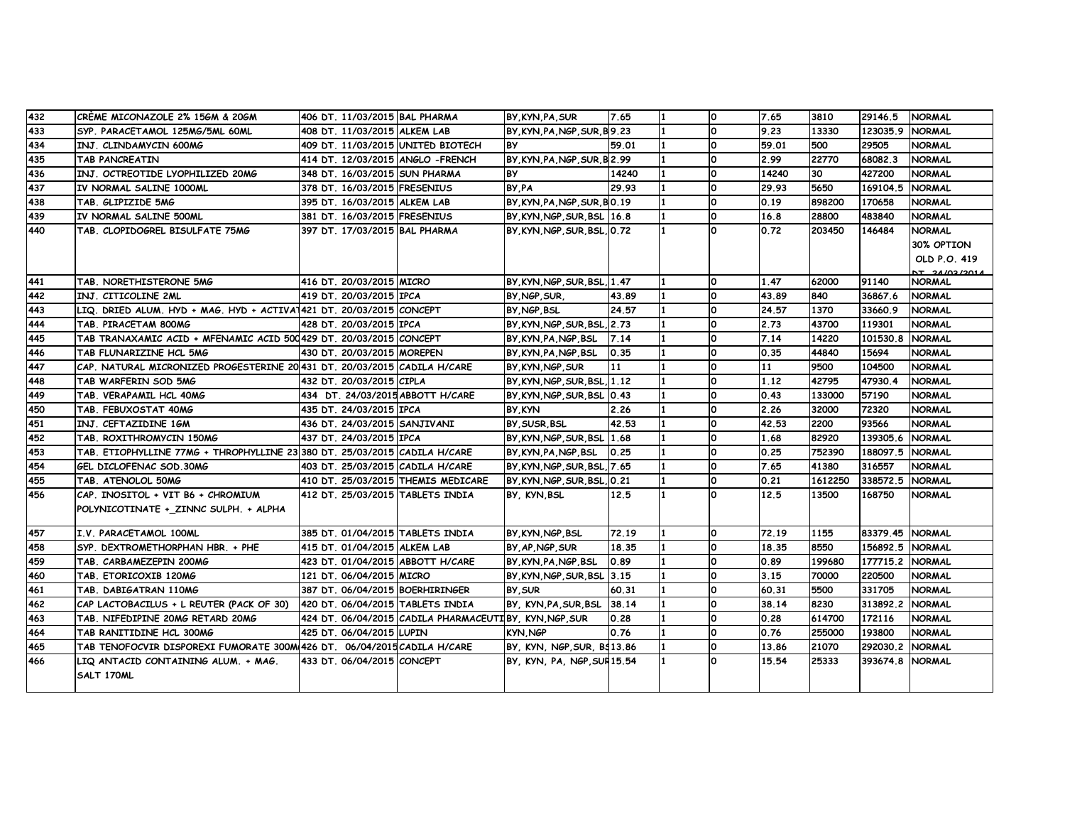| 432        | CRÉME MICONAZOLE 2% 15GM & 20GM                                           | 406 DT. 11/03/2015 BAL PHARMA      |                                                       | BY, KYN, PA, SUR              | 7.65         | O        | 7.65         | 3810           | 29146.5 NORMAL    |                                |
|------------|---------------------------------------------------------------------------|------------------------------------|-------------------------------------------------------|-------------------------------|--------------|----------|--------------|----------------|-------------------|--------------------------------|
| 433        | SYP. PARACETAMOL 125MG/5ML 60ML                                           | 408 DT. 11/03/2015 ALKEM LAB       |                                                       | BY, KYN, PA, NGP, SUR, B9.23  |              | <b>O</b> | 9.23         | 13330          | 123035.9 NORMAL   |                                |
| 434        | INJ. CLINDAMYCIN 600MG                                                    | 409 DT. 11/03/2015 UNITED BIOTECH  |                                                       | BY                            | 59.01        | ٥        | 59.01        | 500            | 29505             | <b>NORMAL</b>                  |
| 435        | <b>TAB PANCREATIN</b>                                                     | 414 DT. 12/03/2015 ANGLO - FRENCH  |                                                       | BY, KYN, PA, NGP, SUR, B 2.99 |              | O        | 2.99         | 22770          | 68082.3           | <b>NORMAL</b>                  |
| 436        | INJ. OCTREOTIDE LYOPHILIZED 20MG                                          | 348 DT. 16/03/2015 SUN PHARMA      |                                                       | <b>BY</b>                     | 14240        | <b>O</b> | 14240        | 30             | 427200            | <b>NORMAL</b>                  |
| 437        | IV NORMAL SALINE 1000ML                                                   | 378 DT. 16/03/2015 FRESENIUS       |                                                       | BY PA                         | 29.93        | <b>O</b> | 29.93        | 5650           | 169104.5          | <b>NORMAL</b>                  |
| 438        | TAB. GLIPIZIDE 5MG                                                        | 395 DT. 16/03/2015 ALKEM LAB       |                                                       | BY KYN PA NGP SUR BO.19       |              | <b>O</b> | 0.19         | 898200         | 170658            | <b>NORMAL</b>                  |
| 439        | IV NORMAL SALINE 500ML                                                    | 381 DT. 16/03/2015 FRESENIUS       |                                                       | BY, KYN, NGP, SUR, BSL 16.8   |              | <b>O</b> | 16.8         | 28800          | 483840            | <b>NORMAL</b>                  |
| 440        | TAB. CLOPIDOGREL BISULFATE 75MG                                           | 397 DT. 17/03/2015 BAL PHARMA      |                                                       | BY, KYN, NGP, SUR, BSL, 0.72  |              | <b>O</b> | 0.72         | 203450         | 146484            | <b>NORMAL</b>                  |
|            |                                                                           |                                    |                                                       |                               |              |          |              |                |                   | 30% OPTION                     |
|            |                                                                           |                                    |                                                       |                               |              |          |              |                |                   | OLD P.O. 419                   |
| 441        | TAB. NORETHISTERONE 5MG                                                   | 416 DT. 20/03/2015 MICRO           |                                                       | BY, KYN, NGP, SUR, BSL, 1.47  |              | <b>O</b> | 1.47         | 62000          | 91140             | NT 24/03/2014<br><b>NORMAL</b> |
| 442        | INJ. CITICOLINE 2ML                                                       | 419 DT. 20/03/2015 IPCA            |                                                       | BY NGP SUR                    | 43.89        | <b>O</b> | 43.89        | 840            | 36867.6           | <b>NORMAL</b>                  |
| 443        | LIQ. DRIED ALUM. HYD + MAG. HYD + ACTIVA1421 DT. 20/03/2015 CONCEPT       |                                    |                                                       | BY NGP BSL                    | 24.57        | <b>O</b> | 24.57        | 1370           | 33660.9           | <b>NORMAL</b>                  |
| 444        |                                                                           |                                    |                                                       |                               |              | <b>O</b> | 2.73         | 43700          | 119301            |                                |
|            | TAB. PIRACETAM 800MG                                                      | 428 DT. 20/03/2015 IPCA            |                                                       | BY KYN NGP SUR BSL 2.73       |              | O        |              |                |                   | <b>NORMAL</b>                  |
| 445        | TAB TRANAXAMIC ACID + MFENAMIC ACID 500429 DT. 20/03/2015 CONCEPT         |                                    |                                                       | BY KYN PA NGP BSL             | 7.14<br>0.35 | O        | 7.14<br>0.35 | 14220<br>44840 | 101530.8<br>15694 | <b>NORMAL</b><br><b>NORMAL</b> |
| 446<br>447 | TAB FLUNARIZINE HCL 5MG                                                   | 430 DT. 20/03/2015 MOREPEN         |                                                       | BY, KYN, PA, NGP, BSL         | 11           | ٥        | 11           | 9500           |                   |                                |
|            | CAP. NATURAL MICRONIZED PROGESTERINE 20 431 DT. 20/03/2015 CADILA H/CARE  |                                    |                                                       | BY, KYN, NGP, SUR             |              | <b>O</b> |              |                | 104500            | <b>NORMAL</b>                  |
| 448        | TAB WARFERIN SOD 5MG                                                      | 432 DT. 20/03/2015 CIPLA           |                                                       | BY, KYN, NGP, SUR, BSL, 1.12  |              |          | 1.12         | 42795          | 47930.4           | <b>NORMAL</b>                  |
| 449        | TAB. VERAPAMIL HCL 40MG                                                   | 434 DT. 24/03/2015 ABBOTT H/CARE   |                                                       | BY KYN NGP SUR BSL 0.43       |              | O        | 0.43         | 133000         | 57190             | <b>NORMAL</b>                  |
| 450        | TAB. FEBUXOSTAT 40MG                                                      | 435 DT. 24/03/2015 IPCA            |                                                       | BY KYN                        | 2.26         | O        | 2.26         | 32000          | 72320             | <b>NORMAL</b>                  |
| 451        | INJ. CEFTAZIDINE 1GM                                                      | 436 DT. 24/03/2015 SANJIVANI       |                                                       | BY SUSR BSL                   | 42.53        | O        | 42.53        | 2200           | 93566             | <b>NORMAL</b>                  |
| 452        | TAB. ROXITHROMYCIN 150MG                                                  | 437 DT. 24/03/2015 IPCA            |                                                       | BY, KYN, NGP, SUR, BSL 1.68   |              | 0        | 1.68         | 82920          | 139305.6          | <b>NORMAL</b>                  |
| 453        | TAB. ETIOPHYLLINE 77MG + THROPHYLLINE 23 380 DT. 25/03/2015 CADILA H/CARE |                                    |                                                       | BY, KYN, PA, NGP, BSL         | 0.25         | 0        | 0.25         | 752390         | 188097.5          | <b>NORMAL</b>                  |
| 454        | GEL DICLOFENAC SOD.30MG                                                   | 403 DT. 25/03/2015 CADILA H/CARE   |                                                       | BY KYN NGP SUR BSL 7.65       |              | <b>O</b> | 7.65         | 41380          | 316557            | <b>NORMAL</b>                  |
| 455        | TAB. ATENOLOL 50MG                                                        | 410 DT. 25/03/2015 THEMIS MEDICARE |                                                       | BY KYN NGP SUR BSL 10.21      |              | O        | 0.21         | 1612250        | 338572.5 NORMAL   |                                |
| 456        | CAP. INOSITOL + VIT B6 + CHROMIUM                                         | 412 DT. 25/03/2015 TABLETS INDIA   |                                                       | BY, KYN, BSL                  | 12.5         | n.       | 12.5         | 13500          | 168750            | <b>NORMAL</b>                  |
|            | POLYNICOTINATE + ZINNC SULPH. + ALPHA                                     |                                    |                                                       |                               |              |          |              |                |                   |                                |
| 457        | I.V. PARACETAMOL 100ML                                                    | 385 DT. 01/04/2015 TABLETS INDIA   |                                                       | BY KYN NGP BSL                | 72.19        | O        | 72.19        | 1155           | 83379.45 NORMAL   |                                |
| 458        | SYP. DEXTROMETHORPHAN HBR. + PHE                                          | 415 DT. 01/04/2015 ALKEM LAB       |                                                       | BY AP NGP SUR                 | 18.35        | <b>O</b> | 18.35        | 8550           | 156892.5 NORMAL   |                                |
| 459        | TAB. CARBAMEZEPIN 200MG                                                   | 423 DT. 01/04/2015 ABBOTT H/CARE   |                                                       | BY KYN PA NGP BSL             | 0.89         | O        | 0.89         | 199680         | 177715.2 NORMAL   |                                |
| 460        | TAB. ETORICOXIB 120MG                                                     | 121 DT. 06/04/2015 MICRO           |                                                       | BY KYN NGP SUR BSL 3.15       |              | $\Omega$ | 3.15         | 70000          | 220500            | <b>NORMAL</b>                  |
| 461        | TAB. DABIGATRAN 110MG                                                     | 387 DT. 06/04/2015 BOERHIRINGER    |                                                       | BY SUR                        | 60.31        | 0        | 60.31        | 5500           | 331705            | <b>NORMAL</b>                  |
| 462        | CAP LACTOBACILUS + L REUTER (PACK OF 30) 420 DT. 06/04/2015 TABLETS INDIA |                                    |                                                       | BY, KYN, PA, SUR, BSL 38.14   |              | <b>O</b> | 38.14        | 8230           | 313892.2          | <b>NORMAL</b>                  |
| 463        | TAB. NIFEDIPINE 20MG RETARD 20MG                                          |                                    | 424 DT. 06/04/2015 CADILA PHARMACEUTIBY, KYN NGP, SUR |                               | 0.28         | ١o       | 0.28         | 614700         | 172116            | <b>NORMAL</b>                  |
| 464        | TAB RANITIDINE HCL 300MG                                                  | 425 DT. 06/04/2015 LUPIN           |                                                       | <b>KYN NGP</b>                | 0.76         | O        | 0.76         | 255000         | 193800            | <b>NORMAL</b>                  |
| 465        | TAB TENOFOCVIR DISPOREXI FUMORATE 300M 426 DT. 06/04/2015 CADILA H/CARE   |                                    |                                                       | BY, KYN, NGP, SUR, BS13.86    |              | O        | 13.86        | 21070          | 292030.2 NORMAL   |                                |
| 466        | LIQ ANTACID CONTAINING ALUM. + MAG.                                       | 433 DT. 06/04/2015 CONCEPT         |                                                       | BY, KYN, PA, NGP, SUF 15.54   |              | $\Omega$ | 15.54        | 25333          | 393674.8 NORMAL   |                                |
|            | SALT 170ML                                                                |                                    |                                                       |                               |              |          |              |                |                   |                                |
|            |                                                                           |                                    |                                                       |                               |              |          |              |                |                   |                                |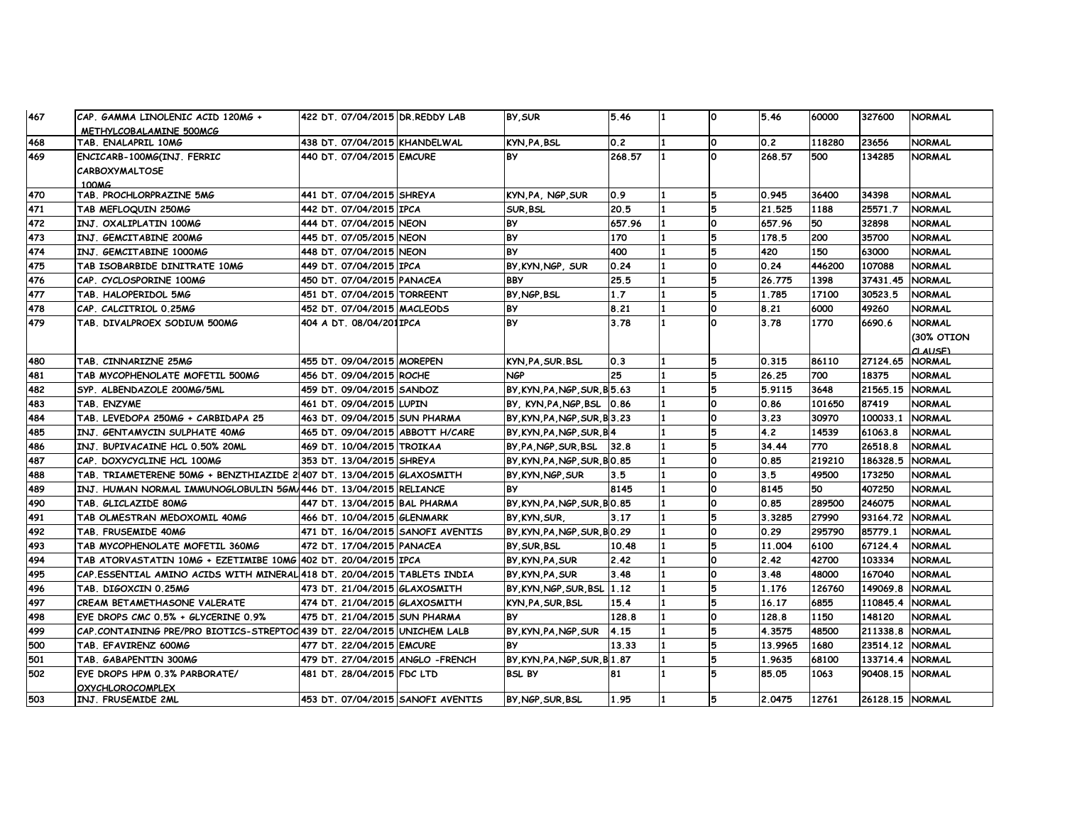| 467 | CAP. GAMMA LINOLENIC ACID 120MG +                                       | 422 DT. 07/04/2015 DR.REDDY LAB   | BY SUR                        | 5.46   |                | 0        | 5.46    | 60000  | 327600          | <b>NORMAL</b> |
|-----|-------------------------------------------------------------------------|-----------------------------------|-------------------------------|--------|----------------|----------|---------|--------|-----------------|---------------|
|     | METHYLCOBALAMINE 500MCG                                                 |                                   |                               |        |                |          |         |        |                 |               |
| 468 | TAB. ENALAPRIL 10MG                                                     | 438 DT. 07/04/2015 KHANDELWAL     | KYN PA BSL                    | 0.2    |                | ١o       | 0.2     | 118280 | 23656           | <b>NORMAL</b> |
| 469 | ENCICARB-100MG(INJ. FERRIC                                              | 440 DT. 07/04/2015 EMCURE         | <b>BY</b>                     | 268.57 |                | $\Omega$ | 268.57  | 500    | 134285          | <b>NORMAL</b> |
|     | <b>CARBOXYMALTOSE</b>                                                   |                                   |                               |        |                |          |         |        |                 |               |
| 470 | 100 <sub>M</sub> G<br>TAB. PROCHLORPRAZINE 5MG                          | 441 DT. 07/04/2015 SHREYA         | KYN PA. NGP SUR               | 0.9    |                | 5        | 0.945   | 36400  | 34398           | <b>NORMAL</b> |
|     |                                                                         |                                   |                               |        |                |          |         |        |                 |               |
| 471 | TAB MEFLOQUIN 250MG                                                     | 442 DT. 07/04/2015 IPCA           | SUR BSL                       | 20.5   |                | 5        | 21.525  | 1188   | 25571.7         | <b>NORMAL</b> |
| 472 | INJ. OXALIPLATIN 100MG                                                  | 444 DT. 07/04/2015 NEON           | <b>BY</b>                     | 657.96 |                | O        | 657.96  | 50     | 32898           | <b>NORMAL</b> |
| 473 | INJ. GEMCITABINE 200MG                                                  | 445 DT. 07/05/2015 NEON           | <b>BY</b>                     | 170    |                |          | 178.5   | 200    | 35700           | <b>NORMAL</b> |
| 474 | INJ. GEMCITABINE 1000MG                                                 | 448 DT. 07/04/2015 NEON           | <b>BY</b>                     | 400    |                | 5        | 420     | 150    | 63000           | <b>NORMAL</b> |
| 475 | TAB ISOBARBIDE DINITRATE 10MG                                           | 449 DT. 07/04/2015 IPCA           | BY, KYN, NGP, SUR             | 0.24   |                | O        | 0.24    | 446200 | 107088          | <b>NORMAL</b> |
| 476 | CAP. CYCLOSPORINE 100MG                                                 | 450 DT. 07/04/2015 PANACEA        | <b>BBY</b>                    | 25.5   |                | 5        | 26.775  | 1398   | 37431.45        | <b>NORMAL</b> |
| 477 | TAB. HALOPERIDOL 5MG                                                    | 451 DT. 07/04/2015 TORREENT       | BY NGP BSL                    | 1.7    |                | 5        | 1.785   | 17100  | 30523.5         | <b>NORMAL</b> |
| 478 | CAP. CALCITRIOL 0.25MG                                                  | 452 DT. 07/04/2015   MACLEODS     | <b>BY</b>                     | 8.21   |                | O        | 8.21    | 6000   | 49260           | <b>NORMAL</b> |
| 479 | TAB. DIVALPROEX SODIUM 500MG                                            | 404 A DT. 08/04/201IPCA           | <b>BY</b>                     | 3.78   | $\blacksquare$ | O        | 3.78    | 1770   | 6690.6          | <b>NORMAL</b> |
|     |                                                                         |                                   |                               |        |                |          |         |        |                 | (30% OTION    |
|     |                                                                         |                                   |                               |        |                |          |         |        |                 | CLAUSE)       |
| 480 | TAB. CINNARIZNE 25MG                                                    | 455 DT. 09/04/2015 MOREPEN        | KYN, PA, SUR. BSL             | 0.3    |                | 5        | 0.315   | 86110  | 27124.65        | <b>NORMAL</b> |
| 481 | TAB MYCOPHENOLATE MOFETIL 500MG                                         | 456 DT. 09/04/2015 ROCHE          | <b>NGP</b>                    | 25     |                | 5        | 26.25   | 700    | 18375           | <b>NORMAL</b> |
| 482 | SYP. ALBENDAZOLE 200MG/5ML                                              | 459 DT. 09/04/2015 SANDOZ         | BY KYN PA NGP SUR B 5.63      |        |                | 5        | 5.9115  | 3648   | 21565.15        | <b>NORMAL</b> |
| 483 | TAB. ENZYME                                                             | 461 DT. 09/04/2015 LUPIN          | BY, KYN, PA, NGP, BSL         | 0.86   |                | O        | 0.86    | 101650 | 87419           | <b>NORMAL</b> |
| 484 | TAB. LEVEDOPA 250MG + CARBIDAPA 25                                      | 463 DT. 09/04/2015 SUN PHARMA     | BY, KYN, PA, NGP, SUR, B 3.23 |        |                | O        | 3.23    | 30970  | 100033.1        | <b>NORMAL</b> |
| 485 | INJ. GENTAMYCIN SULPHATE 40MG                                           | 465 DT. 09/04/2015 ABBOTT H/CARE  | BY KYN PA NGP SUR B4          |        |                | 5        | 4.2     | 14539  | 61063.8         | <b>NORMAL</b> |
| 486 | INJ. BUPIVACAINE HCL 0.50% 20ML                                         | 469 DT. 10/04/2015 TROIKAA        | BY, PA, NGP, SUR, BSL         | 32.8   |                | 5        | 34.44   | 770    | 26518.8         | <b>NORMAL</b> |
| 487 | CAP. DOXYCYCLINE HCL 100MG                                              | 353 DT. 13/04/2015 SHREYA         | BY KYN PA NGP SUR BO.85       |        |                | O        | 0.85    | 219210 | 186328.5        | <b>NORMAL</b> |
| 488 | TAB. TRIAMETERENE 50MG + BENZTHIAZIDE 21407 DT. 13/04/2015 GLAXOSMITH   |                                   | BY KYN NGP SUR                | 3.5    |                | O        | 3.5     | 49500  | 173250          | <b>NORMAL</b> |
| 489 | INJ. HUMAN NORMAL IMMUNOGLOBULIN 5GM/446 DT. 13/04/2015 RELIANCE        |                                   | <b>BY</b>                     | 8145   |                | <b>O</b> | 8145    | 50     | 407250          | <b>NORMAL</b> |
| 490 | TAB. GLICLAZIDE 80MG                                                    | 447 DT. 13/04/2015 BAL PHARMA     | BY, KYN, PA, NGP, SUR, BO.85  |        |                | O        | 0.85    | 289500 | 246075          | <b>NORMAL</b> |
| 491 | TAB OLMESTRAN MEDOXOMIL 40MG                                            | 466 DT. 10/04/2015 GLENMARK       | BY KYN SUR                    | 3.17   |                | 5        | 3.3285  | 27990  | 93164.72        | <b>NORMAL</b> |
| 492 | TAB. FRUSEMIDE 40MG                                                     | 471 DT. 16/04/2015 SANOFI AVENTIS | BY, KYN, PA, NGP, SUR, BO. 29 |        |                | O        | 0.29    | 295790 | 85779.1         | <b>NORMAL</b> |
| 493 | TAB MYCOPHENOLATE MOFETIL 360MG                                         | 472 DT. 17/04/2015 PANACEA        | BY SUR BSL                    | 10.48  |                | 5        | 11.004  | 6100   | 67124.4         | <b>NORMAL</b> |
| 494 | TAB ATORVASTATIN 10MG + EZETIMIBE 10MG                                  | 402 DT. 20/04/2015 IPCA           | BY, KYN, PA, SUR              | 2.42   |                | l0.      | 2.42    | 42700  | 103334          | <b>NORMAL</b> |
| 495 | CAP ESSENTIAL AMINO ACIDS WITH MINERAL 418 DT. 20/04/2015 TABLETS INDIA |                                   | BY KYN PA SUR                 | 3.48   |                | O        | 3.48    | 48000  | 167040          | <b>NORMAL</b> |
| 496 | TAB. DIGOXCIN 0.25MG                                                    | 473 DT. 21/04/2015 GLAXOSMITH     | BY KYN NGP SUR BSL 1.12       |        |                | 5        | 1.176   | 126760 | 149069.8        | <b>NORMAL</b> |
| 497 | CREAM BETAMETHASONE VALERATE                                            | 474 DT. 21/04/2015 GLAXOSMITH     | KYN PA SUR BSL                | 15.4   |                | 5        | 16.17   | 6855   | 110845.4        | <b>NORMAL</b> |
| 498 | EYE DROPS CMC 0.5% + GLYCERINE 0.9%                                     | 475 DT. 21/04/2015 SUN PHARMA     | <b>BY</b>                     | 128.8  |                | O        | 128.8   | 1150   | 148120          | <b>NORMAL</b> |
| 499 | CAP.CONTAINING PRE/PRO BIOTICS-STREPTOC 439 DT. 22/04/2015 UNICHEM LALB |                                   | BY, KYN, PA, NGP, SUR         | 4.15   |                | 5        | 4.3575  | 48500  | 211338.8        | <b>NORMAL</b> |
| 500 | TAB. EFAVIRENZ 600MG                                                    | 477 DT. 22/04/2015 EMCURE         | <b>BY</b>                     | 13.33  |                | 5        | 13.9965 | 1680   | 23514.12        | <b>NORMAL</b> |
| 501 | TAB. GABAPENTIN 300MG                                                   | 479 DT. 27/04/2015 ANGLO - FRENCH | BY KYN PA NGP SUR B 1.87      |        |                | 5        | 1.9635  | 68100  | 133714.4        | <b>NORMAL</b> |
| 502 | EYE DROPS HPM 0.3% PARBORATE/                                           | 481 DT. 28/04/2015 FDC LTD        | <b>BSL BY</b>                 | 81     |                | 5        | 85.05   | 1063   | 90408.15        | <b>NORMAL</b> |
|     | <b>OXYCHLOROCOMPLEX</b>                                                 |                                   |                               |        |                |          |         |        |                 |               |
| 503 | INJ. FRUSEMIDE 2ML                                                      | 453 DT. 07/04/2015 SANOFI AVENTIS | BY NGP SUR BSL                | 1.95   |                | 5        | 2.0475  | 12761  | 26128.15 NORMAL |               |
|     |                                                                         |                                   |                               |        |                |          |         |        |                 |               |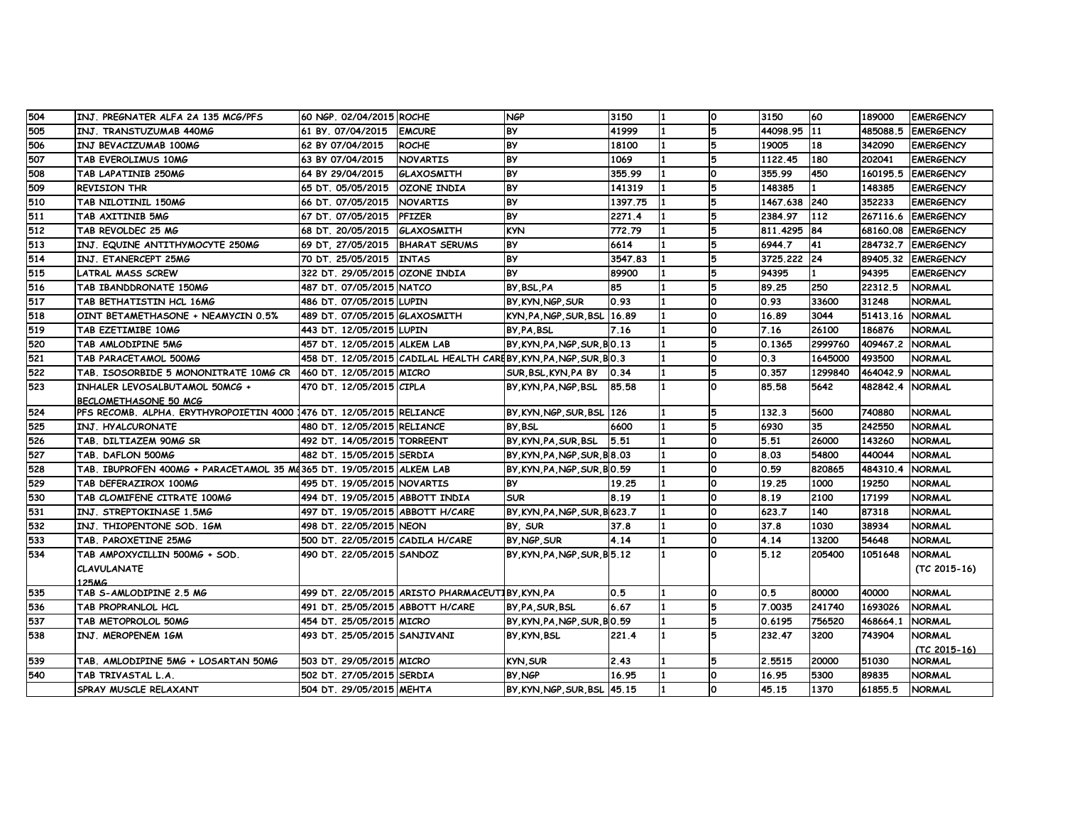| 504 | INJ. PREGNATER ALFA 2A 135 MCG/PFS                                   | 60 NGP. 02/04/2015 ROCHE         |                                                                   | <b>NGP</b>                    | 3150    | 11 | ١o           | 3150         | 60        | 189000   | <b>EMERGENCY</b>   |
|-----|----------------------------------------------------------------------|----------------------------------|-------------------------------------------------------------------|-------------------------------|---------|----|--------------|--------------|-----------|----------|--------------------|
| 505 | INJ. TRANSTUZUMAB 440MG                                              | 61 BY 07/04/2015                 | <b>EMCURE</b>                                                     | <b>BY</b>                     | 41999   | 11 | 5            | 44098.95 11  |           | 485088.5 | <b>EMERGENCY</b>   |
| 506 | INJ BEVACIZUMAB 100MG                                                | 62 BY 07/04/2015                 | <b>ROCHE</b>                                                      | <b>BY</b>                     | 18100   | 11 | 5            | 19005        | 18        | 342090   | <b>EMERGENCY</b>   |
| 507 | TAB EVEROLIMUS 10MG                                                  | 63 BY 07/04/2015                 | <b>NOVARTIS</b>                                                   | <b>BY</b>                     | 1069    |    | 5            | 1122.45      | 180       | 202041   | <b>EMERGENCY</b>   |
| 508 | TAB LAPATINIB 250MG                                                  | 64 BY 29/04/2015                 | <b>GLAXOSMITH</b>                                                 | <b>BY</b>                     | 355.99  |    | O            | 355.99       | 450       | 160195.5 | <b>EMERGENCY</b>   |
| 509 | <b>REVISION THR</b>                                                  | 65 DT. 05/05/2015 OZONE INDIA    |                                                                   | <b>BY</b>                     | 141319  |    |              | 148385       |           | 148385   | <b>EMERGENCY</b>   |
| 510 | TAB NILOTINIL 150MG                                                  | 66 DT. 07/05/2015                | <b>NOVARTIS</b>                                                   | <b>BY</b>                     | 1397.75 |    | 5            | 1467.638 240 |           | 352233   | <b>EMERGENCY</b>   |
| 511 | TAB AXITINIB 5MG                                                     | 67 DT. 07/05/2015                | <b>PFIZER</b>                                                     | <b>BY</b>                     | 2271.4  |    | 5            | 2384.97      | 112       |          | 267116.6 EMERGENCY |
| 512 | TAB REVOLDEC 25 MG                                                   | 68 DT. 20/05/2015 GLAXOSMITH     |                                                                   | <b>KYN</b>                    | 772.79  |    |              | 811.4295 84  |           | 68160.08 | <b>EMERGENCY</b>   |
| 513 | INJ. EQUINE ANTITHYMOCYTE 250MG                                      | 69 DT, 27/05/2015 BHARAT SERUMS  |                                                                   | <b>BY</b>                     | 6614    |    | 5            | 6944.7       | <b>41</b> | 284732.7 | <b>EMERGENCY</b>   |
| 514 | INJ. ETANERCEPT 25MG                                                 | 70 DT. 25/05/2015 INTAS          |                                                                   | <b>BY</b>                     | 3547.83 |    | 5            | 3725.222 24  |           |          | 89405.32 EMERGENCY |
| 515 | <b>LATRAL MASS SCREW</b>                                             | 322 DT. 29/05/2015 OZONE INDIA   |                                                                   | <b>BY</b>                     | 89900   |    | 5            | 94395        | 11.       | 94395    | <b>EMERGENCY</b>   |
| 516 | TAB IBANDDRONATE 150MG                                               | 487 DT. 07/05/2015 NATCO         |                                                                   | BY BSL PA                     | 85      |    |              | 89.25        | 250       | 22312.5  | <b>NORMAL</b>      |
| 517 | TAB BETHATISTIN HCL 16MG                                             | 486 DT. 07/05/2015 LUPIN         |                                                                   | BY KYN NGP SUR                | 0.93    |    | O            | 0.93         | 33600     | 31248    | <b>NORMAL</b>      |
| 518 | OINT BETAMETHASONE + NEAMYCIN 0.5%                                   | 489 DT. 07/05/2015 GLAXOSMITH    |                                                                   | KYN, PA, NGP, SUR, BSL 16.89  |         |    | <b>O</b>     | 16.89        | 3044      | 51413.16 | <b>NORMAL</b>      |
| 519 | TAB EZETIMIBE 10MG                                                   | 443 DT. 12/05/2015 LUPIN         |                                                                   | BY PA BSL                     | 7.16    |    | $\Omega$     | 7.16         | 26100     | 186876   | <b>NORMAL</b>      |
| 520 | TAB AMLODIPINE 5MG                                                   | 457 DT. 12/05/2015 ALKEM LAB     |                                                                   | BY KYN PA NGP SUR BO.13       |         |    |              | 0.1365       | 2999760   | 409467.2 | <b>NORMAL</b>      |
| 521 | TAB PARACETAMOL 500MG                                                |                                  | 458 DT. 12/05/2015 CADILAL HEALTH CAREBY, KYN, PA, NGP, SUR, BO.3 |                               |         |    | O            | 0.3          | 1645000   | 493500   | <b>NORMAL</b>      |
| 522 | TAB. ISOSORBIDE 5 MONONITRATE 10MG CR                                | 460 DT. 12/05/2015 MICRO         |                                                                   | SUR, BSL, KYN, PA BY          | 0.34    |    | 5            | 0.357        | 1299840   | 464042.9 | <b>NORMAL</b>      |
| 523 | INHALER LEVOSALBUTAMOL 50MCG +                                       | 470 DT. 12/05/2015 CIPLA         |                                                                   | BY, KYN, PA, NGP, BSL         | 85.58   |    | <b>O</b>     | 85.58        | 5642      | 482842.4 | <b>NORMAL</b>      |
|     | <b>BECLOMETHASONE 50 MCG</b>                                         |                                  |                                                                   |                               |         |    |              |              |           |          |                    |
| 524 | PFS RECOMB. ALPHA. ERYTHYROPOIETIN 4000 1476 DT. 12/05/2015 RELIANCE |                                  |                                                                   | BY KYN NGP SUR BSL 126        |         |    | 5            | 132.3        | 5600      | 740880   | <b>NORMAL</b>      |
| 525 | IINJ. HYALCURONATE                                                   | 480 DT. 12/05/2015 RELIANCE      |                                                                   | BY BSL                        | 6600    |    | 5            | 6930         | 35        | 242550   | <b>NORMAL</b>      |
| 526 | TAB. DILTIAZEM 90MG SR                                               | 492 DT. 14/05/2015 TORREENT      |                                                                   | BY KYN PA SUR BSL             | 5.51    |    | <b>O</b>     | 5.51         | 26000     | 143260   | <b>NORMAL</b>      |
| 527 | TAB. DAFLON 500MG                                                    | 482 DT. 15/05/2015 SERDIA        |                                                                   | BY KYN PA NGP SUR B 8.03      |         |    | O            | 8.03         | 54800     | 440044   | <b>NORMAL</b>      |
| 528 | TAB. IBUPROFEN 400MG + PARACETAMOL 35 Md365 DT. 19/05/2015 ALKEM LAB |                                  |                                                                   | BY, KYN, PA, NGP, SUR, BO. 59 |         |    | <sup>o</sup> | 0.59         | 820865    | 484310.4 | <b>NORMAL</b>      |
| 529 | TAB DEFERAZIROX 100MG                                                | 495 DT. 19/05/2015 NOVARTIS      |                                                                   | <b>BY</b>                     | 19.25   |    | O            | 19.25        | 1000      | 19250    | <b>NORMAL</b>      |
| 530 | TAB CLOMIFENE CITRATE 100MG                                          | 494 DT. 19/05/2015 ABBOTT INDIA  |                                                                   | <b>SUR</b>                    | 8.19    |    | O            | 8.19         | 2100      | 17199    | <b>NORMAL</b>      |
| 531 | INJ. STREPTOKINASE 1.5MG                                             | 497 DT. 19/05/2015 ABBOTT H/CARE |                                                                   | BY, KYN, PA, NGP, SUR, B623.7 |         |    | <b>O</b>     | 623.7        | 140       | 87318    | <b>NORMAL</b>      |
| 532 | INJ. THIOPENTONE SOD. 1GM                                            | 498 DT. 22/05/2015 NEON          |                                                                   | BY SUR                        | 37.8    |    | O            | 37.8         | 1030      | 38934    | <b>NORMAL</b>      |
| 533 | TAB. PAROXETINE 25MG                                                 | 500 DT. 22/05/2015 CADILA H/CARE |                                                                   | BY NGP SUR                    | 4.14    |    | $\Omega$     | 4.14         | 13200     | 54648    | <b>NORMAL</b>      |
| 534 | TAB AMPOXYCILLIN 500MG + SOD.                                        | 490 DT. 22/05/2015 SANDOZ        |                                                                   | BY KYN PA NGP SUR B5.12       |         |    | <sup>o</sup> | 5.12         | 205400    | 1051648  | <b>NORMAL</b>      |
|     | <b>CLAVULANATE</b>                                                   |                                  |                                                                   |                               |         |    |              |              |           |          | $(TC 2015-16)$     |
|     | <b>125MG</b>                                                         |                                  |                                                                   |                               |         |    |              |              |           |          |                    |
| 535 | TAB S-AMLODIPINE 2.5 MG                                              |                                  | 499 DT. 22/05/2015 ARISTO PHARMACEUTIBY KYN PA                    |                               | 0.5     |    | O            | 0.5          | 80000     | 40000    | <b>NORMAL</b>      |
| 536 | TAB PROPRANLOL HCL                                                   | 491 DT. 25/05/2015 ABBOTT H/CARE |                                                                   | BY PA SUR BSL                 | 6.67    |    | 5            | 7.0035       | 241740    | 1693026  | <b>NORMAL</b>      |
| 537 | TAB METOPROLOL 50MG                                                  | 454 DT. 25/05/2015 MICRO         |                                                                   | BY, KYN, PA, NGP, SUR, BO. 59 |         | 11 | 5            | 0.6195       | 756520    | 468664.1 | <b>NORMAL</b>      |
| 538 | INJ. MEROPENEM 1GM                                                   | 493 DT. 25/05/2015 SANJIVANI     |                                                                   | BY KYN BSL                    | 221.4   |    | 5            | 232.47       | 3200      | 743904   | <b>NORMAL</b>      |
|     |                                                                      |                                  |                                                                   |                               |         |    |              |              |           |          | (TC 2015-16)       |
| 539 | TAB. AMLODIPINE 5MG + LOSARTAN 50MG                                  | 503 DT. 29/05/2015 MICRO         |                                                                   | <b>KYN, SUR</b>               | 2.43    |    | 5            | 2.5515       | 20000     | 51030    | <b>NORMAL</b>      |
| 540 | TAB TRIVASTAL L.A.                                                   | 502 DT. 27/05/2015 SERDIA        |                                                                   | BY NGP                        | 16.95   |    | O            | 16.95        | 5300      | 89835    | <b>NORMAL</b>      |
|     | SPRAY MUSCLE RELAXANT                                                | 504 DT. 29/05/2015 MEHTA         |                                                                   | BY, KYN, NGP, SUR, BSL 45.15  |         |    | ٥            | 45.15        | 1370      | 61855.5  | <b>NORMAL</b>      |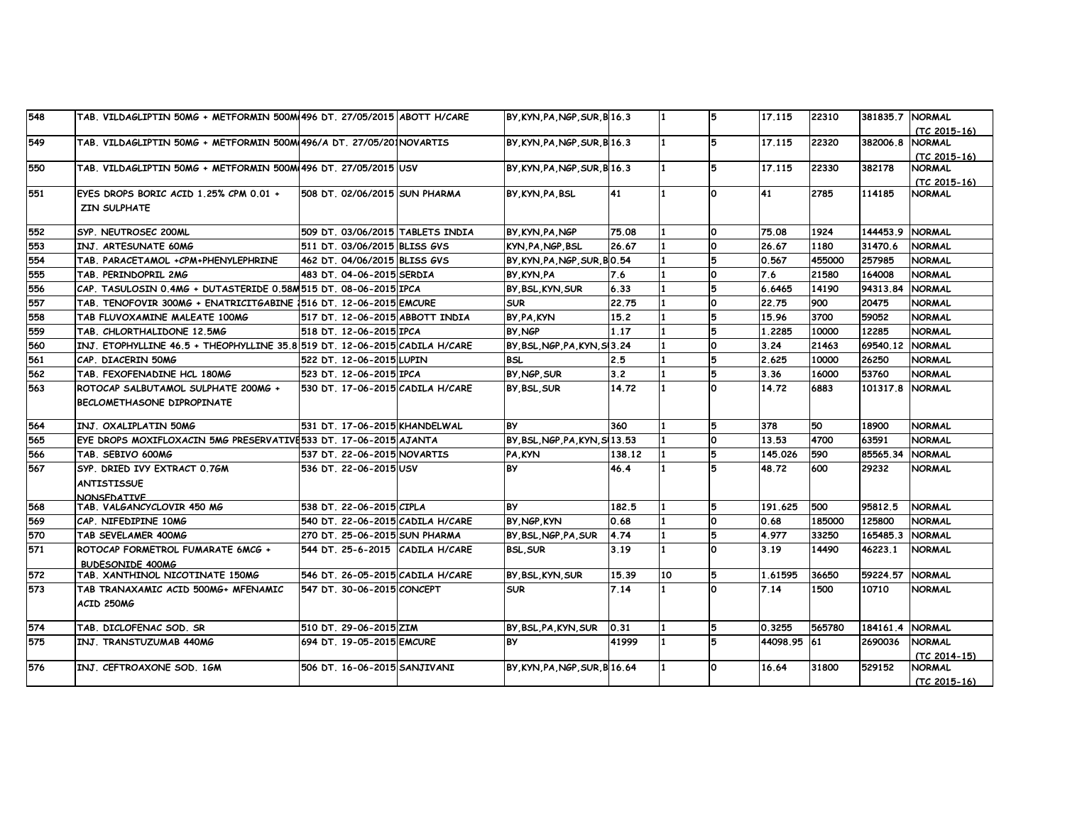| 548 | TAB. VILDAGLIPTIN 50MG + METFORMIN 500M(496 DT. 27/05/2015 ABOTT H/CARE    |                                   | BY KYN PA NGP SUR B 16.3        |        |     | 5             | 17.115      | 22310  | 381835.7 NORMAL |                                 |
|-----|----------------------------------------------------------------------------|-----------------------------------|---------------------------------|--------|-----|---------------|-------------|--------|-----------------|---------------------------------|
|     |                                                                            |                                   |                                 |        |     |               |             |        |                 | (TC 2015-16)                    |
| 549 | TAB. VILDAGLIPTIN 50MG + METFORMIN 500M(496/A DT. 27/05/201NOVARTIS        |                                   | BY KYN PA NGP SUR B 16.3        |        |     | 5             | 17.115      | 22320  | 382006.8        | <b>NORMAL</b>                   |
|     |                                                                            |                                   |                                 |        |     |               |             |        |                 | (TC 2015-16)                    |
| 550 | TAB. VILDAGLIPTIN 50MG + METFORMIN 500M(496 DT. 27/05/2015 USV             |                                   | BY KYN PA NGP SUR B 16.3        |        |     | 5             | 17.115      | 22330  | 382178          | <b>NORMAL</b>                   |
| 551 | EYES DROPS BORIC ACID 1.25% CPM 0.01 +                                     | 508 DT. 02/06/2015 SUN PHARMA     | BY KYN PA BSL                   | 41     |     | <b>O</b>      | 41          | 2785   | 114185          | $(TC 2015-16)$<br><b>NORMAL</b> |
|     | <b>ZIN SULPHATE</b>                                                        |                                   |                                 |        |     |               |             |        |                 |                                 |
|     |                                                                            |                                   |                                 |        |     |               |             |        |                 |                                 |
| 552 | SYP. NEUTROSEC 200ML                                                       | 509 DT. 03/06/2015 TABLETS INDIA  | BY, KYN, PA, NGP                | 75.08  |     | n.            | 75.08       | 1924   | 144453.9        | <b>NORMAL</b>                   |
| 553 | INJ. ARTESUNATE 60MG                                                       | 511 DT. 03/06/2015 BLISS GVS      | KYN PA NGP BSL                  | 26.67  | 11  | O             | 26.67       | 1180   | 31470.6         | <b>NORMAL</b>                   |
| 554 | TAB. PARACETAMOL +CPM+PHENYLEPHRINE                                        | 462 DT. 04/06/2015 BLISS GVS      | BY KYN PA NGP SUR BO.54         |        |     | 5             | 0.567       | 455000 | 257985          | <b>NORMAL</b>                   |
| 555 | TAB. PERINDOPRIL 2MG                                                       | 483 DT. 04-06-2015 SERDIA         | <b>BY KYN PA</b>                | 7.6    |     | O             | 7.6         | 21580  | 164008          | <b>NORMAL</b>                   |
| 556 | CAP. TASULOSIN 0.4MG + DUTASTERIDE 0.58M515 DT. 08-06-2015 IPCA            |                                   | BY, BSL, KYN, SUR               | 6.33   |     | 5             | 6.6465      | 14190  | 94313.84        | <b>NORMAL</b>                   |
| 557 | TAB. TENOFOVIR 300MG + ENATRICITGABINE 1516 DT. 12-06-2015 EMCURE          |                                   | <b>SUR</b>                      | 22.75  |     | O             | 22.75       | 900    | 20475           | <b>NORMAL</b>                   |
| 558 | TAB FLUVOXAMINE MALEATE 100MG                                              | 517 DT. 12-06-2015 ABBOTT INDIA   | BY, PA, KYN                     | 15.2   |     | 5             | 15.96       | 3700   | 59052           | <b>NORMAL</b>                   |
| 559 | TAB. CHLORTHALIDONE 12.5MG                                                 | 518 DT. 12-06-2015 IPCA           | BY NGP                          | 1.17   |     | 5             | 1.2285      | 10000  | 12285           | <b>NORMAL</b>                   |
| 560 | INJ. ETOPHYLLINE 46.5 + THEOPHYLLINE 35.8 519 DT. 12-06-2015 CADILA H/CARE |                                   | BY BSL NGP PA KYN S13.24        |        |     | l0.           | 3.24        | 21463  | 69540.12        | <b>NORMAL</b>                   |
| 561 | CAP. DIACERIN 50MG                                                         | 522 DT. 12-06-2015 LUPIN          | <b>BSL</b>                      | 2.5    |     | 5             | 2.625       | 10000  | 26250           | <b>NORMAL</b>                   |
| 562 | TAB. FEXOFENADINE HCL 180MG                                                | 523 DT. 12-06-2015 IPCA           | BY NGP SUR                      | 3.2    |     | 5             | 3.36        | 16000  | 53760           | <b>NORMAL</b>                   |
| 563 | ROTOCAP SALBUTAMOL SULPHATE 200MG +                                        | 1530 DT. 17-06-2015 CADILA H/CARE | BY BSL SUR                      | 14.72  |     | <sup>o</sup>  | 14.72       | 6883   | 101317.8        | <b>NORMAL</b>                   |
|     | BECLOMETHASONE DIPROPINATE                                                 |                                   |                                 |        |     |               |             |        |                 |                                 |
|     |                                                                            |                                   |                                 |        |     |               |             |        |                 |                                 |
| 564 | INJ. OXALIPLATIN 50MG                                                      | 1531 DT. 17-06-2015 KHANDELWAL    | <b>BY</b>                       | 360    |     | 5             | 378         | 50     | 18900           | <b>NORMAL</b>                   |
| 565 | EYE DROPS MOXIFLOXACIN 5MG PRESERVATIVE533 DT. 17-06-2015 AJANTA           |                                   | BY, BSL, NGP, PA, KYN, SI 13.53 |        |     | ٥             | 13.53       | 4700   | 63591           | <b>NORMAL</b>                   |
| 566 | TAB. SEBIVO 600MG                                                          | 537 DT. 22-06-2015 NOVARTIS       | PA, KYN                         | 138.12 |     | 5             | 145.026     | 590    | 85565.34        | <b>NORMAL</b>                   |
| 567 | SYP. DRIED IVY EXTRACT 0.7GM                                               | 536 DT. 22-06-2015 USV            | <b>BY</b>                       | 46.4   |     | 5             | 48.72       | 600    | 29232           | <b>NORMAL</b>                   |
|     | <b>ANTISTISSUE</b>                                                         |                                   |                                 |        |     |               |             |        |                 |                                 |
|     | <b>NONSEDATIVE</b>                                                         |                                   |                                 |        |     |               |             |        |                 |                                 |
| 568 | TAB. VALGANCYCLOVIR 450 MG                                                 | 538 DT. 22-06-2015 CIPLA          | <b>BY</b>                       | 182.5  |     | 5             | 191.625     | 500    | 95812.5         | <b>NORMAL</b>                   |
| 569 | CAP. NIFEDIPINE 10MG                                                       | 540 DT. 22-06-2015 CADILA H/CARE  | BY NGP KYN                      | 0.68   | 11  | O             | 0.68        | 185000 | 125800          | <b>NORMAL</b>                   |
| 570 | TAB SEVELAMER 400MG                                                        | 270 DT. 25-06-2015 SUN PHARMA     | IBY BSL NGP PA SUR              | 4.74   | 11. | 5             | 4.977       | 33250  | 165485.3        | <b>NORMAL</b>                   |
| 571 | ROTOCAP FORMETROL FUMARATE 6MCG +                                          | 544 DT. 25-6-2015 CADILA H/CARE   | <b>BSL, SUR</b>                 | 3.19   |     | O             | 3.19        | 14490  | 46223.1         | <b>NORMAL</b>                   |
|     | <b>BUDESONIDE 400MG</b>                                                    |                                   |                                 |        |     |               |             |        |                 |                                 |
| 572 | TAB. XANTHINOL NICOTINATE 150MG                                            | 546 DT. 26-05-2015 CADILA H/CARE  | BY BSL KYN SUR                  | 15.39  | 10  | 5<br><b>O</b> | 1.61595     | 36650  | 59224.57        | <b>NORMAL</b>                   |
| 573 | TAB TRANAXAMIC ACID 500MG+ MFENAMIC                                        | 547 DT. 30-06-2015 CONCEPT        | <b>SUR</b>                      | 7.14   | 11. |               | 7.14        | 1500   | 10710           | <b>NORMAL</b>                   |
|     | ACID 250MG                                                                 |                                   |                                 |        |     |               |             |        |                 |                                 |
| 574 | TAB. DICLOFENAC SOD. SR                                                    | 510 DT. 29-06-2015 ZIM            | BY, BSL, PA, KYN, SUR           | 0.31   |     | 5             | 0.3255      | 565780 | 184161.4        | <b>NORMAL</b>                   |
| 575 | INJ. TRANSTUZUMAB 440MG                                                    | 694 DT. 19-05-2015 EMCURE         | <b>BY</b>                       | 41999  |     | 5             | 44098.95 61 |        | 2690036         | <b>NORMAL</b>                   |
|     |                                                                            |                                   |                                 |        |     |               |             |        |                 | (TC 2014-15)                    |
| 576 | INJ. CEFTROAXONE SOD. 1GM                                                  | 506 DT. 16-06-2015 SANJIVANI      | BY, KYN, PA, NGP, SUR, B16.64   |        | 1   | O             | 16.64       | 31800  | 529152          | <b>NORMAL</b>                   |
|     |                                                                            |                                   |                                 |        |     |               |             |        |                 | $(TC 2015-16)$                  |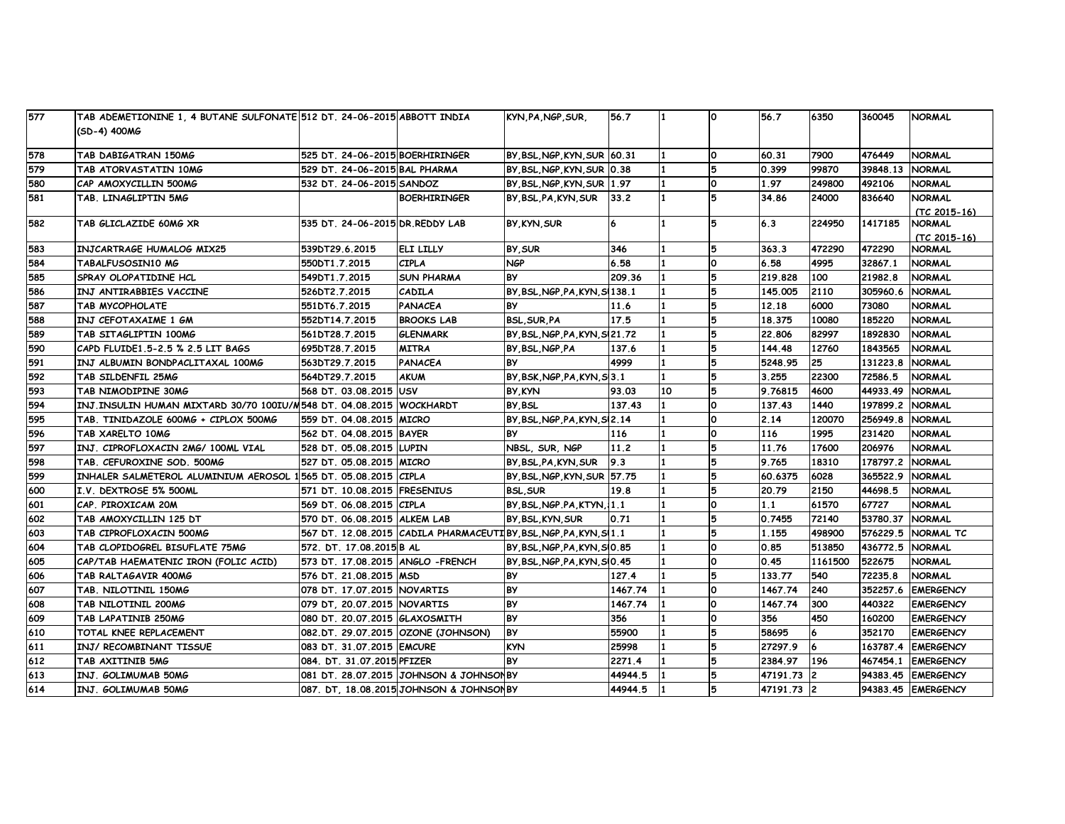| 577 | TAB ADEMETIONINE 1, 4 BUTANE SULFONATE 512 DT, 24-06-2015 ABBOTT INDIA |                                   |                                                               | KYN, PA, NGP, SUR,              | 56.7    |    | ١o       | 56.7       | 6350     | 360045   | <b>NORMAL</b>      |
|-----|------------------------------------------------------------------------|-----------------------------------|---------------------------------------------------------------|---------------------------------|---------|----|----------|------------|----------|----------|--------------------|
|     | (SD-4) 400MG                                                           |                                   |                                                               |                                 |         |    |          |            |          |          |                    |
| 578 | TAB DABIGATRAN 150MG                                                   | 525 DT. 24-06-2015 BOERHIRINGER   |                                                               | BY BSL NGP KYN SUR 60.31        |         |    | ١o       | 60.31      | 7900     | 476449   | <b>NORMAL</b>      |
| 579 | TAB ATORVASTATIN 10MG                                                  | 529 DT. 24-06-2015 BAL PHARMA     |                                                               | BY BSL NGP KYN SUR 0.38         |         |    | 5        | 0.399      | 99870    | 39848.13 | <b>NORMAL</b>      |
| 580 | CAP AMOXYCILLIN 500MG                                                  | 532 DT. 24-06-2015 SANDOZ         |                                                               | BY BSL NGP KYN SUR              | 1.97    |    | ١o       | 1.97       | 249800   | 492106   | <b>NORMAL</b>      |
| 581 | TAB. LINAGLIPTIN 5MG                                                   |                                   | <b>BOERHIRINGER</b>                                           | BY, BSL, PA, KYN, SUR           | 33.2    |    | 15       | 34.86      | 24000    | 836640   | <b>NORMAL</b>      |
|     |                                                                        |                                   |                                                               |                                 |         |    |          |            |          |          | (TC 2015-16)       |
| 582 | TAB GLICLAZIDE 60MG XR                                                 | 535 DT. 24-06-2015 DR.REDDY LAB   |                                                               | BY KYN SUR                      | 6       |    | 5        | 6.3        | 224950   | 1417185  | <b>NORMAL</b>      |
|     |                                                                        |                                   |                                                               |                                 |         |    |          |            |          |          | (TC 2015-16)       |
| 583 | <b>INJCARTRAGE HUMALOG MIX25</b>                                       | 539DT29.6.2015                    | <b>ELI LILLY</b>                                              | BY SUR                          | 346     |    | 5        | 363.3      | 472290   | 472290   | <b>NORMAL</b>      |
| 584 | <b>TABALFUSOSIN10 MG</b>                                               | 550DT1.7.2015                     | <b>CIPLA</b>                                                  | <b>NGP</b>                      | 6.58    |    | ١o       | 6.58       | 4995     | 32867.1  | <b>NORMAL</b>      |
| 585 | <b>SPRAY OLOPATIDINE HCL</b>                                           | 549DT1.7.2015                     | <b>SUN PHARMA</b>                                             | <b>BY</b>                       | 209.36  |    | 5        | 219,828    | 100      | 21982.8  | <b>NORMAL</b>      |
| 586 | INJ ANTIRABBIES VACCINE                                                | 526DT2.7.2015                     | CADILA                                                        | BY BSL NGP PA KYN S 138.1       |         |    |          | 145,005    | 2110     | 305960.6 | <b>NORMAL</b>      |
| 587 | TAB MYCOPHOLATE                                                        | 551 DT6.7.2015                    | <b>PANACEA</b>                                                | <b>BY</b>                       | 11.6    |    | 5        | 12.18      | 6000     | 73080    | <b>NORMAL</b>      |
| 588 | INJ CEFOTAXAIME 1 GM                                                   | 552DT14.7.2015                    | <b>BROOKS LAB</b>                                             | <b>BSL.SUR.PA</b>               | 17.5    |    | 5        | 18.375     | 10080    | 185220   | <b>NORMAL</b>      |
| 589 | TAB SITAGLIPTIN 100MG                                                  | 561DT28.7.2015                    | <b>GLENMARK</b>                                               | BY, BSL, NGP, PA, KYN, SI 21.72 |         |    | 15       | 22,806     | 82997    | 1892830  | <b>NORMAL</b>      |
| 590 | CAPD FLUIDE1.5-2.5 % 2.5 LIT BAGS                                      | 695DT28.7.2015                    | <b>MITRA</b>                                                  | BY BSL NGP PA                   | 137.6   |    | 5        | 144.48     | 12760    | 1843565  | <b>NORMAL</b>      |
| 591 | INJ ALBUMIN BONDPACLITAXAL 100MG                                       | 563DT29.7.2015                    | PANACEA                                                       | <b>BY</b>                       | 4999    |    |          | 5248.95    | 25       | 131223.8 | <b>NORMAL</b>      |
| 592 | TAB SILDENFIL 25MG                                                     | 564DT29.7.2015                    | <b>AKUM</b>                                                   | BY BSK NGP PA KYN S 3.1         |         |    | 5        | 3.255      | 22300    | 72586.5  | <b>NORMAL</b>      |
| 593 | TAB NIMODIPINE 30MG                                                    | 568 DT. 03.08.2015 USV            |                                                               | BY, KYN                         | 93.03   | 10 | 5        | 9.76815    | 4600     | 44933.49 | <b>NORMAL</b>      |
| 594 | INJ.INSULIN HUMAN MIXTARD 30/70 100IU/M548 DT. 04.08.2015 WOCKHARDT    |                                   |                                                               | BY BSL                          | 137.43  |    | ١o       | 137.43     | 1440     | 197899.2 | <b>NORMAL</b>      |
| 595 | TAB. TINIDAZOLE 600MG + CIPLOX 500MG                                   | 1559 DT. 04.08.2015  MICRO        |                                                               | BY BSL NGP PA KYN S 2.14        |         |    | $\Omega$ | 2.14       | 120070   | 256949.8 | <b>NORMAL</b>      |
| 596 | TAB XARELTO 10MG                                                       | 562 DT. 04.08.2015 BAYER          |                                                               | <b>BY</b>                       | 116     |    | $\Omega$ | 116        | 1995     | 231420   | <b>NORMAL</b>      |
| 597 | INJ. CIPROFLOXACIN 2MG/ 100ML VIAL                                     | 528 DT. 05.08.2015 LUPIN          |                                                               | NBSL, SUR, NGP                  | 11.2    | 1  | 5        | 11.76      | 17600    | 206976   | <b>NORMAL</b>      |
| 598 | TAB. CEFUROXINE SOD. 500MG                                             | 527 DT. 05.08.2015 MICRO          |                                                               | BY BSL PA KYN SUR               | 9.3     |    | 15       | 9.765      | 18310    | 178797.2 | <b>NORMAL</b>      |
| 599 | INHALER SALMETEROL ALUMINIUM AEROSOL 1565 DT. 05.08.2015 CIPLA         |                                   |                                                               | BY, BSL, NGP, KYN, SUR 57.75    |         |    | 15       | 60.6375    | 6028     | 365522.9 | <b>NORMAL</b>      |
| 600 | I.V. DEXTROSE 5% 500ML                                                 | 571 DT. 10.08.2015 FRESENIUS      |                                                               | <b>BSL, SUR</b>                 | 19.8    |    |          | 20.79      | 2150     | 44698.5  | <b>NORMAL</b>      |
| 601 | CAP. PIROXICAM 20M                                                     | 569 DT. 06.08.2015                | <b>CIPLA</b>                                                  | BY, BSL, NGP.PA, KTYN, 1.1      |         |    | $\Omega$ | 1.1        | 61570    | 67727    | <b>NORMAL</b>      |
| 602 | TAB AMOXYCILLIN 125 DT                                                 | 570 DT. 06.08.2015 ALKEM LAB      |                                                               | BY BSL KYN SUR                  | 0.71    |    | 5        | 0.7455     | 72140    | 53780.37 | <b>NORMAL</b>      |
| 603 | TAB CIPROFLOXACIN 500MG                                                |                                   | 567 DT. 12.08.2015  CADILA PHARMACEUTIBY BSL,NGP,PA,KYN,SI1.1 |                                 |         | 1  | 5        | 1.155      | 498900   | 576229.5 | NORMAL TC          |
| 604 | TAB CLOPIDOGREL BISUFLATE 75MG                                         | 572. DT. 17.08.2015 B AL          |                                                               | BY, BSL, NGP, PA, KYN, SIO. 85  |         |    | $\Omega$ | 0.85       | 513850   | 436772.5 | <b>NORMAL</b>      |
| 605 | CAP/TAB HAEMATENIC IRON (FOLIC ACID)                                   | 573 DT. 17.08.2015 ANGLO - FRENCH |                                                               | BY, BSL, NGP, PA, KYN, SIO. 45  |         |    | $\Omega$ | 0.45       | 1161500  | 522675   | <b>NORMAL</b>      |
| 606 | TAB RALTAGAVIR 400MG                                                   | 1576 DT. 21.08.2015 IMSD          |                                                               | <b>BY</b>                       | 127.4   |    | 5        | 133.77     | 540      | 72235.8  | <b>NORMAL</b>      |
| 607 | TAB. NILOTINIL 150MG                                                   | 078 DT. 17.07.2015 NOVARTIS       |                                                               | <b>BY</b>                       | 1467.74 |    | ١o       | 1467.74    | 240      | 352257.6 | <b>EMERGENCY</b>   |
| 608 | TAB NILOTINIL 200MG                                                    | 079 DT, 20.07.2015 NOVARTIS       |                                                               | <b>BY</b>                       | 1467.74 |    | ١o       | 1467.74    | 300      | 440322   | <b>EMERGENCY</b>   |
| 609 | <b>TAB LAPATINIB 250MG</b>                                             | 080 DT. 20.07.2015 GLAXOSMITH     |                                                               | <b>BY</b>                       | 356     |    | ١o       | 356        | 450      | 160200   | <b>EMERGENCY</b>   |
| 610 | <b>TOTAL KNEE REPLACEMENT</b>                                          |                                   | 082.DT. 29.07.2015 OZONE (JOHNSON)                            | <b>BY</b>                       | 55900   |    | 5        | 58695      | 6        | 352170   | <b>EMERGENCY</b>   |
| 611 | INJ/ RECOMBINANT TISSUE                                                | 083 DT. 31.07.2015 EMCURE         |                                                               | <b>KYN</b>                      | 25998   |    | 5        | 27297.9    | 6        | 163787.4 | <b>EMERGENCY</b>   |
| 612 | TAB AXITINIB 5MG                                                       | 084. DT. 31.07.2015 PFIZER        |                                                               | <b>BY</b>                       | 2271.4  |    | 15       | 2384.97    | 196      | 467454.1 | <b>EMERGENCY</b>   |
| 613 | INJ. GOLIMUMAB 50MG                                                    |                                   | 081 DT. 28.07.2015 JOHNSON & JOHNSONBY                        |                                 | 44944.5 |    |          | 47191.73   | <b>2</b> | 94383.45 | <b>EMERGENCY</b>   |
| 614 | INJ. GOLIMUMAB 50MG                                                    |                                   | 087. DT, 18.08.2015 JOHNSON & JOHNSONBY                       |                                 | 44944.5 |    |          | 47191.73 2 |          |          | 94383.45 EMERGENCY |
|     |                                                                        |                                   |                                                               |                                 |         |    |          |            |          |          |                    |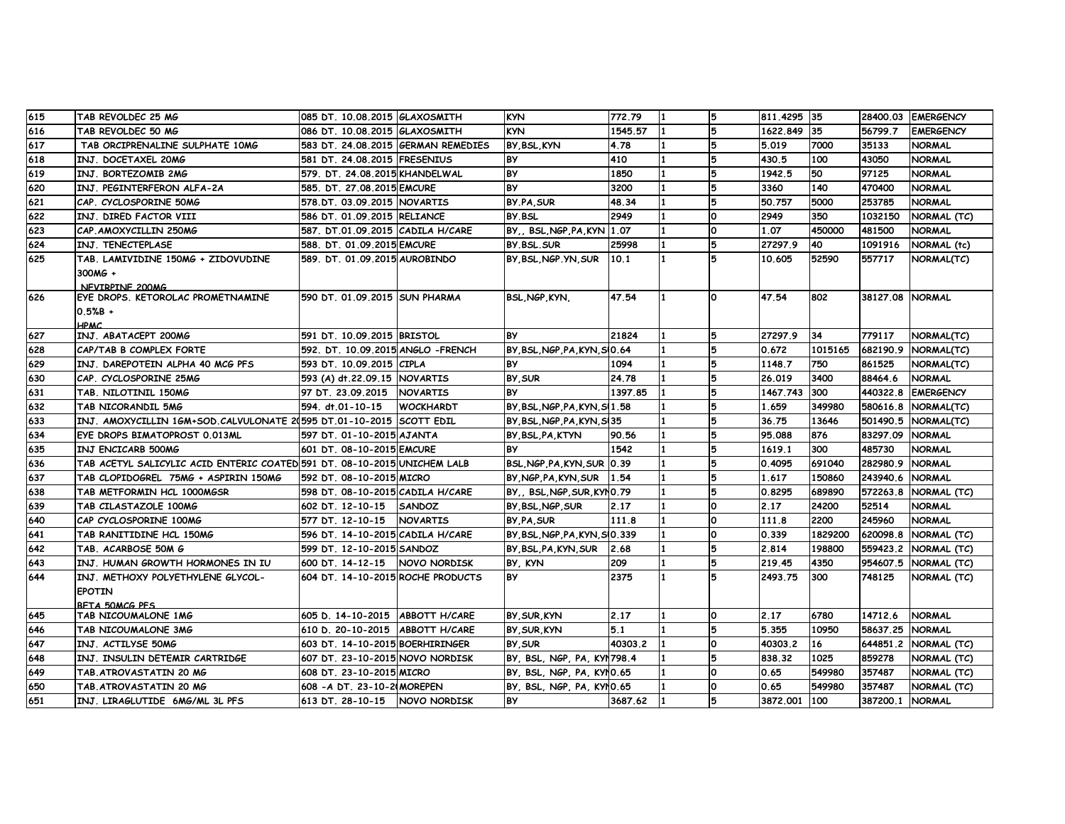| 615 | TAB REVOLDEC 25 MG                                                       | 085 DT. 10.08.2015 GLAXOSMITH      |                  | <b>KYN</b>                    | 772.79  |     |   | 811.4295 35  |         |          | 28400.03 EMERGENCY |
|-----|--------------------------------------------------------------------------|------------------------------------|------------------|-------------------------------|---------|-----|---|--------------|---------|----------|--------------------|
| 616 | TAB REVOLDEC 50 MG                                                       | 086 DT. 10.08.2015 GLAXOSMITH      |                  | <b>KYN</b>                    | 1545.57 |     | 5 | 1622.849     | 35      | 56799.7  | <b>EMERGENCY</b>   |
| 617 | TAB ORCIPRENALINE SULPHATE 10MG                                          | 583 DT. 24.08.2015 GERMAN REMEDIES |                  | BY BSL KYN                    | 4.78    |     | 5 | 5.019        | 7000    | 35133    | <b>NORMAL</b>      |
| 618 | INJ. DOCETAXEL 20MG                                                      | 581 DT. 24.08.2015 FRESENIUS       |                  | <b>BY</b>                     | 410     |     | 5 | 430.5        | 100     | 43050    | <b>NORMAL</b>      |
| 619 | INJ. BORTEZOMIB 2MG                                                      | 579. DT. 24.08.2015 KHANDELWAL     |                  | <b>BY</b>                     | 1850    |     | 5 | 1942.5       | 50      | 97125    | <b>NORMAL</b>      |
| 620 | INJ. PEGINTERFERON ALFA-2A                                               | 585. DT. 27.08.2015 EMCURE         |                  | <b>BY</b>                     | 3200    |     | 5 | 3360         | 140     | 470400   | <b>NORMAL</b>      |
| 621 | CAP. CYCLOSPORINE 50MG                                                   | 578.DT. 03.09.2015 NOVARTIS        |                  | BY PA SUR                     | 48.34   |     | 5 | 50.757       | 5000    | 253785   | <b>NORMAL</b>      |
| 622 | INJ. DIRED FACTOR VIII                                                   | 586 DT. 01.09.2015 RELIANCE        |                  | BY BSL                        | 2949    |     | O | 2949         | 350     | 1032150  | NORMAL (TC)        |
| 623 | CAP AMOXYCILLIN 250MG                                                    | 587. DT.01.09.2015 CADILA H/CARE   |                  | BY., BSL, NGP, PA, KYN 1.07   |         |     | O | 1.07         | 450000  | 481500   | <b>NORMAL</b>      |
| 624 | INJ. TENECTEPLASE                                                        | 588. DT. 01.09.2015 EMCURE         |                  | BY BSL SUR                    | 25998   |     | 5 | 27297.9      | 40      | 1091916  | NORMAL (tc)        |
| 625 | TAB. LAMIVIDINE 150MG + ZIDOVUDINE                                       | 589. DT. 01.09.2015 AUROBINDO      |                  | BY BSL NGP YN SUR             | 10.1    |     | 5 | 10.605       | 52590   | 557717   | NORMAL(TC)         |
|     | 300MG +                                                                  |                                    |                  |                               |         |     |   |              |         |          |                    |
|     | NEVIRPINE 200MG                                                          |                                    |                  |                               |         |     |   |              |         |          |                    |
| 626 | EYE DROPS, KETOROLAC PROMETNAMINE                                        | 590 DT. 01.09.2015 SUN PHARMA      |                  | <b>BSL, NGP, KYN,</b>         | 47.54   | 1   | ٥ | 47.54        | 802     | 38127.08 | <b>NORMAL</b>      |
|     | $0.5%B +$                                                                |                                    |                  |                               |         |     |   |              |         |          |                    |
| 627 | <b>HPMC</b><br>INJ. ABATACEPT 200MG                                      | 591 DT. 10.09.2015 BRISTOL         |                  | <b>BY</b>                     | 21824   |     | 5 | 27297.9      | 34      | 779117   | NORMAL(TC)         |
| 628 | CAP/TAB B COMPLEX FORTE                                                  | 592. DT. 10.09.2015 ANGLO - FRENCH |                  | BY, BSL, NGP, PA, KYN, SIO.64 |         |     | 5 | 0.672        | 1015165 | 682190.9 | NORMAL(TC)         |
| 629 | INJ. DAREPOTEIN ALPHA 40 MCG PFS                                         | 593 DT. 10.09.2015 CIPLA           |                  | <b>BY</b>                     | 1094    |     | 5 | 1148.7       | 750     | 861525   | NORMAL(TC)         |
| 630 | CAP. CYCLOSPORINE 25MG                                                   | 593 (A) dt.22.09.15 NOVARTIS       |                  | BY, SUR                       | 24.78   |     | 5 | 26.019       | 3400    | 88464.6  | <b>NORMAL</b>      |
| 631 | TAB. NILOTINIL 150MG                                                     | 97 DT. 23.09.2015   NOVARTIS       |                  | <b>BY</b>                     | 1397.85 | 11  | 5 | 1467.743     | 300     | 440322.8 | <b>EMERGENCY</b>   |
| 632 | TAB NICORANDIL 5MG                                                       | 594. dt.01-10-15                   | <b>WOCKHARDT</b> | BY BSL NGP PA KYN SI 1.58     |         |     | 5 | 1.659        | 349980  | 580616.8 | NORMAL(TC)         |
| 633 | INJ. AMOXYCILLIN 1GM+SOD.CALVULONATE 2(595 DT.01-10-2015 SCOTT EDIL      |                                    |                  | BY, BSL, NGP, PA, KYN, SI35   |         |     | 5 | 36.75        | 13646   | 501490.5 | NORMAL(TC)         |
| 634 | EYE DROPS BIMATOPROST 0.013ML                                            | 597 DT. 01-10-2015 AJANTA          |                  | BY BSL PA KTYN                | 90.56   |     |   | 95.088       | 876     | 83297.09 | <b>NORMAL</b>      |
| 635 | INJ ENCICARB 500MG                                                       | 601 DT. 08-10-2015 EMCURE          |                  | <b>BY</b>                     | 1542    |     |   | 1619.1       | 300     | 485730   | <b>NORMAL</b>      |
| 636 | TAB ACETYL SALICYLIC ACID ENTERIC COATED 591 DT. 08-10-2015 UNICHEM LALB |                                    |                  | BSL, NGP, PA, KYN, SUR 0.39   |         |     | 5 | 0.4095       | 691040  | 282980.9 | <b>NORMAL</b>      |
| 637 | TAB CLOPIDOGREL 75MG + ASPIRIN 150MG                                     | 592 DT. 08-10-2015 MICRO           |                  | BY NGP PA KYN SUR             | 1.54    |     | 5 | 1.617        | 150860  | 243940.6 | <b>NORMAL</b>      |
| 638 | TAB METFORMIN HCL 1000MGSR                                               | 598 DT. 08-10-2015 CADILA H/CARE   |                  | BY, BSL, NGP, SUR, KYNO. 79   |         |     | 5 | 0.8295       | 689890  | 572263.8 | NORMAL (TC)        |
| 639 | TAB CILASTAZOLE 100MG                                                    | 602 DT. 12-10-15                   | <b>SANDOZ</b>    | BY, BSL, NGP, SUR             | 2.17    |     | O | 2.17         | 24200   | 52514    | <b>NORMAL</b>      |
| 640 | CAP CYCLOSPORINE 100MG                                                   | 577 DT. 12-10-15   NOVARTIS        |                  | BY PA, SUR                    | 111.8   |     | O | 111.8        | 2200    | 245960   | <b>NORMAL</b>      |
| 641 | TAB RANITIDINE HCL 150MG                                                 | 596 DT. 14-10-2015 CADILA H/CARE   |                  | BY BSL NGP PA KYN SI0.339     |         |     | O | 0.339        | 1829200 | 620098.8 | NORMAL (TC)        |
| 642 | TAB. ACARBOSE 50M G                                                      | 599 DT. 12-10-2015 SANDOZ          |                  | BY BSL PA KYN SUR             | 2.68    |     | 5 | 2.814        | 198800  | 559423.2 | NORMAL (TC)        |
| 643 | INJ. HUMAN GROWTH HORMONES IN IU                                         | 600 DT. 14-12-15 NOVO NORDISK      |                  | BY, KYN                       | 209     |     | 5 | 219.45       | 4350    | 954607.5 | NORMAL (TC)        |
| 644 | INJ. METHOXY POLYETHYLENE GLYCOL-                                        | 604 DT. 14-10-2015 ROCHE PRODUCTS  |                  | <b>BY</b>                     | 2375    |     | 5 | 2493.75      | 300     | 748125   | NORMAL (TC)        |
|     | <b>EPOTIN</b>                                                            |                                    |                  |                               |         |     |   |              |         |          |                    |
|     | RETA 50MCG PES                                                           |                                    |                  |                               |         |     |   |              |         |          |                    |
| 645 | TAB NICOUMALONE 1MG                                                      | 605 D. 14-10-2015 ABBOTT H/CARE    |                  | BY SUR KYN                    | 2.17    |     | O | 2.17         | 6780    | 14712.6  | <b>NORMAL</b>      |
| 646 | TAB NICOUMALONE 3MG                                                      | 610 D. 20-10-2015 ABBOTT H/CARE    |                  | BY, SUR, KYN                  | 5.1     |     | 5 | 5.355        | 10950   | 58637.25 | <b>NORMAL</b>      |
| 647 | INJ. ACTILYSE 50MG                                                       | 603 DT. 14-10-2015 BOERHIRINGER    |                  | BY SUR                        | 40303.2 | 11. | O | 40303.2      | 16      | 644851.2 | NORMAL (TC)        |
| 648 | INJ. INSULIN DETEMIR CARTRIDGE                                           | 607 DT. 23-10-2015 NOVO NORDISK    |                  | BY, BSL, NGP, PA, KYI 798.4   |         |     | 5 | 838.32       | 1025    | 859278   | NORMAL (TC)        |
| 649 | TAB ATROVASTATIN 20 MG                                                   | 608 DT. 23-10-2015 MICRO           |                  | BY, BSL, NGP, PA, KYNO.65     |         |     | O | 0.65         | 549980  | 357487   | NORMAL (TC)        |
| 650 | TAB. ATROVASTATIN 20 MG                                                  | 608 - A DT. 23-10-20MOREPEN        |                  | BY, BSL, NGP, PA, KYNO.65     |         |     | O | 0.65         | 549980  | 357487   | NORMAL (TC)        |
| 651 | INJ. LIRAGLUTIDE 6MG/ML 3L PFS                                           | 613 DT. 28-10-15   NOVO NORDISK    |                  | <b>BY</b>                     | 3687.62 | 11  | 5 | 3872.001 100 |         | 387200.1 | <b>NORMAL</b>      |